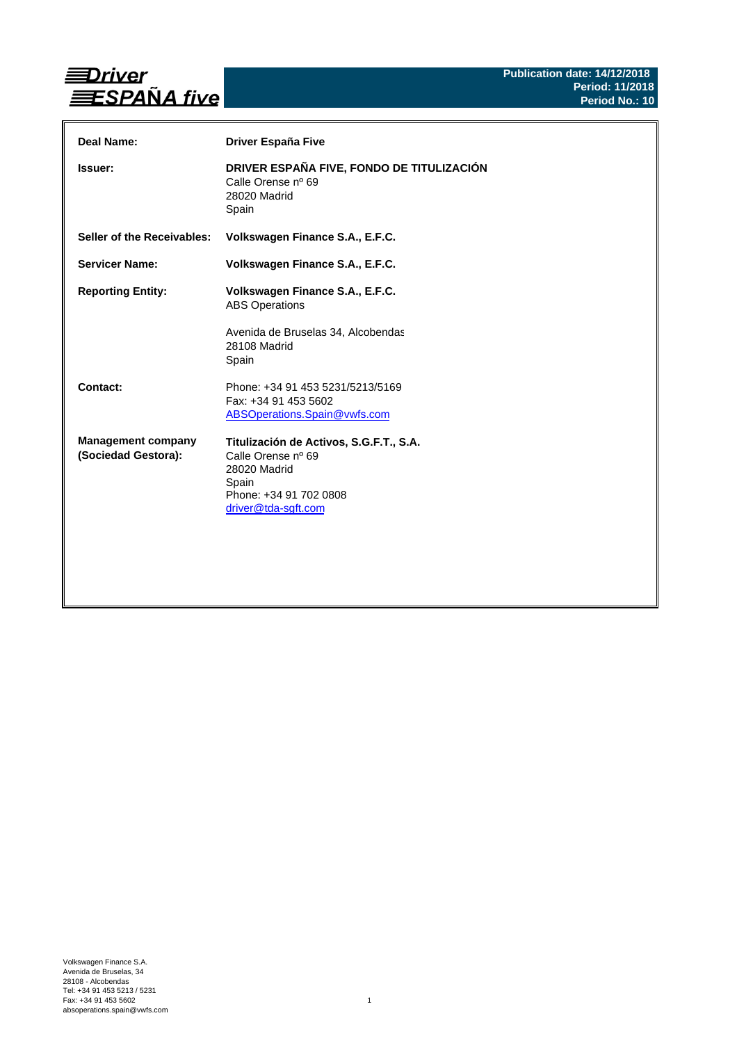

| Deal Name:                                       | Driver España Five                                                                                                                      |
|--------------------------------------------------|-----------------------------------------------------------------------------------------------------------------------------------------|
| <b>Issuer:</b>                                   | DRIVER ESPAÑA FIVE, FONDO DE TITULIZACIÓN<br>Calle Orense nº 69<br>28020 Madrid<br>Spain                                                |
| Seller of the Receivables:                       | Volkswagen Finance S.A., E.F.C.                                                                                                         |
| <b>Servicer Name:</b>                            | Volkswagen Finance S.A., E.F.C.                                                                                                         |
| <b>Reporting Entity:</b>                         | Volkswagen Finance S.A., E.F.C.<br><b>ABS Operations</b><br>Avenida de Bruselas 34, Alcobendas<br>28108 Madrid<br>Spain                 |
| Contact:                                         | Phone: +34 91 453 5231/5213/5169<br>Fax: +34 91 453 5602<br>ABSOperations.Spain@vwfs.com                                                |
| <b>Management company</b><br>(Sociedad Gestora): | Titulización de Activos, S.G.F.T., S.A.<br>Calle Orense nº 69<br>28020 Madrid<br>Spain<br>Phone: +34 91 702 0808<br>driver@tda-sgft.com |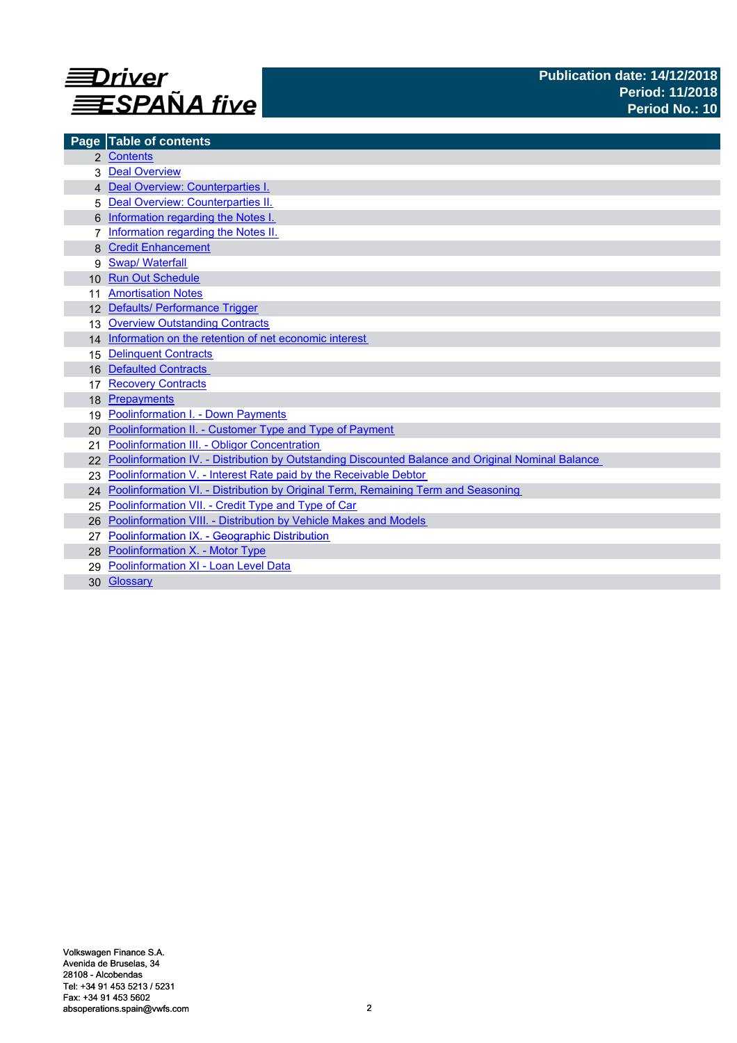

|                 | Page Table of contents                                                                            |
|-----------------|---------------------------------------------------------------------------------------------------|
|                 | 2 Contents                                                                                        |
|                 | <b>Deal Overview</b>                                                                              |
|                 | 4 Deal Overview: Counterparties I.                                                                |
| 5               | Deal Overview: Counterparties II.                                                                 |
|                 | Information regarding the Notes I.                                                                |
|                 | Information regarding the Notes II.                                                               |
|                 | <b>Credit Enhancement</b>                                                                         |
| 9               | <b>Swap/ Waterfall</b>                                                                            |
| 10 <sup>1</sup> | <b>Run Out Schedule</b>                                                                           |
|                 | <b>Amortisation Notes</b>                                                                         |
|                 | 12 Defaults/ Performance Trigger                                                                  |
| 13              | <b>Overview Outstanding Contracts</b>                                                             |
|                 | 14 Information on the retention of net economic interest                                          |
| 15              | <b>Delinquent Contracts</b>                                                                       |
| 16              | <b>Defaulted Contracts</b>                                                                        |
|                 | <b>Recovery Contracts</b>                                                                         |
| 18              | Prepayments                                                                                       |
| 19              | <b>Poolinformation I. - Down Payments</b>                                                         |
| 20              | Poolinformation II. - Customer Type and Type of Payment                                           |
| 21              | Poolinformation III. - Obligor Concentration                                                      |
|                 | Poolinformation IV. - Distribution by Outstanding Discounted Balance and Original Nominal Balance |
| 23              | Poolinformation V. - Interest Rate paid by the Receivable Debtor                                  |
| 24              | Poolinformation VI. - Distribution by Original Term, Remaining Term and Seasoning                 |
| 25              | Poolinformation VII. - Credit Type and Type of Car                                                |
| 26              | Poolinformation VIII. - Distribution by Vehicle Makes and Models                                  |
| 27              | Poolinformation IX. - Geographic Distribution                                                     |
|                 | 28 Poolinformation X. - Motor Type                                                                |
| 29              | Poolinformation XI - Loan Level Data                                                              |
|                 | 30 Glossary                                                                                       |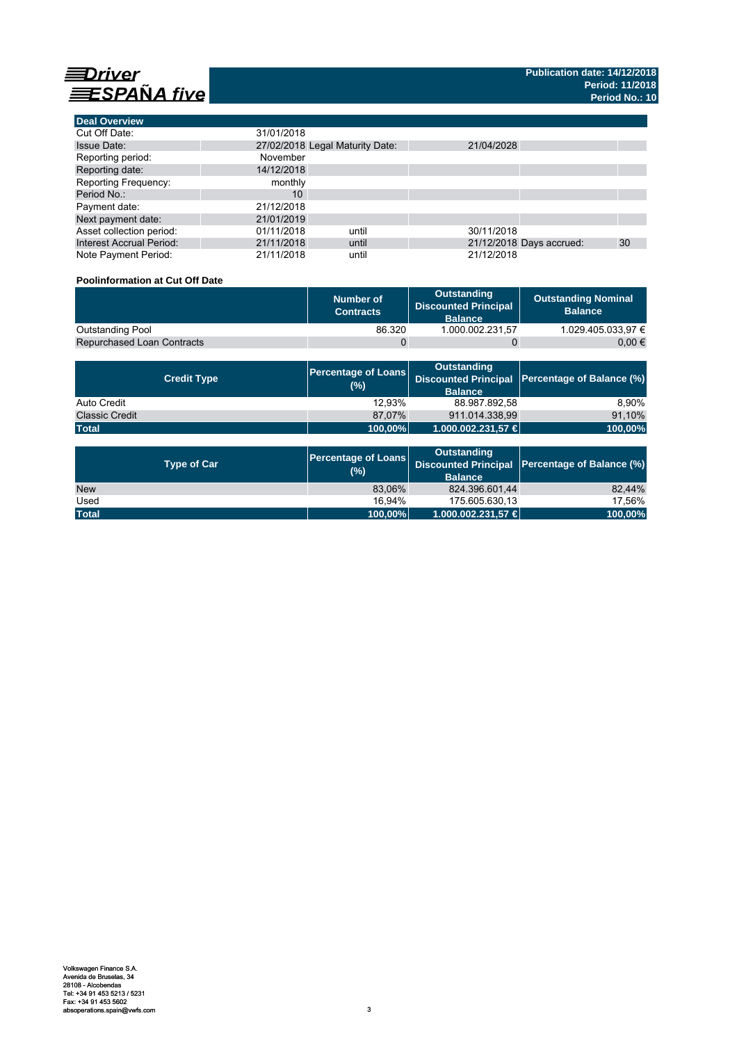

**Deal Overview**

| <b>Deal Overview</b>            |                                 |       |            |                          |    |
|---------------------------------|---------------------------------|-------|------------|--------------------------|----|
| Cut Off Date:                   | 31/01/2018                      |       |            |                          |    |
| <b>Issue Date:</b>              | 27/02/2018 Legal Maturity Date: |       | 21/04/2028 |                          |    |
| Reporting period:               | November                        |       |            |                          |    |
| Reporting date:                 | 14/12/2018                      |       |            |                          |    |
| <b>Reporting Frequency:</b>     | monthly                         |       |            |                          |    |
| Period No.:                     | 10                              |       |            |                          |    |
| Payment date:                   | 21/12/2018                      |       |            |                          |    |
| Next payment date:              | 21/01/2019                      |       |            |                          |    |
| Asset collection period:        | 01/11/2018                      | until | 30/11/2018 |                          |    |
| <b>Interest Accrual Period:</b> | 21/11/2018                      | until |            | 21/12/2018 Days accrued: | 30 |
| Note Payment Period:            | 21/11/2018                      | until | 21/12/2018 |                          |    |

# **Poolinformation at Cut Off Date**

|                                   | Number of<br><b>Contracts</b> | Outstanding<br><b>Discounted Principal</b><br><b>Balance</b> | <b>Outstanding Nominal</b><br><b>Balance</b> |
|-----------------------------------|-------------------------------|--------------------------------------------------------------|----------------------------------------------|
| Outstanding Pool                  | 86.320                        | 1.000.002.231.57                                             | 1.029.405.033.97 €                           |
| <b>Repurchased Loan Contracts</b> |                               |                                                              | 0.00 €                                       |

| <b>Credit Type</b>    | (%)     | <b>Outstanding</b><br><b>Balance</b> | Percentage of Loans Discounted Principal Percentage of Balance (%) |
|-----------------------|---------|--------------------------------------|--------------------------------------------------------------------|
| Auto Credit           | 12.93%  | 88.987.892,58                        | 8.90%                                                              |
| <b>Classic Credit</b> | 87.07%  | 911.014.338.99                       | 91,10%                                                             |
| <b>Total</b>          | 100,00% | 1.000.002.231,57 €                   | 100,00%                                                            |

| <b>Type of Car</b> | <b>Percentage of Loans</b><br>(%) | <b>Outstanding</b><br><b>Balance</b> | Discounted Principal Percentage of Balance (%) |
|--------------------|-----------------------------------|--------------------------------------|------------------------------------------------|
| <b>New</b>         | 83.06%                            | 824.396.601.44                       | 82.44%                                         |
| Used               | 16.94%                            | 175.605.630.13                       | 17.56%                                         |
| <b>Total</b>       | 100,00%                           | 1.000.002.231,57 €                   | 100,00%                                        |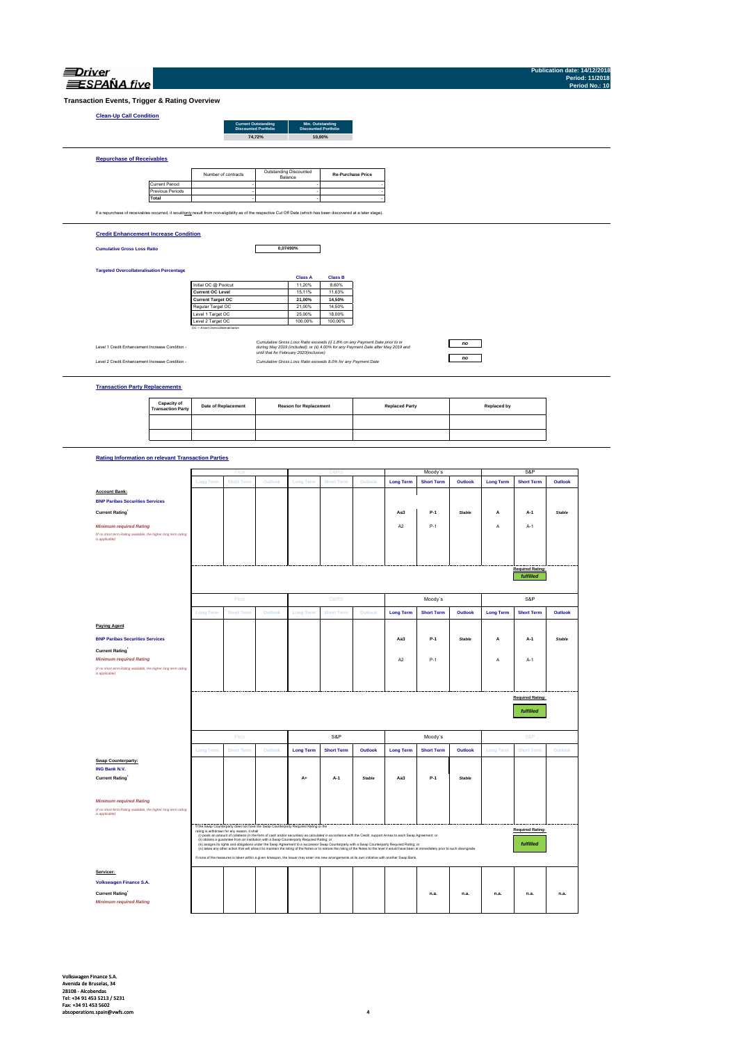| SPANA fi |
|----------|

**Publication date: 14/12/2018 Period: 11/2018 Period No.: 10**

**Transaction Events, Trigger & Rating Overview**

## **Clean-Up Call Condition**

| <b>Current Outstanding</b><br><b>Discounted Portfolio</b> | Min. Outstanding<br><b>Discounted Portfolio</b> |
|-----------------------------------------------------------|-------------------------------------------------|
| 74.72%                                                    | 10.00%                                          |
|                                                           |                                                 |
|                                                           |                                                 |
|                                                           |                                                 |

|                       | Number of contracts | Outstanding Discounted<br>Balance | <b>Re-Purchase Price</b> |
|-----------------------|---------------------|-----------------------------------|--------------------------|
| <b>Current Period</b> |                     |                                   |                          |
| Previous Periods      |                     |                                   |                          |
| Total                 |                     |                                   |                          |

#### **Credit Enhancement Increase Condition**

**Cumulative Gross Loss Ratio**

**Repurchase of Receivables**

**0,07490%**

#### **Targeted Overcollateralisation Percentage**

|                                  | <b>Class A</b> | <b>Class B</b> |
|----------------------------------|----------------|----------------|
| Initial OC @ Poolcut             | 11.20%         | 8.60%          |
| <b>Current OC Level</b>          | 15.11%         | 11.63%         |
| <b>Current Target OC</b>         | 21.00%         | 14.50%         |
| Regular Target OC                | 21.00%         | 14.50%         |
| Level 1 Target OC                | 25.00%         | 18.00%         |
| Level 2 Target OC                | 100.00%        | 100.00%        |
| OC = Asset Overcollateralisation |                |                |

Level 1 Credit Enhancement Increase Condition -

Cumulative Group of Commission of Cumulative Gross Loss Raids exceeds (i) r.8% on any Psyment Date prior to cr<br>- Junking May 2019 and the United States of May 2019 and the United States (ii) 4,00% for any Psyment Date afte

### *no no*

**Transaction Party Replacements**

| Capacity of<br><b>Transaction Party</b> | <b>Date of Replacement</b> | <b>Reason for Replacement</b> | <b>Replaced Party</b> | Replaced by |
|-----------------------------------------|----------------------------|-------------------------------|-----------------------|-------------|
|                                         |                            |                               |                       |             |
|                                         |                            |                               |                       |             |

#### **Rating Information on relevant Transaction Parties**

|                                                                                   |                  | Fitch                                        |                                                                                           |                  |                                                                                                                                                                                                                                                                                                                                                    | Moody's       |                  | S&P               |               |                  |                         |               |
|-----------------------------------------------------------------------------------|------------------|----------------------------------------------|-------------------------------------------------------------------------------------------|------------------|----------------------------------------------------------------------------------------------------------------------------------------------------------------------------------------------------------------------------------------------------------------------------------------------------------------------------------------------------|---------------|------------------|-------------------|---------------|------------------|-------------------------|---------------|
|                                                                                   | <b>Long Term</b> | <b>Short Term</b>                            | Outlook                                                                                   | Long Term        | <b>Short Term</b>                                                                                                                                                                                                                                                                                                                                  | Outlook       | <b>Long Term</b> | <b>Short Term</b> | Outlook       | <b>Long Term</b> | <b>Short Term</b>       | Outlook       |
| <b>Account Bank:</b>                                                              |                  |                                              |                                                                                           |                  |                                                                                                                                                                                                                                                                                                                                                    |               |                  |                   |               |                  |                         |               |
| <b>BNP Paribas Securities Services</b>                                            |                  |                                              |                                                                                           |                  |                                                                                                                                                                                                                                                                                                                                                    |               |                  |                   |               |                  |                         |               |
| <b>Current Rating</b>                                                             |                  |                                              |                                                                                           |                  |                                                                                                                                                                                                                                                                                                                                                    |               | Aa3              | $P-1$             | <b>Stable</b> | A                | A-1                     | <b>Stable</b> |
| <b>Minimum required Rating</b>                                                    |                  |                                              |                                                                                           |                  |                                                                                                                                                                                                                                                                                                                                                    |               | A2               | $P-1$             |               | А                | $A-1$                   |               |
| (if no short term Rating available, the higher long term rating<br>is applicable) |                  |                                              |                                                                                           |                  |                                                                                                                                                                                                                                                                                                                                                    |               |                  |                   |               |                  |                         |               |
|                                                                                   |                  |                                              |                                                                                           |                  |                                                                                                                                                                                                                                                                                                                                                    |               |                  |                   |               |                  |                         |               |
|                                                                                   |                  |                                              |                                                                                           |                  |                                                                                                                                                                                                                                                                                                                                                    |               |                  |                   |               |                  |                         |               |
|                                                                                   |                  |                                              |                                                                                           |                  |                                                                                                                                                                                                                                                                                                                                                    |               |                  |                   |               |                  | <b>Required Rating:</b> |               |
|                                                                                   |                  |                                              |                                                                                           |                  |                                                                                                                                                                                                                                                                                                                                                    |               |                  |                   |               |                  | fulfilled               |               |
|                                                                                   |                  | Fitch                                        |                                                                                           |                  | <b>DBRS</b>                                                                                                                                                                                                                                                                                                                                        |               |                  | Moody's           |               |                  | S&P                     |               |
|                                                                                   | <b>Long Term</b> | <b>Short Term</b>                            | Outlook                                                                                   | <b>Long Term</b> | <b>Short Term</b>                                                                                                                                                                                                                                                                                                                                  | Outlook       | <b>Long Term</b> | <b>Short Term</b> | Outlook       | <b>Long Term</b> | <b>Short Term</b>       | Outlook       |
| <b>Paying Agent</b>                                                               |                  |                                              |                                                                                           |                  |                                                                                                                                                                                                                                                                                                                                                    |               |                  |                   |               |                  |                         |               |
| <b>BNP Paribas Securities Services</b>                                            |                  |                                              |                                                                                           |                  |                                                                                                                                                                                                                                                                                                                                                    |               | Aa3              | P-1               | <b>Stable</b> | A                | A-1                     | <b>Stable</b> |
| <b>Current Rating</b>                                                             |                  |                                              |                                                                                           |                  |                                                                                                                                                                                                                                                                                                                                                    |               |                  |                   |               |                  |                         |               |
| <b>Minimum required Rating</b>                                                    |                  |                                              |                                                                                           |                  |                                                                                                                                                                                                                                                                                                                                                    |               | A <sub>2</sub>   | $P-1$             |               | A                | $A-1$                   |               |
| (if no short term Rating available, the higher long term rating<br>is applicable) |                  |                                              |                                                                                           |                  |                                                                                                                                                                                                                                                                                                                                                    |               |                  |                   |               |                  |                         |               |
|                                                                                   |                  |                                              |                                                                                           |                  |                                                                                                                                                                                                                                                                                                                                                    |               |                  |                   |               |                  |                         |               |
|                                                                                   |                  |                                              |                                                                                           |                  |                                                                                                                                                                                                                                                                                                                                                    |               |                  |                   |               |                  |                         |               |
|                                                                                   |                  |                                              |                                                                                           |                  |                                                                                                                                                                                                                                                                                                                                                    |               |                  |                   |               |                  |                         |               |
|                                                                                   |                  |                                              |                                                                                           |                  |                                                                                                                                                                                                                                                                                                                                                    |               |                  |                   |               |                  | <b>Required Rating:</b> |               |
|                                                                                   |                  |                                              |                                                                                           |                  |                                                                                                                                                                                                                                                                                                                                                    |               |                  |                   |               |                  | fulfilled               |               |
|                                                                                   |                  |                                              |                                                                                           |                  |                                                                                                                                                                                                                                                                                                                                                    |               |                  |                   |               |                  |                         |               |
|                                                                                   |                  | Fitch                                        |                                                                                           |                  | S&P                                                                                                                                                                                                                                                                                                                                                |               |                  | Moody's           |               |                  | S&P                     |               |
|                                                                                   | Long Term        | <b>Short Term</b>                            | Outlook                                                                                   | <b>Long Term</b> | <b>Short Term</b>                                                                                                                                                                                                                                                                                                                                  | Outlook       | <b>Long Term</b> | <b>Short Term</b> | Outlook       | <b>Long Term</b> | <b>Short Term</b>       | Outlook       |
| Swap Counterparty:                                                                |                  |                                              |                                                                                           |                  |                                                                                                                                                                                                                                                                                                                                                    |               |                  |                   |               |                  |                         |               |
| ING Bank N.V.                                                                     |                  |                                              |                                                                                           |                  |                                                                                                                                                                                                                                                                                                                                                    |               |                  |                   |               |                  |                         |               |
| <b>Current Rating</b>                                                             |                  |                                              |                                                                                           | $A+$             | $A-1$                                                                                                                                                                                                                                                                                                                                              | <b>Stable</b> | Aa3              | P-1               | <b>Stable</b> |                  |                         |               |
|                                                                                   |                  |                                              |                                                                                           |                  |                                                                                                                                                                                                                                                                                                                                                    |               |                  |                   |               |                  |                         |               |
| <b>Minimum required Rating</b>                                                    |                  |                                              |                                                                                           |                  |                                                                                                                                                                                                                                                                                                                                                    |               |                  |                   |               |                  |                         |               |
| (if no short term Rating available, the higher long term rating                   |                  |                                              |                                                                                           |                  |                                                                                                                                                                                                                                                                                                                                                    |               |                  |                   |               |                  |                         |               |
| is applicable)                                                                    |                  |                                              |                                                                                           |                  |                                                                                                                                                                                                                                                                                                                                                    |               |                  |                   |               |                  |                         |               |
|                                                                                   |                  | rating is withdrawn for any reason, it shall | If the Swap Counterparty does not have the Swap Counterparty Required Rating or the       |                  |                                                                                                                                                                                                                                                                                                                                                    |               |                  |                   |               |                  | <b>Required Rating:</b> |               |
|                                                                                   |                  |                                              | (ii) obtains a guarantee from an institution with a Swap Counterparty Required Rating; or |                  | (i) posts an amount of collateral (in the form of cash and/or securities) as calculated in accordance with the Credit support Annex to each Swap Agreement; or                                                                                                                                                                                     |               |                  |                   |               |                  |                         |               |
|                                                                                   |                  |                                              |                                                                                           |                  | (ii) assigns its rights and obligations under the Swap Agreement to a successor Swap Counterparty with a Swap Counterparty Required Rating; or<br>(iv) takes any other action that will allow it to maintain the rating of the Notes or to restore the rating of the Notes to the level it would have been at immediately prior to such downgrade. |               |                  |                   |               |                  | fulfilled               |               |
|                                                                                   |                  |                                              |                                                                                           |                  | If none of the measures is taken within a given timespan, the Issuer may enter into new arrangements at its own initiative with another Swap Bank.                                                                                                                                                                                                 |               |                  |                   |               |                  |                         |               |
| Servicer:                                                                         |                  |                                              |                                                                                           |                  |                                                                                                                                                                                                                                                                                                                                                    |               |                  |                   |               |                  |                         |               |
| <b>Volkswagen Finance S.A.</b>                                                    |                  |                                              |                                                                                           |                  |                                                                                                                                                                                                                                                                                                                                                    |               |                  |                   |               |                  |                         |               |
| <b>Current Rating</b>                                                             |                  |                                              |                                                                                           |                  |                                                                                                                                                                                                                                                                                                                                                    |               |                  | n.a.              | n.a.          | n.a.             | n.a.                    | n.a.          |
| <b>Minimum required Rating</b>                                                    |                  |                                              |                                                                                           |                  |                                                                                                                                                                                                                                                                                                                                                    |               |                  |                   |               |                  |                         |               |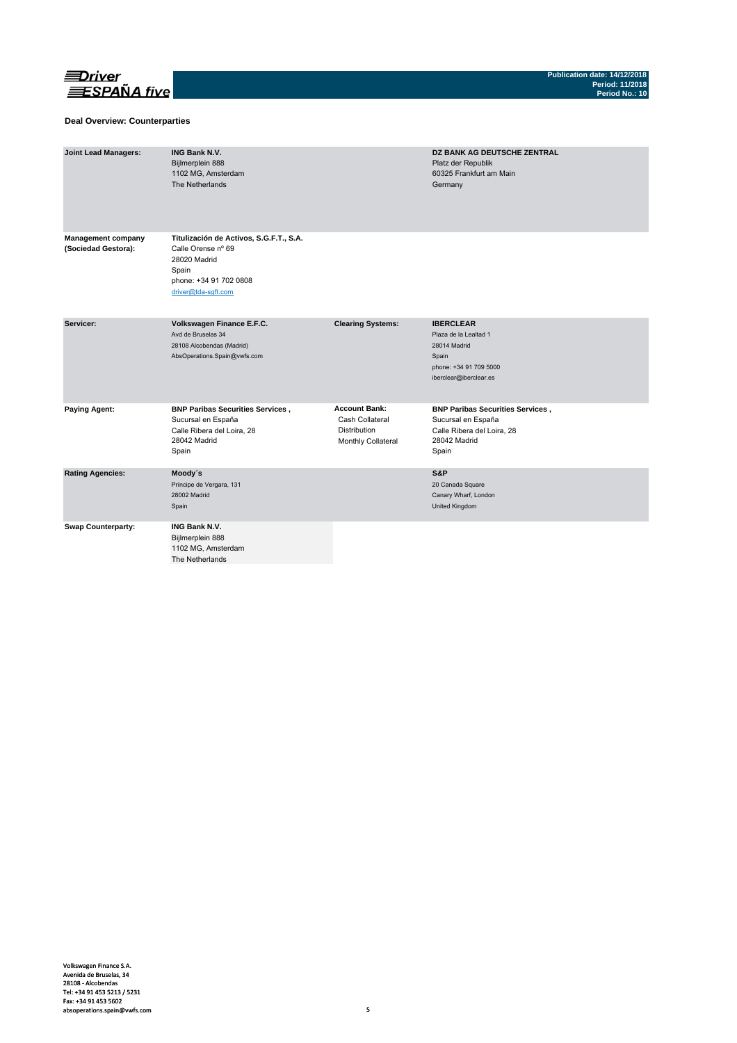

### **Deal Overview: Counterparties**

| <b>Joint Lead Managers:</b>                      | <b>ING Bank N.V.</b><br>Bijlmerplein 888<br>1102 MG, Amsterdam<br>The Netherlands                                                       |                                                                                      | DZ BANK AG DEUTSCHE ZENTRAL<br>Platz der Republik<br>60325 Frankfurt am Main<br>Germany                                |
|--------------------------------------------------|-----------------------------------------------------------------------------------------------------------------------------------------|--------------------------------------------------------------------------------------|------------------------------------------------------------------------------------------------------------------------|
| <b>Management company</b><br>(Sociedad Gestora): | Titulización de Activos, S.G.F.T., S.A.<br>Calle Orense nº 69<br>28020 Madrid<br>Spain<br>phone: +34 91 702 0808<br>driver@tda-sqft.com |                                                                                      |                                                                                                                        |
| Servicer:                                        | Volkswagen Finance E.F.C.<br>Avd de Bruselas 34<br>28108 Alcobendas (Madrid)<br>AbsOperations.Spain@vwfs.com                            | <b>Clearing Systems:</b>                                                             | <b>IBERCLEAR</b><br>Plaza de la Lealtad 1<br>28014 Madrid<br>Spain<br>phone: +34 91 709 5000<br>iberclear@iberclear.es |
| <b>Paying Agent:</b>                             | <b>BNP Paribas Securities Services,</b><br>Sucursal en España<br>Calle Ribera del Loira, 28<br>28042 Madrid<br>Spain                    | <b>Account Bank:</b><br>Cash Collateral<br><b>Distribution</b><br>Monthly Collateral | <b>BNP Paribas Securities Services,</b><br>Sucursal en España<br>Calle Ribera del Loira, 28<br>28042 Madrid<br>Spain   |
| <b>Rating Agencies:</b>                          | Moody's<br>Príncipe de Vergara, 131<br>28002 Madrid<br>Spain                                                                            |                                                                                      | S&P<br>20 Canada Square<br>Canary Wharf, London<br>United Kingdom                                                      |
| <b>Swap Counterparty:</b>                        | <b>ING Bank N.V.</b><br>Bijlmerplein 888<br>1102 MG, Amsterdam<br>The Netherlands                                                       |                                                                                      |                                                                                                                        |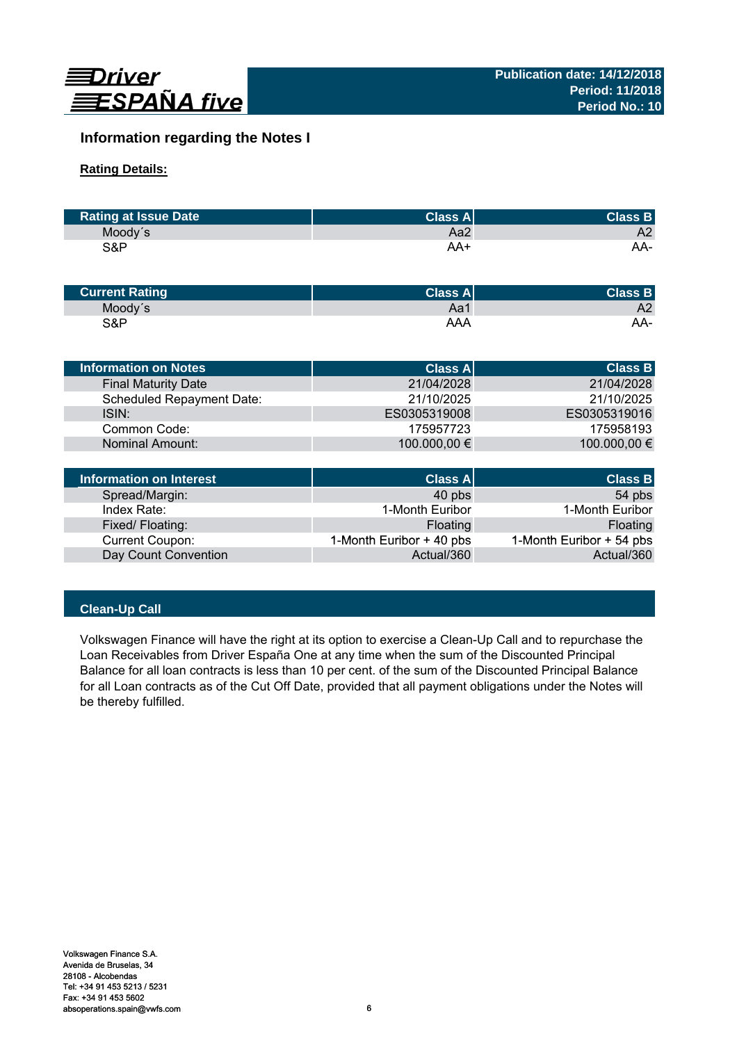

# **Information regarding the Notes I**

# **Rating Details:**

| <b>Rating at Issue Date</b> | ∣Class Al' | <b>Class B</b> |
|-----------------------------|------------|----------------|
| Moody's                     | Aa2        | A2             |
| S&P                         | AA+        | AA-            |

| <b>Current Rating</b> | Class A | <b>Class B</b> |
|-----------------------|---------|----------------|
| Moody's               | Aa1     | A2             |
| S&P                   | AAA     | AA-            |

| Information on Notes             | <b>Class A</b>   | <b>Class B</b> |
|----------------------------------|------------------|----------------|
| <b>Final Maturity Date</b>       | 21/04/2028       | 21/04/2028     |
| <b>Scheduled Repayment Date:</b> | 21/10/2025       | 21/10/2025     |
| ISIN:                            | ES0305319008     | ES0305319016   |
| Common Code:                     | 175957723        | 175958193      |
| <b>Nominal Amount:</b>           | 100.000,00 €     | 100.000,00 €   |
|                                  |                  |                |
| Information on Interest          | <b>Class All</b> | <b>Class B</b> |

| Information on Interest | <b>Class A</b>           | <b>Class B</b>           |
|-------------------------|--------------------------|--------------------------|
| Spread/Margin:          | 40 pbs                   | 54 pbs                   |
| Index Rate:             | 1-Month Euribor          | 1-Month Euribor          |
| Fixed/Floating:         | Floating                 | Floating                 |
| <b>Current Coupon:</b>  | 1-Month Euribor + 40 pbs | 1-Month Euribor + 54 pbs |
| Day Count Convention    | Actual/360               | Actual/360               |

# **Clean-Up Call**

Volkswagen Finance will have the right at its option to exercise a Clean-Up Call and to repurchase the Loan Receivables from Driver España One at any time when the sum of the Discounted Principal Balance for all loan contracts is less than 10 per cent. of the sum of the Discounted Principal Balance for all Loan contracts as of the Cut Off Date, provided that all payment obligations under the Notes will be thereby fulfilled.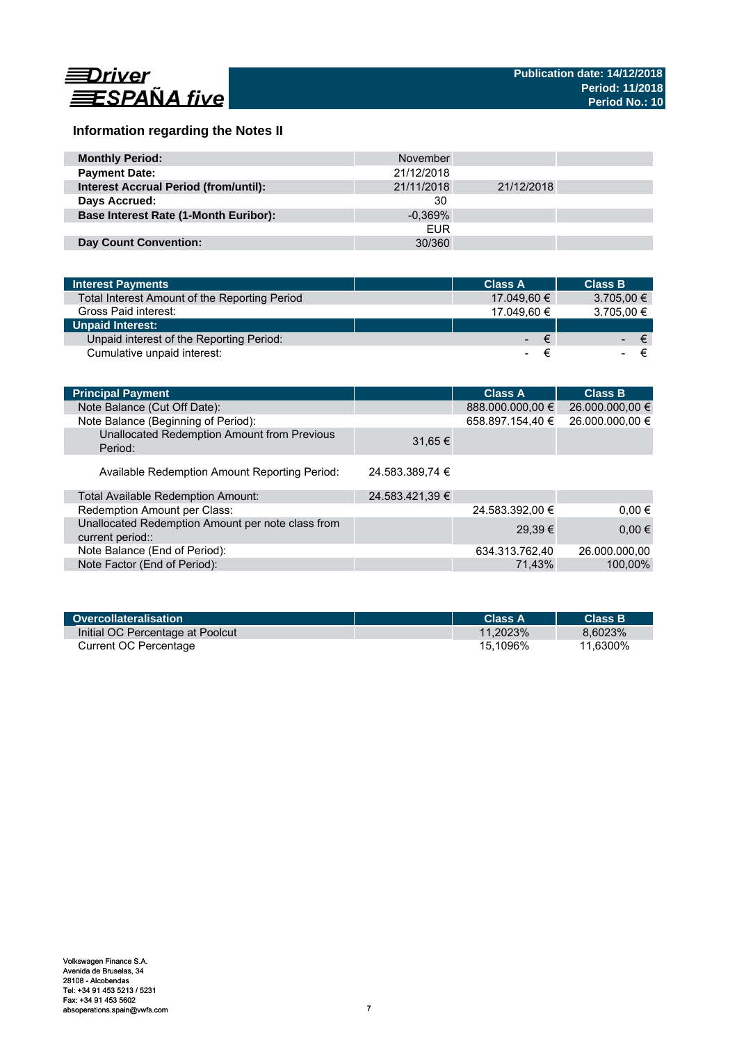

# **Information regarding the Notes II**

| <b>Monthly Period:</b>                       | November   |            |  |
|----------------------------------------------|------------|------------|--|
| <b>Payment Date:</b>                         | 21/12/2018 |            |  |
| <b>Interest Accrual Period (from/until):</b> | 21/11/2018 | 21/12/2018 |  |
| Days Accrued:                                | 30         |            |  |
| <b>Base Interest Rate (1-Month Euribor):</b> | $-0.369\%$ |            |  |
|                                              | <b>EUR</b> |            |  |
| <b>Day Count Convention:</b>                 | 30/360     |            |  |

| <b>Interest Payments</b>                      | <b>Class A</b> | <b>Class B</b> |
|-----------------------------------------------|----------------|----------------|
| Total Interest Amount of the Reporting Period | 17.049.60 €    | $3.705,00 \in$ |
| Gross Paid interest:                          | 17.049.60 €    | 3.705,00 €     |
| <b>Unpaid Interest:</b>                       |                |                |
| Unpaid interest of the Reporting Period:      | $ \epsilon$    | ∕€7            |
| Cumulative unpaid interest:                   |                |                |

| <b>Principal Payment</b>                                              |                 | <b>Class A</b>   | <b>Class B</b>  |
|-----------------------------------------------------------------------|-----------------|------------------|-----------------|
| Note Balance (Cut Off Date):                                          |                 | 888.000.000,00 € | 26.000.000,00 € |
| Note Balance (Beginning of Period):                                   |                 | 658.897.154,40 € | 26.000.000,00 € |
| Unallocated Redemption Amount from Previous<br>Period:                | $31.65 \in$     |                  |                 |
| Available Redemption Amount Reporting Period:                         | 24.583.389,74 € |                  |                 |
| Total Available Redemption Amount:                                    | 24.583.421,39 € |                  |                 |
| Redemption Amount per Class:                                          |                 | 24.583.392,00 €  | $0.00 \in$      |
| Unallocated Redemption Amount per note class from<br>current period:: |                 | 29.39€           | $0,00 \in$      |
| Note Balance (End of Period):                                         |                 | 634.313.762,40   | 26.000.000.00   |
| Note Factor (End of Period):                                          |                 | 71,43%           | 100,00%         |

| Overcollateralisation            | Class A     | <b>Class B</b> |
|----------------------------------|-------------|----------------|
| Initial OC Percentage at Poolcut | $11.2023\%$ | 8.6023%        |
| Current OC Percentage            | 15.1096%    | 11.6300%       |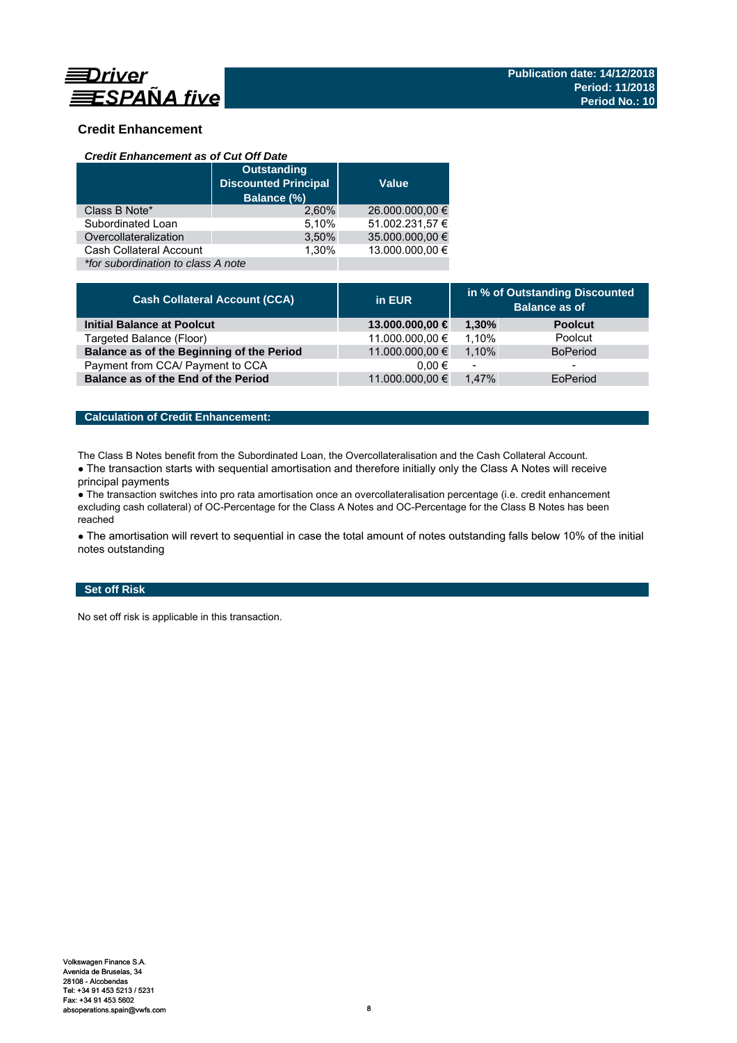

# **Credit Enhancement**

### *Credit Enhancement as of Cut Off Date*

|                                    | <b>Outstanding</b><br><b>Discounted Principal</b><br>Balance (%) | <b>Value</b>    |
|------------------------------------|------------------------------------------------------------------|-----------------|
| Class B Note*                      | 2.60%                                                            | 26.000.000,00 € |
| Subordinated Loan                  | 5,10%                                                            | 51.002.231,57 € |
| Overcollateralization              | 3,50%                                                            | 35.000.000,00 € |
| Cash Collateral Account            | 1.30%                                                            | 13.000.000.00 € |
| *for subordination to class A note |                                                                  |                 |

| <b>Cash Collateral Account (CCA)</b>      | in EUR          | in % of Outstanding Discounted<br><b>Balance as of</b> |                 |
|-------------------------------------------|-----------------|--------------------------------------------------------|-----------------|
| <b>Initial Balance at Poolcut</b>         | 13.000.000,00 € | 1.30%                                                  | <b>Poolcut</b>  |
| Targeted Balance (Floor)                  | 11.000.000,00 € | 1.10%                                                  | Poolcut         |
| Balance as of the Beginning of the Period | 11.000.000,00 € | 1.10%                                                  | <b>BoPeriod</b> |
| Payment from CCA/ Payment to CCA          | $0.00 \in$      | $\overline{\phantom{a}}$                               | -               |
| Balance as of the End of the Period       | 11.000.000,00 € | 1.47%                                                  | EoPeriod        |

# **Calculation of Credit Enhancement:**

The Class B Notes benefit from the Subordinated Loan, the Overcollateralisation and the Cash Collateral Account.

• The transaction starts with sequential amortisation and therefore initially only the Class A Notes will receive principal payments

● The transaction switches into pro rata amortisation once an overcollateralisation percentage (i.e. credit enhancement excluding cash collateral) of OC-Percentage for the Class A Notes and OC-Percentage for the Class B Notes has been reached

• The amortisation will revert to sequential in case the total amount of notes outstanding falls below 10% of the initial notes outstanding

# **Set off Risk**

No set off risk is applicable in this transaction.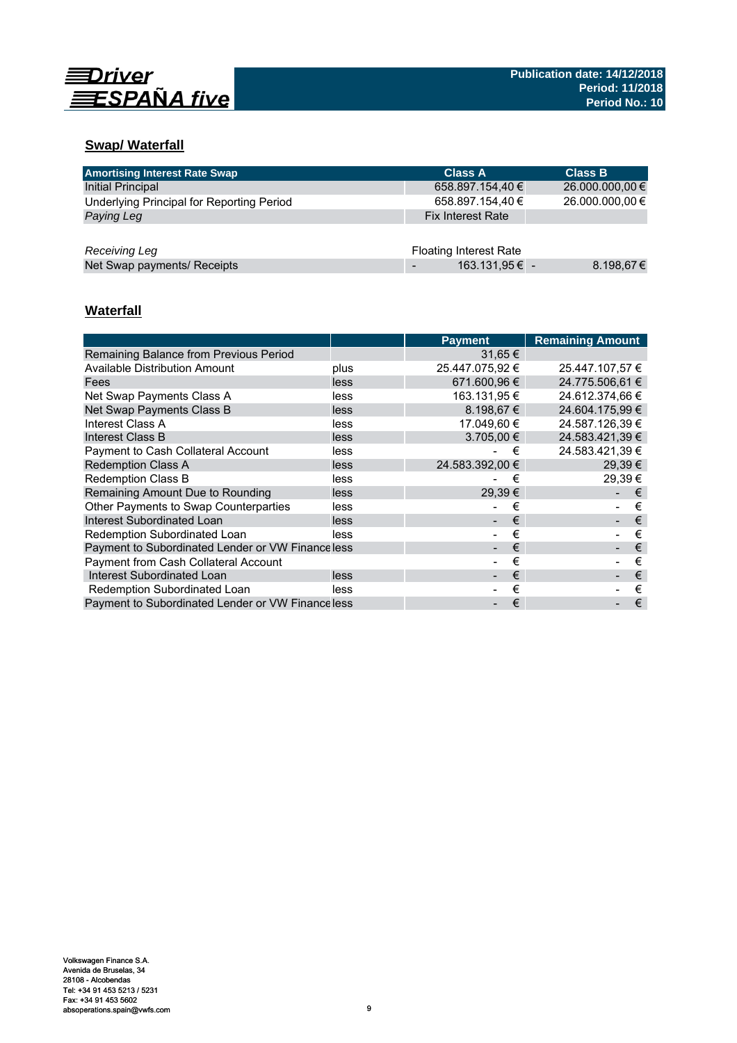

# **Swap/ Waterfall**

| <b>Amortising Interest Rate Swap</b>      | <b>Class A</b>                | <b>Class B</b>  |
|-------------------------------------------|-------------------------------|-----------------|
| Initial Principal                         | 658.897.154,40 €              | 26.000.000,00 € |
| Underlying Principal for Reporting Period | 658.897.154,40 €              | 26.000.000,00 € |
| Paying Leg                                | <b>Fix Interest Rate</b>      |                 |
|                                           |                               |                 |
| Receiving Leg                             | <b>Floating Interest Rate</b> |                 |
| Net Swap payments/ Receipts               | 163.131,95 € -                | 8.198,67€       |

# **Waterfall**

|                                                  |      | <b>Payment</b>  | <b>Remaining Amount</b> |
|--------------------------------------------------|------|-----------------|-------------------------|
| Remaining Balance from Previous Period           |      | 31,65 €         |                         |
| Available Distribution Amount                    | plus | 25.447.075,92 € | 25.447.107,57 €         |
| Fees                                             | less | 671.600.96 €    | 24.775.506.61 €         |
| Net Swap Payments Class A                        | less | 163.131,95 €    | 24.612.374.66 €         |
| Net Swap Payments Class B                        | less | $8.198.67 \in$  | 24.604.175,99 €         |
| Interest Class A                                 | less | 17.049.60 €     | 24.587.126.39 €         |
| Interest Class B                                 | less | $3.705.00 \in$  | 24.583.421.39 €         |
| <b>Payment to Cash Collateral Account</b>        | less | €               | 24.583.421,39 €         |
| <b>Redemption Class A</b>                        | less | 24.583.392.00 € | $29.39 \in$             |
| Redemption Class B                               | less | €               | 29.39€                  |
| Remaining Amount Due to Rounding                 | less | 29,39€          | €                       |
| Other Payments to Swap Counterparties            | less | €               | €                       |
| Interest Subordinated Loan                       | less | €               | €                       |
| Redemption Subordinated Loan                     | less | €               | €                       |
| Payment to Subordinated Lender or VW Financeless |      | €               | €                       |
| <b>Payment from Cash Collateral Account</b>      |      | €               | €                       |
| Interest Subordinated Loan                       | less | €               | €                       |
| Redemption Subordinated Loan                     | less | €               | €                       |
| Payment to Subordinated Lender or VW Financeless |      | €               | €                       |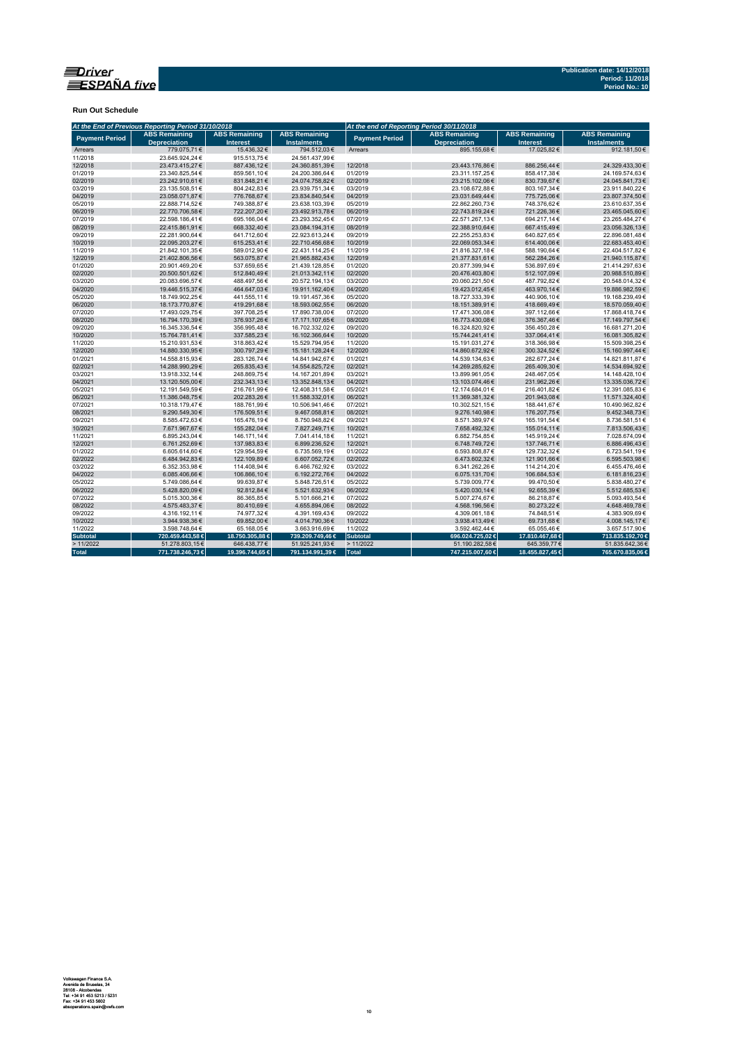

**Run Out Schedule**

|                       | At the End of Previous Reporting Period 31/10/2018 |                                         |                                            | At the end of Reporting Period 30/11/2018 |                                             |                                         |                                            |  |
|-----------------------|----------------------------------------------------|-----------------------------------------|--------------------------------------------|-------------------------------------------|---------------------------------------------|-----------------------------------------|--------------------------------------------|--|
| <b>Payment Period</b> | <b>ABS Remaining</b><br><b>Depreciation</b>        | <b>ABS Remaining</b><br><b>Interest</b> | <b>ABS Remaining</b><br><b>Instalments</b> | <b>Payment Period</b>                     | <b>ABS Remaining</b><br><b>Depreciation</b> | <b>ABS Remaining</b><br><b>Interest</b> | <b>ABS Remaining</b><br><b>Instalments</b> |  |
| Arrears               | 779.075.71€                                        | 15.436.32€                              | 794.512.03€                                | Arrears                                   | 895.155.68€                                 | 17.025.82€                              | 912.181.50€                                |  |
| 11/2018               | 23.645.924.24€                                     | 915.513.75€                             | 24.561.437.99€                             |                                           |                                             |                                         |                                            |  |
| 12/2018               | 23.473.415,27€                                     | 887.436,12€                             | 24.360.851,39€                             | 12/2018                                   | 23.443.176,86€                              | 886.256,44€                             | 24.329.433,30€                             |  |
| 01/2019               | 23.340.825,54€                                     | 859.561,10€                             | 24.200.386,64€                             | 01/2019                                   | 23.311.157,25€                              | 858.417,38€                             | 24.169.574,63€                             |  |
| 02/2019               | 23.242.910,61€                                     | 831.848,21€                             | 24.074.758,82€                             | 02/2019                                   | 23.215.102,06€                              | 830.739,67€                             | 24.045.841,73€                             |  |
| 03/2019               | 23.135.508,51€                                     | 804.242,83€                             | 23.939.751,34€                             | 03/2019                                   | 23.108.672,88€                              | 803.167,34 €                            | 23.911.840,22€                             |  |
| 04/2019               | 23.058.071.87€                                     | 776.768,67€                             | 23.834.840,54€                             | 04/2019                                   | 23.031.649,44€                              | 775.725,06€                             | 23.807.374,50€                             |  |
| 05/2019               | 22.888.714,52€                                     | 749.388,87€                             | 23.638.103,39€                             | 05/2019                                   | 22.862.260,73€                              | 748.376,62€                             | 23.610.637,35€                             |  |
| 06/2019               | 22.770.706,58€                                     | 722.207,20€                             | 23.492.913,78€                             | 06/2019                                   | 22.743.819,24€                              | 721.226,36€                             | 23.465.045,60€                             |  |
| 07/2019               | 22.598.186,41€                                     | 695.166,04€                             | 23.293.352,45€                             | 07/2019                                   | 22.571.267,13€                              | 694.217,14€                             | 23.265.484,27€                             |  |
| 08/2019               | 22.415.861,91€                                     | 668.332,40€                             | 23.084.194,31€                             | 08/2019                                   | 22.388.910,64€                              | 667.415,49€                             | 23.056.326,13€                             |  |
| 09/2019               | 22.281.900.64€                                     | 641.712,60€                             | 22.923.613.24€                             | 09/2019                                   | 22.255.253.83€                              | 640.827.65€                             | 22.896.081.48€                             |  |
| 10/2019               | 22.095.203,27€                                     | 615.253,41€                             | 22.710.456,68€                             | 10/2019                                   | 22.069.053,34€                              | 614.400,06€                             | 22.683.453,40€                             |  |
| 11/2019               | 21.842.101,35€                                     | 589.012,90€                             | 22.431.114,25€                             | 11/2019                                   | 21.816.327,18€                              | 588.190,64 €                            | 22.404.517,82€                             |  |
| 12/2019               | 21.402.806.56€                                     | 563.075,87€                             | 21.965.882,43€                             | 12/2019                                   | 21.377.831,61€                              | 562.284.26€                             | 21.940.115,87€                             |  |
| 01/2020               | 20.901.469.20€                                     | 537.659,65€                             | 21.439.128,85€                             | 01/2020                                   | 20.877.399,94€                              | 536.897,69€                             | 21.414.297,63€                             |  |
| 02/2020               | 20.500.501,62€                                     | 512.840,49€                             | 21.013.342,11€                             | 02/2020                                   | 20.476.403,80€                              | 512.107,09€                             | 20.988.510,89€                             |  |
| 03/2020               | 20.083.696.57€                                     | 488.497,56€                             | 20.572.194,13€                             | 03/2020                                   | 20.060.221,50€                              | 487.792,82€                             | 20.548.014,32€                             |  |
| 04/2020               | 19.446.515,37€                                     | 464.647,03€                             | 19.911.162,40€                             | 04/2020                                   | 19.423.012,45€                              | 463.970,14€                             | 19.886.982,59€                             |  |
| 05/2020               | 18.749.902.25€                                     | 441.555,11€                             | 19.191.457,36€                             | 05/2020                                   | 18.727.333,39€                              | 440.906,10€                             | 19.168.239,49€                             |  |
| 06/2020               | 18.173.770.87€                                     | 419.291,68€                             | 18.593.062,55€                             | 06/2020                                   | 18.151.389,91€                              | 418.669,49€                             | 18.570.059,40€                             |  |
| 07/2020               | 17.493.029,75€                                     | 397.708,25€                             | 17.890.738,00€                             | 07/2020                                   | 17.471.306,08€                              | 397.112,66€                             | 17.868.418,74€                             |  |
| 08/2020               | 16.794.170,39€                                     | 376.937,26€                             | 17.171.107,65€                             | 08/2020                                   | 16.773.430,08€                              | 376.367,46€                             | 17.149.797,54€                             |  |
| 09/2020               | 16.345.336.54€                                     | 356.995,48€                             | 16.702.332,02€                             | 09/2020                                   | 16.324.820,92€                              | 356.450,28€                             | 16.681.271,20€                             |  |
| 10/2020               | 15.764.781,41€                                     | 337.585,23€                             | 16.102.366,64€                             | 10/2020                                   | 15.744.241,41€                              | 337.064,41€                             | 16.081.305,82€                             |  |
| 11/2020               | 15.210.931.53€                                     | 318.863.42€                             | 15.529.794.95€                             | 11/2020                                   | 15.191.031.27€                              | 318,366,98€                             | 15.509.398,25€                             |  |
| 12/2020               | 14.880.330,95€                                     | 300.797,29€                             | 15.181.128,24€                             | 12/2020                                   | 14.860.672,92€                              | 300.324,52€                             | 15.160.997,44€                             |  |
| 01/2021               | 14.558.815,93€                                     | 283.126,74€                             | 14.841.942,67€                             | 01/2021                                   | 14.539.134,63€                              | 282.677,24€                             | 14.821.811,87€                             |  |
| 02/2021               | 14.288.990.29€                                     | 265.835.43€                             | 14.554.825.72€                             | 02/2021                                   | 14.269.285.62€                              | 265.409,30€                             | 14.534.694,92€                             |  |
| 03/2021               | 13.918.332.14€                                     | 248.869.75€                             | 14.167.201,89€                             | 03/2021                                   | 13.899.961.05€                              | 248.467,05€                             | 14.148.428,10€                             |  |
| 04/2021               | 13.120.505,00€                                     | 232.343,13€                             | 13.352.848,13€                             | 04/2021                                   | 13.103.074,46€                              | 231.962,26€                             | 13.335.036,72€                             |  |
| 05/2021               | 12.191.549,59€                                     | 216.761,99€                             | 12.408.311,58€                             | 05/2021                                   | 12.174.684,01€                              | 216.401,82€                             | 12.391.085,83€                             |  |
| 06/2021               | 11.386.048,75€                                     | 202.283,26€                             | 11.588.332,01€                             | 06/2021                                   | 11.369.381,32€                              | 201.943,08€                             | 11.571.324,40€                             |  |
| 07/2021               | 10.318.179,47€                                     | 188.761,99€                             | 10.506.941,46€                             | 07/2021                                   | 10.302.521,15€                              | 188.441,67€                             | 10.490.962,82€                             |  |
| 08/2021               | 9.290.549.30€                                      | 176.509,51€                             | 9.467.058.81€                              | 08/2021                                   | 9.276.140,98€                               | 176.207,75€                             | 9.452.348,73€                              |  |
| 09/2021               | 8.585.472,63€                                      | 165.476,19€                             | 8.750.948,82€                              | 09/2021                                   | 8.571.389,97€                               | 165.191,54 €                            | 8.736.581,51€                              |  |
| 10/2021               | 7.671.967,67€                                      | 155.282,04€                             | 7.827.249,71€                              | 10/2021                                   | 7.658.492,32€                               | 155.014,11€                             | 7.813.506,43€                              |  |
| 11/2021               | 6.895.243,04€                                      | 146.171,14€                             | 7.041.414,18€                              | 11/2021                                   | 6.882.754,85€                               | 145.919,24€                             | 7.028.674,09€                              |  |
| 12/2021               | 6.761.252,69€                                      | 137.983,83€                             | 6.899.236,52€                              | 12/2021                                   | 6.748.749,72€                               | 137.746,71€                             | 6.886.496,43€                              |  |
| 01/2022               | 6.605.614.60€                                      | 129.954.59€                             | 6.735.569.19€                              | 01/2022                                   | 6.593.808.87€                               | 129.732.32€                             | 6.723.541.19€                              |  |
| 02/2022               | 6.484.942,83€                                      | 122.109,89€                             | 6.607.052,72€                              | 02/2022                                   | 6.473.602,32€                               | 121.901,66€                             | 6.595.503,98€                              |  |
| 03/2022               | 6.352.353,98€                                      | 114.408,94 €                            | 6.466.762,92€                              | 03/2022                                   | 6.341.262,26€                               | 114.214,20€                             | 6.455.476,46€                              |  |
| 04/2022               | 6.085.406,66€                                      | 106.866,10€                             | 6.192.272,76€                              | 04/2022                                   | 6.075.131,70€                               | 106.684,53€                             | 6.181.816,23€                              |  |
| 05/2022               | 5.749.086,64€                                      | 99.639,87€                              | 5.848.726,51€                              | 05/2022                                   | 5.739.009,77€                               | 99.470,50€                              | 5.838.480,27€                              |  |
| 06/2022               | 5.428.820,09€                                      | 92.812,84€                              | 5.521.632,93 €                             | 06/2022                                   | 5.420.030,14€                               | 92.655,39€                              | 5.512.685,53€                              |  |
| 07/2022               | 5.015.300,36€                                      | 86.365,85€                              | 5.101.666,21€                              | 07/2022                                   | 5.007.274,67€                               | 86.218,87€                              | 5.093.493,54 €                             |  |
| 08/2022               | 4.575.483,37€                                      | 80.410,69€                              | 4.655.894,06€                              | 08/2022                                   | 4.568.196,56€                               | 80.273,22€                              | 4.648.469,78€                              |  |
| 09/2022               | 4.316.192,11€                                      | 74.977,32€                              | 4.391.169,43€                              | 09/2022                                   | 4.309.061,18€                               | 74.848,51€                              | 4.383.909,69€                              |  |
| 10/2022               | 3.944.938.36€                                      | 69.852.00€                              | 4.014.790.36€                              | 10/2022                                   | 3.938.413.49€                               | 69.731.68€                              | 4.008.145.17€                              |  |
| 11/2022               | 3.598.748,64€                                      | 65.168,05€                              | 3.663.916,69€                              | 11/2022                                   | 3.592.462,44€                               | 65.055,46€                              | 3.657.517,90 €                             |  |
| <b>Subtotal</b>       | 720.459.443,58€                                    | 18.750.305,88€                          | 739.209.749,46 €                           | Subtotal                                  | 696.024.725,02€                             | 17.810.467,68€                          | 713.835.192,70 €                           |  |
| > 11/2022             | 51.278.803,15€                                     | 646.438,77€                             | 51.925.241,93€                             | >11/2022                                  | 51.190.282,58€                              | 645.359,77€                             | 51.835.642,36€                             |  |
| <b>Total</b>          | 771.738.246,73€                                    | 19.396.744,65 €                         | 791.134.991,39 €                           | Total                                     | 747.215.007,60 €                            | 18.455.827,45€                          | 765.670.835,06€                            |  |
|                       |                                                    |                                         |                                            |                                           |                                             |                                         |                                            |  |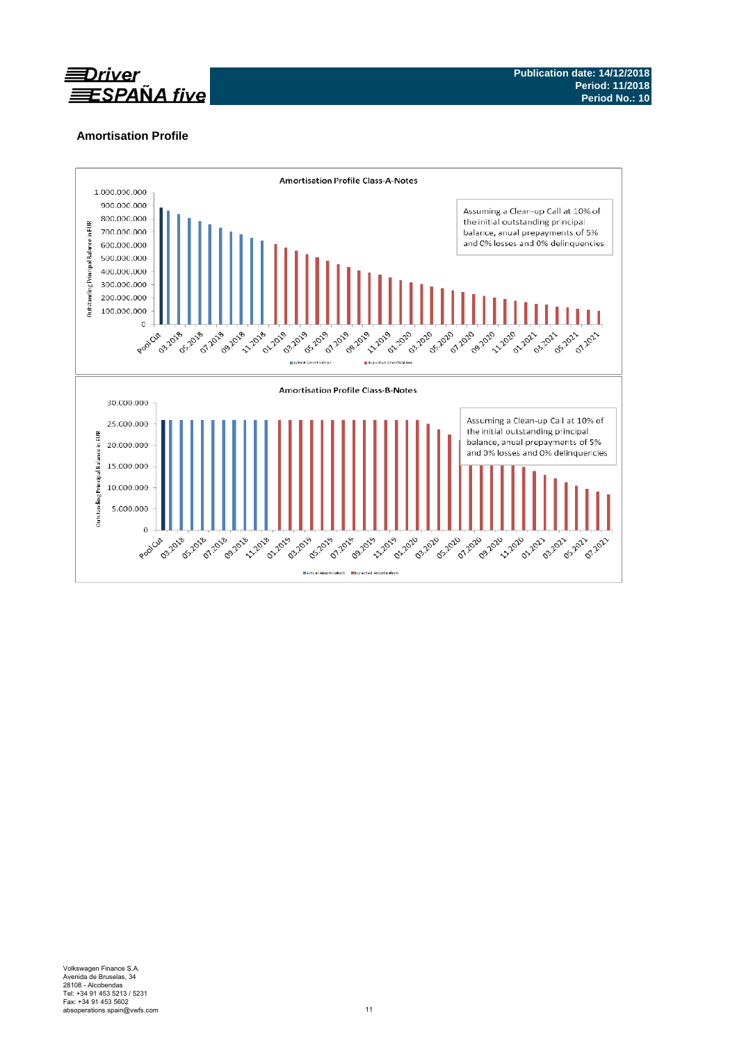

# **Amortisation Profile**

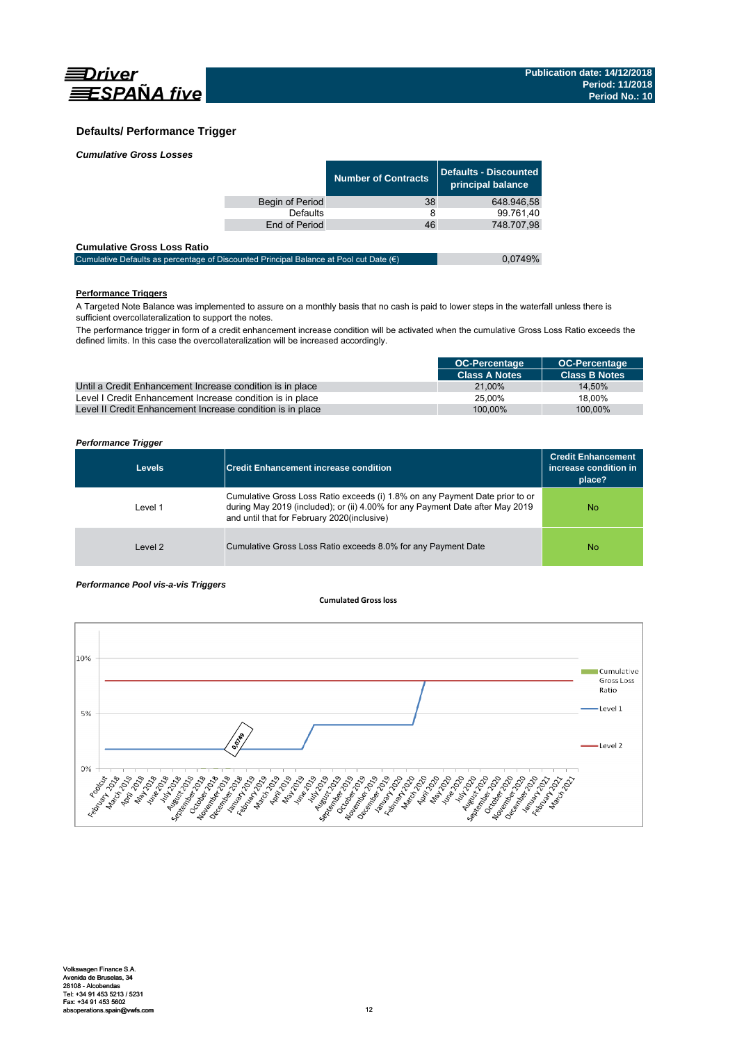

## **Defaults/ Performance Trigger**

| <b>Cumulative Gross Losses</b> |  |
|--------------------------------|--|
|                                |  |

|                 | <b>Number of Contracts</b> | Defaults - Discounted<br>principal balance |
|-----------------|----------------------------|--------------------------------------------|
| Begin of Period | 38                         | 648.946.58                                 |
| Defaults        | 8                          | 99.761,40                                  |
| End of Period   | 46                         | 748.707,98                                 |
|                 |                            |                                            |

#### **Cumulative Gross Loss Ratio**

| Cumulative Defaults as percentage of Discounted Principal Balance at Pool cut Date $(\epsilon)$ | 0.0749% |
|-------------------------------------------------------------------------------------------------|---------|
|                                                                                                 |         |

# **Performance Triggers**

A Targeted Note Balance was implemented to assure on a monthly basis that no cash is paid to lower steps in the waterfall unless there is sufficient overcollateralization to support the notes.

The performance trigger in form of a credit enhancement increase condition will be activated when the cumulative Gross Loss Ratio exceeds the defined limits. In this case the overcollateralization will be increased accordingly.

|                                                            | <b>OC-Percentage</b> | <b>OC-Percentage</b> |
|------------------------------------------------------------|----------------------|----------------------|
|                                                            | <b>Class A Notes</b> | <b>Class B Notes</b> |
| Until a Credit Enhancement Increase condition is in place  | 21.00%               | 14.50%               |
| Level I Credit Enhancement Increase condition is in place  | 25.00%               | 18.00%               |
| Level II Credit Enhancement Increase condition is in place | 100.00%              | 100.00%              |

#### *Performance Trigger*

| <b>Levels</b> | <b>Credit Enhancement increase condition</b>                                                                                                                                                                 | <b>Credit Enhancement</b><br>increase condition in<br>place? |
|---------------|--------------------------------------------------------------------------------------------------------------------------------------------------------------------------------------------------------------|--------------------------------------------------------------|
| Level 1       | Cumulative Gross Loss Ratio exceeds (i) 1.8% on any Payment Date prior to or<br>during May 2019 (included); or (ii) 4.00% for any Payment Date after May 2019<br>and until that for February 2020(inclusive) | No.                                                          |
| Level 2       | Cumulative Gross Loss Ratio exceeds 8.0% for any Payment Date                                                                                                                                                | No.                                                          |

#### *Performance Pool vis-a-vis Triggers*

#### **Cumulated Grossloss**

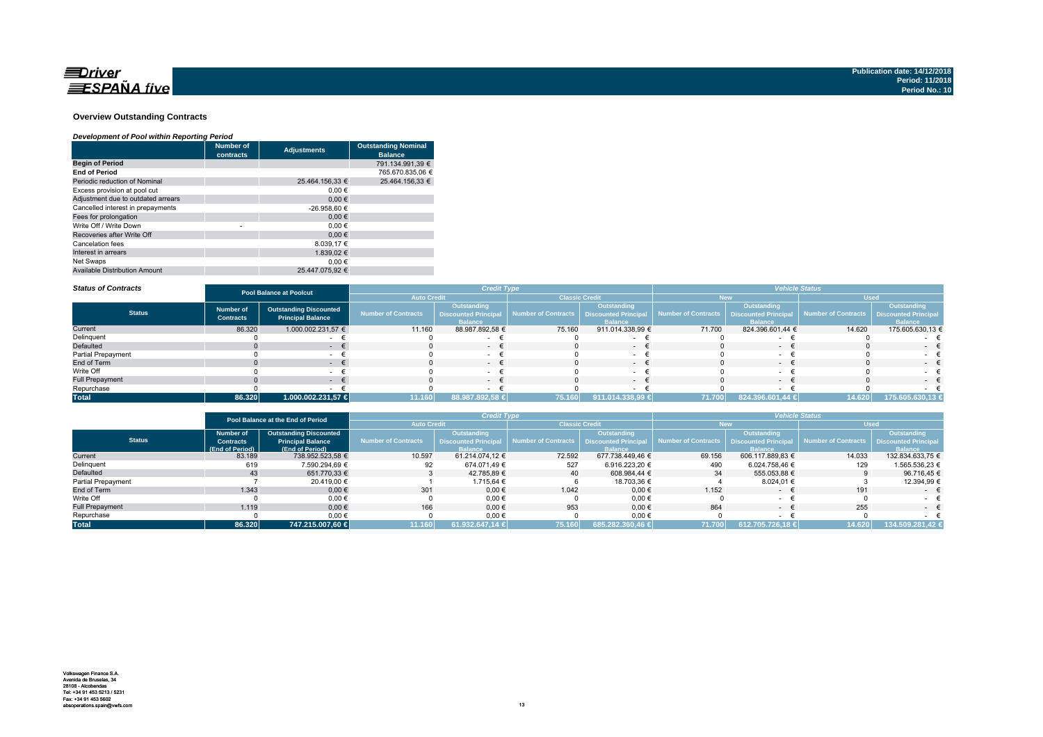

#### **Overview Outstanding Contracts**

#### *Development of Pool within Reporting Period*

|                                      | <b>Number of</b><br>contracts | <b>Adjustments</b> | <b>Outstanding Nominal</b><br><b>Balance</b> |
|--------------------------------------|-------------------------------|--------------------|----------------------------------------------|
| <b>Begin of Period</b>               |                               |                    | 791.134.991.39 €                             |
| <b>End of Period</b>                 |                               |                    | 765.670.835.06 €                             |
| Periodic reduction of Nominal        |                               | 25.464.156.33 €    | 25.464.156.33 €                              |
| Excess provision at pool cut         |                               | 0.00€              |                                              |
| Adjustment due to outdated arrears   |                               | 0.00€              |                                              |
| Cancelled interest in prepayments    |                               | -26.958,60 €       |                                              |
| Fees for prolongation                |                               | 0.00€              |                                              |
| Write Off / Write Down               | ٠                             | 0.00€              |                                              |
| Recoveries after Write Off           |                               | 0.00€              |                                              |
| Cancelation fees                     |                               | 8.039.17 €         |                                              |
| Interest in arrears                  |                               | 1.839.02 €         |                                              |
| Net Swaps                            |                               | 0.00€              |                                              |
| <b>Available Distribution Amount</b> |                               | 25.447.075.92 €    |                                              |

#### *Status of Contracts*

| <b>Status of Contracts</b> | <b>Credit Type</b><br><b>Pool Balance at Poolcut</b> |                                                           |                            | <b>Vehicle Status</b>                                        |                       |                                                             |                            |                                                              |                                          |                               |  |
|----------------------------|------------------------------------------------------|-----------------------------------------------------------|----------------------------|--------------------------------------------------------------|-----------------------|-------------------------------------------------------------|----------------------------|--------------------------------------------------------------|------------------------------------------|-------------------------------|--|
|                            |                                                      |                                                           | <b>Auto Credit</b>         |                                                              | <b>Classic Credit</b> |                                                             |                            |                                                              |                                          | <b>Used</b>                   |  |
| <b>Status</b>              | <b>Number of</b><br><b>Contracts</b>                 | <b>Outstanding Discounted</b><br><b>Principal Balance</b> | <b>Number of Contracts</b> | Outstanding<br><b>Discounted Principal</b><br><b>Balance</b> | Number of Contracts   | Outstanding<br><b>Discounted Principa</b><br><b>Ralance</b> | <b>Number of Contracts</b> | Outstanding<br><b>Discounted Principal</b><br><b>Balance</b> | Number of Contracts Discounted Principal | Outstanding<br><b>Balance</b> |  |
| Current                    | 86.320                                               | 1.000.002.231,57 €                                        | 11.160                     | 88.987.892,58 €                                              | 75.160                | 911.014.338,99 €                                            | 71.700                     | 824.396.601,44 €                                             | 14.620                                   | 175.605.630,13 €              |  |
| Delinquent                 |                                                      |                                                           |                            |                                                              |                       |                                                             |                            |                                                              |                                          |                               |  |
| Defaulted                  |                                                      |                                                           |                            | $-$                                                          |                       | $\sim$                                                      |                            | $-$                                                          |                                          | $ -$                          |  |
| <b>Partial Prepayment</b>  |                                                      |                                                           |                            |                                                              |                       |                                                             |                            |                                                              |                                          |                               |  |
| End of Term                |                                                      | . .                                                       |                            | $-$                                                          |                       | $\sim$                                                      |                            | $-$                                                          |                                          | $-1$                          |  |
| Write Off                  |                                                      |                                                           |                            | $\sim$                                                       |                       |                                                             |                            |                                                              |                                          | $\sim$                        |  |
| <b>Full Prepayment</b>     |                                                      |                                                           |                            | - +                                                          |                       | $\sim$                                                      |                            |                                                              |                                          | $-$                           |  |
| Repurchase                 |                                                      |                                                           |                            |                                                              |                       |                                                             |                            |                                                              |                                          |                               |  |
| <b>Total</b>               | 86.320                                               | 1.000.002.231,57 €                                        | 11.160                     | 88.987.892,58 €                                              | 75.160                | 911.014.338,99 €                                            | 71.700                     | 824.396.601,44 €                                             | 14.620                                   | 175.605.630,13 €              |  |

|                        | Pool Balance at the End of Period |                               | <b>Credit Type</b>  |                                             |                                            | <b>Vehicle Status</b> |                     |                            |                     |                             |
|------------------------|-----------------------------------|-------------------------------|---------------------|---------------------------------------------|--------------------------------------------|-----------------------|---------------------|----------------------------|---------------------|-----------------------------|
|                        |                                   |                               |                     | <b>Auto Credit</b><br><b>Classic Credit</b> |                                            | <b>New</b>            |                     | <b>Used</b>                |                     |                             |
|                        | Number of                         | <b>Outstanding Discounted</b> |                     | <b>Outstanding</b>                          |                                            | Outstanding           |                     | Outstanding                |                     | <b>Outstanding</b>          |
| <b>Status</b>          | <b>Contracts</b>                  | <b>Principal Balance</b>      | Number of Contracts | <b>Discounted Principal</b>                 | Number of Contracts   Discounted Principal |                       | Number of Contracts | <b>Discounted Principa</b> | Number of Contracts | <b>Discounted Principal</b> |
|                        | (End of Period)                   | (End of Period)               |                     | <b>Balance</b>                              |                                            | <b>Balance</b>        |                     | <b>Ralance</b>             |                     | <b>Balance</b>              |
| Current                | 83.189                            | 738.952.523,58 €              | 10.597              | 61.214.074.12 €                             | 72.592                                     | 677.738.449.46 €      | 69.156              | 606.117.889,83 €           | 14.033              | 132.834.633.75 €            |
| Delinquent             | 619                               | 7.590.294.69 €                | 92                  | 674.071.49 €                                | 527                                        | 6.916.223.20 €        | 490                 | 6.024.758.46 €             | 129                 | 1.565.536.23 €              |
| Defaulted              | 43                                | 651.770.33 €                  |                     | 42.785.89 €                                 | 40                                         | 608.984.44 €          | 34                  | 555.053.88 €               |                     | 96.716.45 €                 |
| Partial Prepayment     |                                   | 20.419.00 €                   |                     | 1.715.64 €                                  |                                            | 18.703,36 €           |                     | 8.024.01 €                 |                     | 12.394,99 €                 |
| End of Term            | 1.343                             | $0,00 \in$                    | 301                 | $0.00 \in$                                  | 1.042                                      | 0,00€                 | 1.152               | $\sim$                     | 191                 | $ \epsilon$                 |
| Write Off              |                                   | 0.00€                         |                     | $0,00 \in$                                  |                                            | $0,00$ €              |                     |                            |                     |                             |
| <b>Full Prepayment</b> | 1.119                             | $0.00 \in$                    | 166                 | $0.00 \in$                                  | 953                                        | $0.00 \in$            | 864                 | $\sim$                     | 255                 | $ \in$                      |
| Repurchase             |                                   | $0,00 \in$                    |                     | 0,00€                                       |                                            | $0,00 \in$            |                     |                            |                     |                             |
| <b>Total</b>           | 86.320                            | 747.215.007.60 €              | 11.160              | 61.932.647,14 €                             | 75.160                                     | 685.282.360.46 €      | 71.700              | 612.705.726.18 €           | 14.620              | 134.509.281.42 €            |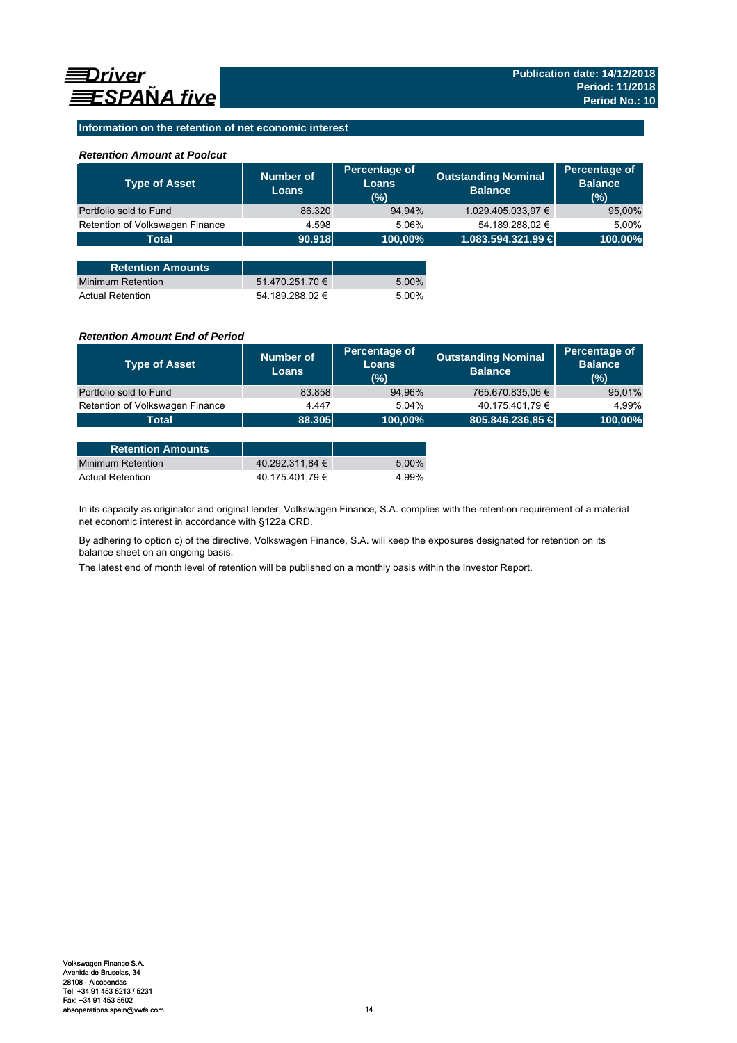## **Information on the retention of net economic interest**

## *Retention Amount at Poolcut*

| <b>Type of Asset</b>            | Number of<br><b>Loans</b> | Percentage of<br>Loans<br>(%) | <b>Outstanding Nominal</b><br><b>Balance</b> | Percentage of<br><b>Balance</b><br>(%) |
|---------------------------------|---------------------------|-------------------------------|----------------------------------------------|----------------------------------------|
| Portfolio sold to Fund          | 86.320                    | 94,94%                        | 1.029.405.033,97 €                           | 95,00%                                 |
| Retention of Volkswagen Finance | 4.598                     | 5,06%                         | 54.189.288,02 €                              | 5,00%                                  |
| <b>Total</b>                    | 90.918                    | 100,00%                       | 1.083.594.321,99 €                           | 100,00%                                |
|                                 |                           |                               |                                              |                                        |
| <b>Retention Amounts</b>        |                           |                               |                                              |                                        |
| <b>Minimum Retention</b>        | 51.470.251,70 €           | 5,00%                         |                                              |                                        |
| <b>Actual Retention</b>         | 54.189.288.02 €           | 5.00%                         |                                              |                                        |

## *Retention Amount End of Period*

| Number of<br><b>Loans</b> | Percentage of<br>Loans<br>$(\%)$ | <b>Outstanding Nominal</b><br><b>Balance</b> | Percentage of<br><b>Balance</b><br>(%) |
|---------------------------|----------------------------------|----------------------------------------------|----------------------------------------|
| 83.858                    | 94,96%                           | 765.670.835,06 €                             | 95,01%                                 |
| 4.447                     | 5.04%                            | 40.175.401,79 €                              | 4.99%                                  |
|                           |                                  |                                              | 100,00%                                |
|                           |                                  | 88.305                                       | 805.846.236,85 €<br>100,00%            |

| <b>Retention Amounts</b> |                 |       |
|--------------------------|-----------------|-------|
| Minimum Retention        | 40.292.311.84 € | 5.00% |
| <b>Actual Retention</b>  | 40.175.401.79 € | 4.99% |

In its capacity as originator and original lender, Volkswagen Finance, S.A. complies with the retention requirement of a material net economic interest in accordance with §122a CRD.

By adhering to option c) of the directive, Volkswagen Finance, S.A. will keep the exposures designated for retention on its balance sheet on an ongoing basis.

The latest end of month level of retention will be published on a monthly basis within the Investor Report.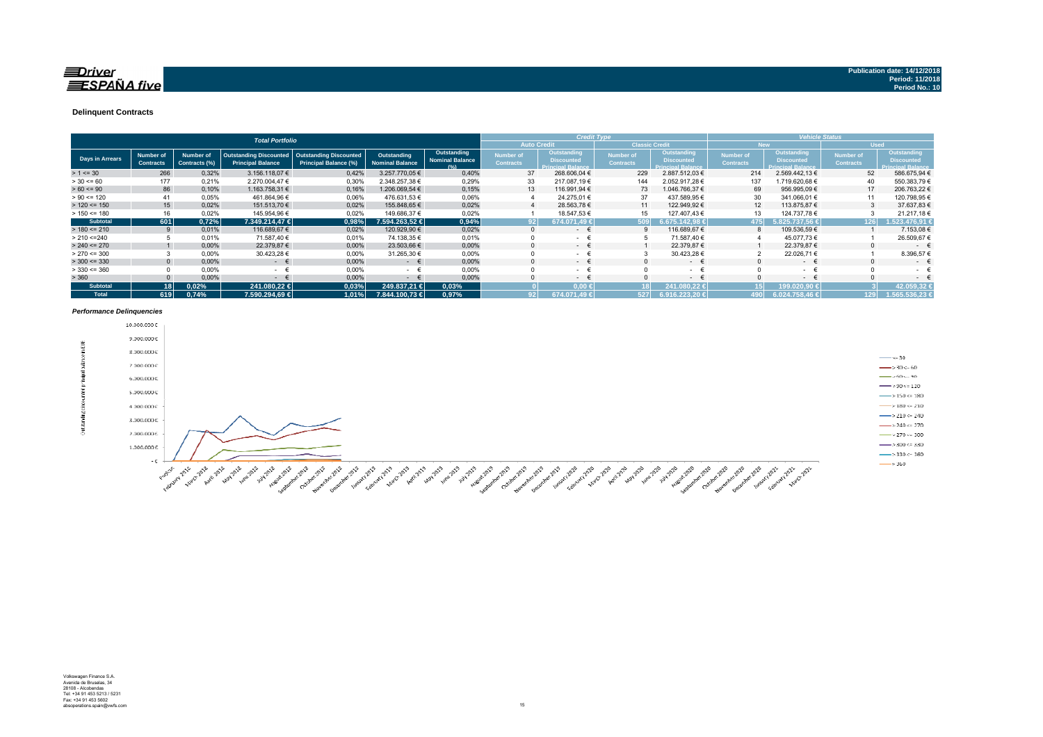#### $\equiv$ Driver  $\equiv$ SPAÑA five

#### **Delinquent Contracts**

|                 |                               |                            | <b>Total Portfolio</b>                                    |                                                               |                                       |                                               | <b>Credit Type</b>            |                                                              |                                      | <b>Vehicle Status</b>                                 |                               |                                                              |                                      |                                                                     |
|-----------------|-------------------------------|----------------------------|-----------------------------------------------------------|---------------------------------------------------------------|---------------------------------------|-----------------------------------------------|-------------------------------|--------------------------------------------------------------|--------------------------------------|-------------------------------------------------------|-------------------------------|--------------------------------------------------------------|--------------------------------------|---------------------------------------------------------------------|
|                 |                               |                            |                                                           |                                                               |                                       |                                               |                               | <b>Auto Credit</b>                                           | <b>Classic Credit</b>                |                                                       |                               | <b>New</b>                                                   | <b>Used</b>                          |                                                                     |
| Days in Arrears | Number of<br><b>Contracts</b> | Number of<br>Contracts (%) | <b>Outstanding Discounted</b><br><b>Principal Balance</b> | <b>Outstanding Discounted</b><br><b>Principal Balance (%)</b> | Outstanding<br><b>Nominal Balance</b> | Outstanding<br><b>Nominal Balance</b><br>10/1 | Number of<br><b>Contracts</b> | Outstanding<br><b>Discounted</b><br><b>Princinal Ralance</b> | <b>Number of</b><br><b>Contracts</b> | Outstanding<br><b>Discounted</b><br>Princinal Ralance | Number of<br><b>Contracts</b> | Outstanding<br><b>Discounted</b><br><b>Princinal Ralance</b> | <b>Number of</b><br><b>Contracts</b> | <b>Outstanding</b><br><b>Discounted</b><br><b>Princinal Balance</b> |
| $> 1 \le 30$    | 266                           | 0,32%                      | 3.156.118.07 €                                            | 0,42%                                                         | 3.257.770.05 €                        | 0,40%                                         | 37                            | 268.606,04 €                                                 | 229                                  | 2.887.512.03 €                                        | 214                           | 2.569.442.13 €                                               | 52                                   | 586.675,94 €                                                        |
| $> 30 \le 60$   | 177                           | 0,21%                      | 2.270.004.47 €                                            | 0,30%                                                         | 2.348.257,38 €                        | 0,29%                                         | 33                            | 217.087,19€                                                  | 144                                  | 2.052.917.28 €                                        | 137                           | 1.719.620,68 €                                               | 40                                   | 550.383,79€                                                         |
| $> 60 \le 90$   | 86                            | 0,10%                      | 1.163.758.31 €                                            | 0.16%                                                         | 1.206.069.54 €                        | 0,15%                                         | 13                            | 116.991.94 €                                                 | 73                                   | 1.046.766.37 €                                        | 69                            | 956.995,09€                                                  | 17                                   | 206.763.22 €                                                        |
| $> 90 \le 120$  | 41                            | 0.05%                      | 461.864,96 €                                              | 0.06%                                                         | 476.631,53 €                          | 0,06%                                         |                               | 24.275,01 €                                                  | 37                                   | 437.589,95 €                                          | 30                            | 341.066,01 €                                                 | 11                                   | 120.798,95 €                                                        |
| $> 120 \le 150$ | 15                            | 0.02%                      | 151.513,70 €                                              | 0.02%                                                         | 155.848.65 €                          | 0,02%                                         |                               | 28.563,78 €                                                  | 11                                   | 122.949,92 €                                          | 12                            | 113.875,87 €                                                 |                                      | 37.637,83 €                                                         |
| $> 150 \le 180$ | 16                            | 0.02%                      | 145.954,96 €                                              | 0,02%                                                         | 149.686,37 €                          | 0,02%                                         |                               | 18.547,53 €                                                  | 15                                   | 127.407.43 €                                          |                               | 124.737.78 €                                                 |                                      | 21.217,18€                                                          |
| <b>Subtotal</b> | 601                           | 0,72%                      | 7.349.214.47 €                                            | 0.98%                                                         | 7.594.263.52 €                        | 0,94%                                         | 92 <sub>1</sub>               | 674.071.49 €                                                 | 509 <sup>1</sup>                     | 675.142.98                                            | 475                           | 6.825.737.56 €                                               | 126                                  | 1.523.476.91 €                                                      |
| $> 180 \le 210$ |                               | 0,01%                      | 116.689,67 €                                              | 0,02%                                                         | 120.929.90 €                          | 0.02%                                         | $\Omega$                      | $\sim$ 100 $\mu$                                             |                                      | 116.689,67 €                                          | 8                             | 109.536,59 €                                                 |                                      | 7.153,08 €                                                          |
| > 210 < 240     |                               | 0.01%                      | 71.587.40 €                                               | 0.01%                                                         | 74.138,35 €                           | 0.01%                                         |                               | $\sim$                                                       |                                      | 71.587.40 €                                           |                               | 45.077.73 €                                                  |                                      | 26.509,67€                                                          |
| $> 240 \le 270$ |                               | 0,00%                      | 22.379,87 €                                               | 0,00%                                                         | 23.503,66 €                           | 0,00%                                         |                               | $\sim$ 100 $\mu$                                             |                                      | 22.379,87 €                                           |                               | 22.379,87 €                                                  | $\Omega$                             | $\sim$                                                              |
| $> 270 \le 300$ |                               | 0.00%                      | 30.423,28 €                                               | 0.00%                                                         | 31.265,30 €                           | 0,00%                                         |                               | $\sim$                                                       |                                      | 30.423,28 €                                           |                               | 22.026,71 €                                                  |                                      | 8.396,57                                                            |
| $>$ 300 <= 330  | $\Omega$                      | 0.00%                      | $ \epsilon$                                               | 0,00%                                                         | $ \epsilon$                           | 0,00%                                         |                               | - +                                                          |                                      | $ \epsilon$                                           |                               | $ \epsilon$                                                  | $\Omega$                             | $\sim$                                                              |
| $> 330 \le 360$ |                               | 0,00%                      | <b>Service</b>                                            | 0,00%                                                         | $ -$                                  | 0,00%                                         |                               | $\sim$ 10 $\pm$                                              |                                      | <b>Service</b>                                        |                               | $ \epsilon$                                                  |                                      | $\sim$                                                              |
| > 360           |                               | 0,00%                      | $\sim$                                                    | 0,00%                                                         | $\sim$                                | 0,00%                                         |                               | $\sim$ 100 $\mu$                                             |                                      | $ \epsilon$                                           |                               | $ \epsilon$                                                  |                                      | $\sim$                                                              |
| <b>Subtotal</b> | 18 <sup>1</sup>               | 0.02%                      | 241.080.22 €                                              | 0,03%                                                         | 249.837.21 €                          | 0,03%                                         |                               | $0.00 \leftarrow$                                            |                                      | 241.080,22 €                                          |                               | (99.020,90 €                                                 |                                      | 42.059.32                                                           |
| <b>Total</b>    | 619                           | 0.74%                      | 7.590.294.69 €                                            | 1.01%                                                         | 7.844.100.73 €                        | 0.97%                                         | 92 <sub>1</sub>               | 674.071.49 €                                                 | 527                                  | 6.916.223.20 €                                        | 190 l                         | 6.024.758,46                                                 | 129                                  | 1.565.536.23 €                                                      |

#### *Performance Delinquencies*

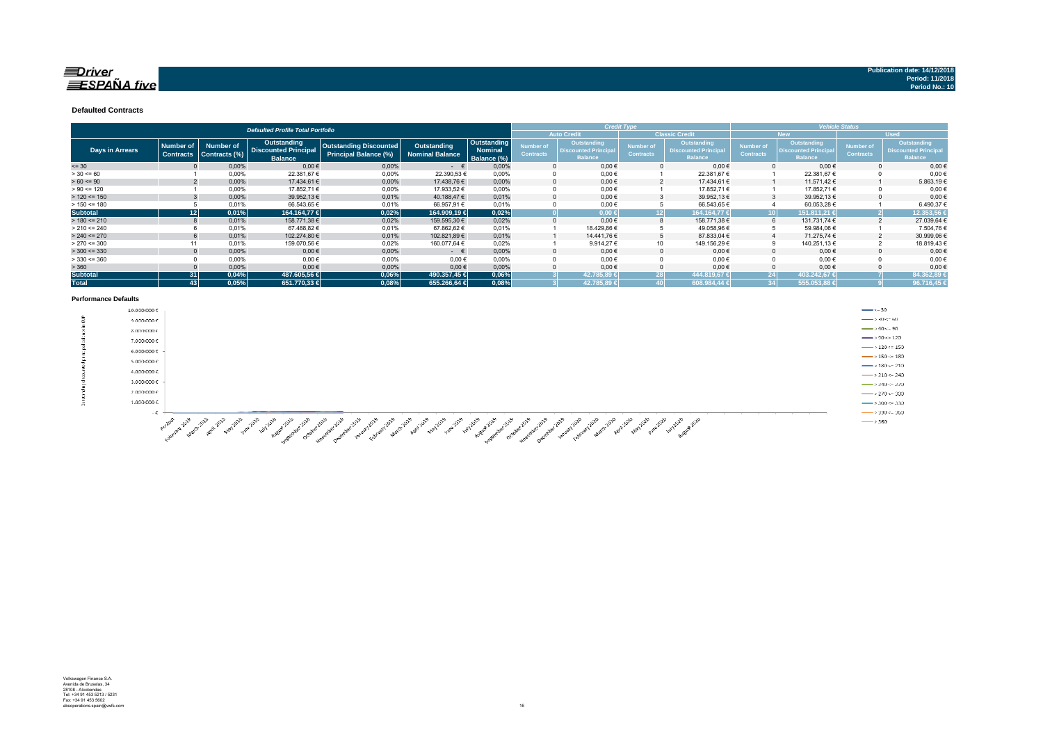#### $\equiv$ Driver  $\equiv$ SPAÑA five

#### **Defaulted Contracts**

|                 |                                      |                                   | <b>Defaulted Profile Total Portfolio</b>                            |                                                        |                                       |                                       |                               |                                                                    | <b>Credit Type</b>            |                                                              |                                      |                                                                    | <b>Vehicle Status</b>                |                                                                     |
|-----------------|--------------------------------------|-----------------------------------|---------------------------------------------------------------------|--------------------------------------------------------|---------------------------------------|---------------------------------------|-------------------------------|--------------------------------------------------------------------|-------------------------------|--------------------------------------------------------------|--------------------------------------|--------------------------------------------------------------------|--------------------------------------|---------------------------------------------------------------------|
|                 |                                      |                                   |                                                                     |                                                        |                                       |                                       |                               | <b>Auto Credit</b>                                                 |                               | <b>Classic Credit</b>                                        |                                      | <b>New</b>                                                         |                                      | <b>Used</b>                                                         |
| Days in Arrears | <b>Number of</b><br><b>Contracts</b> | <b>Number of</b><br>Contracts (%) | <b>Outstanding</b><br><b>Discounted Principal</b><br><b>Balance</b> | <b>Outstanding Discounted</b><br>Principal Balance (%) | Outstanding<br><b>Nominal Balance</b> | Outstanding<br>Nominal<br>Balance (%) | Number of<br><b>Contracts</b> | <b>Outstanding</b><br><b>Discounted Principa</b><br><b>Balance</b> | Number of<br><b>Contracts</b> | Outstanding<br><b>Discounted Principal</b><br><b>Balance</b> | <b>Number of</b><br><b>Contracts</b> | <b>Outstanding</b><br><b>Discounted Principa</b><br><b>Balance</b> | <b>Number of</b><br><b>Contracts</b> | <b>Outstanding</b><br><b>Discounted Principal</b><br><b>Balance</b> |
| $= 30$          |                                      | 0,00%                             | $0,00$ €                                                            | 0.00%                                                  | $ \epsilon$                           | 0,00%                                 |                               | $0.00 \in$                                                         |                               | $0,00 \in$                                                   |                                      | $0,00 \in$                                                         |                                      | $0.00 \in$                                                          |
| $> 30 \le 60$   |                                      | 0,00%                             | 22.381,67 €                                                         | 0,00%                                                  | 22.390,53€                            | 0.00%                                 |                               | $0,00 \in$                                                         |                               | 22.381,67 €                                                  |                                      | 22.381,67€                                                         |                                      | $0,00$ €                                                            |
| $> 60 \le 90$   |                                      | 0,00%                             | 17.434,61 €                                                         | 0.00%                                                  | 17.438.76 €                           | 0.00%                                 |                               | $0.00 \in$                                                         |                               | 17.434.61 €                                                  |                                      | 11.571.42 €                                                        |                                      | 5.863,19€                                                           |
| $> 90 \le 120$  |                                      | 0,00%                             | 17.852,71 €                                                         | 0,00%                                                  | 17.933,52 €                           | 0.00%                                 |                               | $0,00 \in$                                                         |                               | 17.852,71 €                                                  |                                      | 17.852,71 €                                                        |                                      | $0,00 \in$                                                          |
| $> 120 \le 150$ |                                      | 0,00%                             | 39.952,13 €                                                         | 0,01%                                                  | 40.188,47€                            | 0.01%                                 |                               | $0.00 \in$                                                         |                               | 39.952,13 €                                                  |                                      | 39.952,13€                                                         |                                      | $0.00 \in$                                                          |
| $> 150 \le 180$ |                                      | 0,01%                             | 66.543,65€                                                          | 0.01%                                                  | 66.957,91 €                           | 0,01%                                 |                               | $0,00 \in$                                                         |                               | 66.543,65 €                                                  |                                      | 60.053,28€                                                         |                                      | 6.490,37€                                                           |
| <b>Subtotal</b> | 12                                   | 0,01%                             | 164.164.77 €                                                        | 0,02%                                                  | 164.909.19 €                          | 0,02%                                 |                               | $0.00 \in$                                                         | 12                            | 164.164.77€                                                  |                                      | 151.811.21 €                                                       |                                      | 12.353,56                                                           |
| $> 180 \le 210$ |                                      | 0.01%                             | 158.771,38 €                                                        | 0,02%                                                  | 159.595,30 €                          | 0.02%                                 |                               | $0.00 \in$                                                         | 8                             | 158.771,38 €                                                 |                                      | 131.731,74 €                                                       |                                      | 27.039,64 €                                                         |
| $> 210 \le 240$ |                                      | 0,01%                             | 67.488,82 €                                                         | 0,01%                                                  | 67.862,62 €                           | 0,01%                                 |                               | 18.429,86 €                                                        |                               | 49.058,96€                                                   |                                      | 59.984,06€                                                         |                                      | 7.504,76€                                                           |
| $> 240 \le 270$ |                                      | 0.01%                             | 102.274,80 €                                                        | 0,01%                                                  | 102.821,89 €                          | 0.01%                                 |                               | 14.441.76 €                                                        | 5                             | 87.833,04 €                                                  |                                      | 71.275,74 €                                                        |                                      | 30.999,06€                                                          |
| $> 270 \le 300$ | 11                                   | 0.01%                             | 159.070,56 €                                                        | 0,02%                                                  | 160.077,64 €                          | 0.02%                                 |                               | 9.914,27 €                                                         | 10                            | 149.156,29 €                                                 |                                      | 140.251,13 €                                                       |                                      | 18.819,43€                                                          |
| $>$ 300 <= 330  |                                      | 0,00%                             | $0,00 \in$                                                          | 0,00%                                                  | $ \epsilon$                           | 0,00%                                 |                               | $0.00 \in$                                                         | $\Omega$                      | $0,00 \in$                                                   |                                      | $0,00 \in$                                                         |                                      | $0,00 \in$                                                          |
| $>$ 330 <= 360  |                                      | 0,00%                             | $0,00$ €                                                            | 0,00%                                                  | 0,00€                                 | 0.00%                                 |                               | $0,00 \in$                                                         |                               | $0.00 \in$                                                   |                                      | $0.00 \in$                                                         |                                      | $0,00$ €                                                            |
| > 360           |                                      | 0,00%                             | $0,00 \in$                                                          | 0,00%                                                  | 0,00€                                 | 0,00%                                 |                               | $0.00 \in$                                                         |                               | $0,00 \in$                                                   |                                      | $0,00 \in$                                                         |                                      | $0,00$ €                                                            |
| <b>Subtotal</b> | 31 <sup>1</sup>                      | 0,04%                             | 487.605.56 €                                                        | 0,06%                                                  | 490.357.45 €                          | 0,06%                                 |                               | 42.785.89 €                                                        |                               | 444.819,67 €                                                 |                                      | 403.242.67 €                                                       |                                      | 84.362,89                                                           |
| <b>Total</b>    | 43 <sup>1</sup>                      | 0.05%                             | 651.770.33 €                                                        | 0,08%                                                  | 655.266,64 €                          | 0,08%                                 |                               | 42.785,89 €                                                        |                               | 608.984,44 €                                                 |                                      | 555.053,88                                                         |                                      | 96.716,45                                                           |

#### **Performance Defaults**

|    | 10.000.000€                                                                                                                                                                                                                                | $\longrightarrow$ <= 30              |
|----|--------------------------------------------------------------------------------------------------------------------------------------------------------------------------------------------------------------------------------------------|--------------------------------------|
| ã  | 9.000.0006                                                                                                                                                                                                                                 | $\longrightarrow$ 30 $\leftarrow$ 60 |
|    | 0.0000000                                                                                                                                                                                                                                  | $\longrightarrow 60 - 90$            |
|    | 7.000.000€                                                                                                                                                                                                                                 | $\longrightarrow$ 90 < 120           |
|    | $6.000.000 \, C$                                                                                                                                                                                                                           | $\longrightarrow$ 120 <= 150         |
|    |                                                                                                                                                                                                                                            | $\longrightarrow 150 = 180$          |
|    | 5.000.000€                                                                                                                                                                                                                                 | $ \times$ 180 $\sim$ 210             |
|    | 4.000.000€                                                                                                                                                                                                                                 | $\longrightarrow$ 210 <= 240         |
|    | 3.000.000€                                                                                                                                                                                                                                 | $\longrightarrow 240 = 270$          |
|    | 2.000.000€                                                                                                                                                                                                                                 | $\longrightarrow 270 = 300$          |
| O. | $1.000.000 \in$                                                                                                                                                                                                                            | $\longrightarrow$ 300 <= 330         |
|    | $-$ C.                                                                                                                                                                                                                                     | $-$ > 330 <= 360                     |
|    | - 23<br>on on on on on<br>- 82<br>$q_{\rm in}$<br>- 2<br>-8<br>-8<br>- 22<br>- 83<br>- 2<br>- 8<br>-48<br>- 8<br>- 8<br>$\sigma_{\rm th}$<br>- 20 - 20 - 20 - 20<br>- 22<br>-8<br>- 33<br>- 32<br>- 32<br>- 5<br>- 2<br>- 22<br>- 30<br>-8 | $\longrightarrow$ 360                |

And a compact of the compact of the compact of the compact of the compact of the compact of the compact of the compact of the compact of the compact of the compact of the compact of the compact of the compact of the compac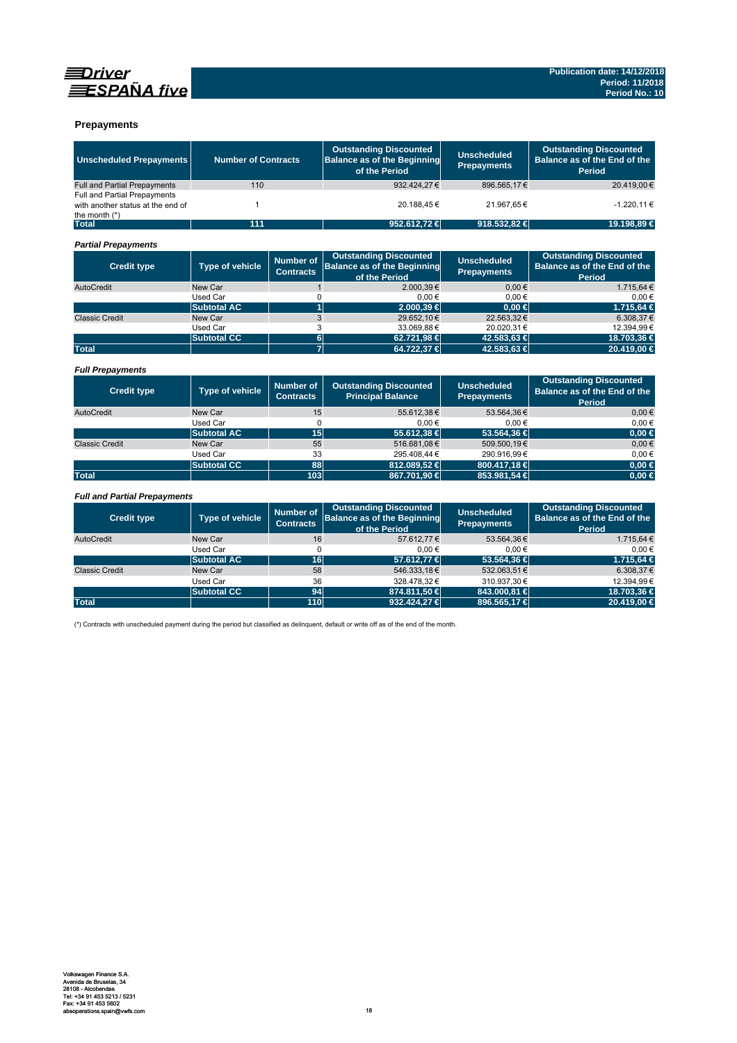



## **Prepayments**

| <b>Unscheduled Prepayments</b>                                                       | <b>Number of Contracts</b> |                                      | <b>Outstanding Discounted</b><br><b>Balance as of the Beginning</b><br>of the Period | <b>Unscheduled</b><br><b>Prepayments</b> | <b>Outstanding Discounted</b><br>Balance as of the End of the<br><b>Period</b> |
|--------------------------------------------------------------------------------------|----------------------------|--------------------------------------|--------------------------------------------------------------------------------------|------------------------------------------|--------------------------------------------------------------------------------|
| <b>Full and Partial Prepayments</b>                                                  | 110                        |                                      | 932.424.27 €                                                                         | 896.565,17€                              | 20.419.00€                                                                     |
| Full and Partial Prepayments<br>with another status at the end of<br>the month $(*)$ | $\mathbf{1}$               |                                      | 20.188,45€                                                                           | 21.967,65€                               | -1.220,11€                                                                     |
| <b>Total</b>                                                                         | 111                        |                                      | 952.612,72 €                                                                         | 918.532,82 €                             | 19.198,89 €                                                                    |
| <b>Partial Prepayments</b>                                                           |                            |                                      |                                                                                      |                                          |                                                                                |
| <b>Credit type</b>                                                                   | <b>Type of vehicle</b>     | <b>Number of</b><br><b>Contracts</b> | <b>Outstanding Discounted</b><br><b>Balance as of the Beginning</b><br>of the Period | <b>Unscheduled</b><br><b>Prepayments</b> | <b>Outstanding Discounted</b><br>Balance as of the End of the<br><b>Period</b> |
| AutoCredit                                                                           | New Car                    | $\mathbf{1}$                         | 2.000.39€                                                                            | 0.00€                                    | 1.715.64 €                                                                     |
|                                                                                      | <b>Used Car</b>            | 0                                    | 0.00€                                                                                | 0.00€                                    | 0.00€                                                                          |
|                                                                                      | <b>Subtotal AC</b>         | $\overline{1}$                       | 2.000.39 €                                                                           | $0.00 \in$                               | 1.715.64 €                                                                     |
| <b>Classic Credit</b>                                                                | New Car                    | 3                                    | 29.652,10€                                                                           | 22.563,32€                               | 6.308,37€                                                                      |
|                                                                                      | <b>Used Car</b>            | 3                                    | 33.069,88€                                                                           | 20.020,31€                               | 12.394,99€                                                                     |
|                                                                                      | <b>Subtotal CC</b>         | $6\phantom{1}$                       | 62.721,98 €                                                                          | 42.583,63 €                              | 18.703,36 €                                                                    |
| <b>Total</b>                                                                         |                            | $\overline{7}$                       | 64.722,37 €                                                                          | 42.583,63 €                              | 20.419,00 €                                                                    |
| <b>Full Prepayments</b>                                                              |                            |                                      |                                                                                      |                                          |                                                                                |
| <b>Credit type</b>                                                                   | Type of vehicle            | <b>Number of</b><br><b>Contracts</b> | <b>Outstanding Discounted</b><br><b>Principal Balance</b>                            | <b>Unscheduled</b><br><b>Prepayments</b> | <b>Outstanding Discounted</b><br>Balance as of the End of the<br><b>Period</b> |
| AutoCredit                                                                           | New Car                    | 15                                   | 55.612.38€                                                                           | 53.564.36€                               | 0.00€                                                                          |
|                                                                                      | Used Car                   | $\Omega$                             | 0.00€                                                                                | 0.00€                                    | 0.00€                                                                          |
|                                                                                      | <b>Subtotal AC</b>         | 15                                   | 55.612,38 €                                                                          | 53,564,36 €                              | $0,00 \in$                                                                     |
| <b>Classic Credit</b>                                                                | New Car                    | 55                                   | 516.681,08€                                                                          | 509.500,19€                              | $0,00 \in$                                                                     |
|                                                                                      | <b>Used Car</b>            | 33                                   | 295.408,44 €                                                                         | 290.916,99€                              | $0,00 \in$                                                                     |
|                                                                                      | <b>Subtotal CC</b>         | 88                                   | 812.089,52 €                                                                         | 800.417,18 €                             | $0,00$ €                                                                       |
| <b>Total</b>                                                                         |                            | 103                                  | 867.701,90 €                                                                         | 853.981,54 €                             | $0,00 \in$                                                                     |
| <b>Full and Partial Prepayments</b>                                                  |                            |                                      |                                                                                      |                                          |                                                                                |
| <b>Credit type</b>                                                                   | <b>Type of vehicle</b>     | <b>Number of</b><br><b>Contracts</b> | <b>Outstanding Discounted</b><br><b>Balance as of the Beginning</b><br>of the Period | <b>Unscheduled</b><br><b>Prepayments</b> | <b>Outstanding Discounted</b><br>Balance as of the End of the<br><b>Period</b> |
| AutoCredit                                                                           | New Car                    | 16                                   | 57.612,77€                                                                           | 53.564,36€                               | 1.715,64 €                                                                     |
|                                                                                      | <b>Used Car</b>            | $\Omega$                             | $0,00 \in$                                                                           | 0,00€                                    | $0,00 \in$                                                                     |
|                                                                                      | <b>Subtotal AC</b>         | 16                                   | 57.612,77 €                                                                          | 53.564,36 €                              | 1.715,64 €                                                                     |
| <b>Classic Credit</b>                                                                | New Car                    | 58                                   | 546.333,18€                                                                          | 532.063,51€                              | 6.308,37€                                                                      |
|                                                                                      | <b>Used Car</b>            | 36                                   | 328.478.32€                                                                          | 310.937.30€                              | 12.394.99€                                                                     |
|                                                                                      | <b>Subtotal CC</b>         | 94                                   | 874.811,50 €                                                                         | 843.000,81 €                             | 18.703,36 €                                                                    |
| <b>Total</b>                                                                         |                            | 110                                  | 932.424,27 €                                                                         | 896.565,17€                              | 20.419,00 €                                                                    |

(\*) Contracts with unscheduled payment during the period but classified as delinquent, default or write off as of the end of the month.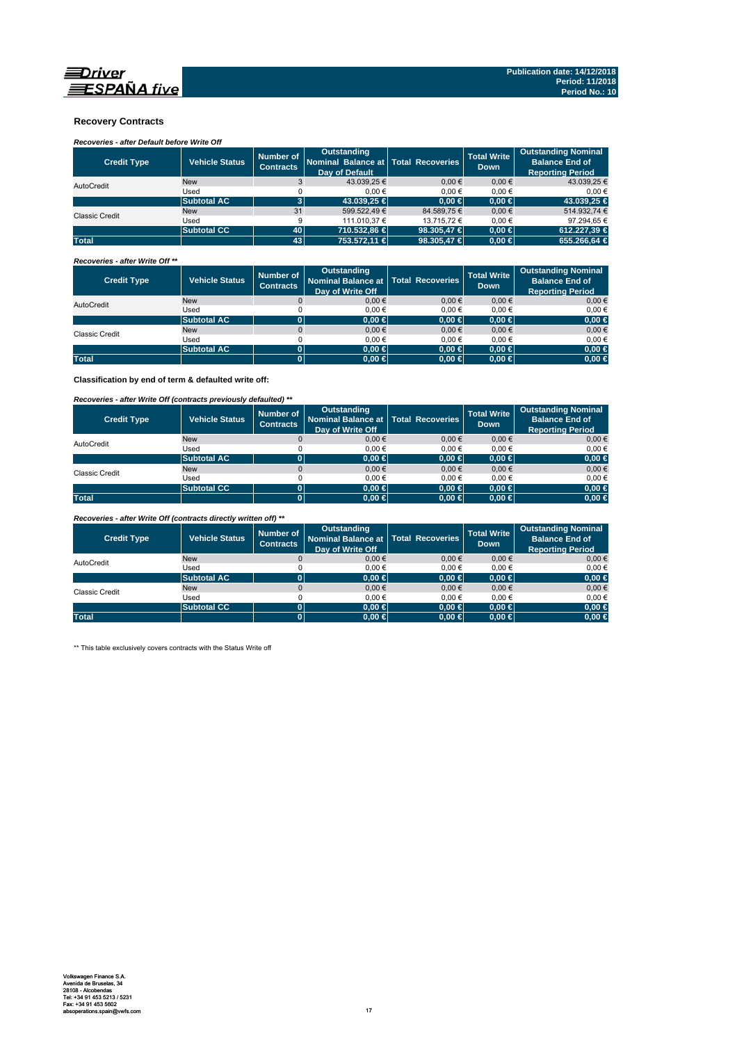

### **Recovery Contracts**

*Recoveries - after Default before Write Off* 

| <b>Credit Type</b>    | <b>Vehicle Status</b> | Number of<br><b>Contracts</b> | Outstanding<br>Nominal Balance at   Total Recoveries<br>Day of Default |             | <b>Total Write</b><br><b>Down</b> | <b>Outstanding Nominal</b><br><b>Balance End of</b><br><b>Reporting Period</b> |
|-----------------------|-----------------------|-------------------------------|------------------------------------------------------------------------|-------------|-----------------------------------|--------------------------------------------------------------------------------|
| AutoCredit            | <b>New</b>            |                               | 43.039.25 €                                                            | $0.00 \in$  | $0.00 \in$                        | 43.039.25 €                                                                    |
|                       | Used                  |                               | 0.00€                                                                  | 0.00€       | 0.00€                             | 0.00€                                                                          |
|                       | <b>Subtotal AC</b>    |                               | 43,039.25 €                                                            | $0.00 \in$  | $0.00 \in$                        | 43.039,25 €                                                                    |
| <b>Classic Credit</b> | <b>New</b>            | 31                            | 599.522.49 €                                                           | 84.589.75 € | $0.00 \in$                        | 514.932.74 €                                                                   |
|                       | Used                  | 9                             | 111.010.37 €                                                           | 13.715.72 € | 0.00€                             | 97.294.65 €                                                                    |
|                       | <b>Subtotal CC</b>    | 40                            | 710.532.86 €                                                           | 98,305,47 € | $0.00 \in$                        | 612.227.39 €                                                                   |
| <b>Total</b>          |                       | 43                            | 753,572.11 €                                                           | 98.305,47 € | $0.00 \in$                        | 655,266,64 €                                                                   |

*Recoveries - after Write Off \*\**

| <b>Credit Type</b> | <b>Vehicle Status</b> | Number of<br><b>Contracts</b> | <b>Outstanding</b><br>Nominal Balance at   Total Recoveries<br>Day of Write Off |            | <b>Total Write</b><br><b>Down</b> | <b>Outstanding Nominal</b><br><b>Balance End of</b><br><b>Reporting Period</b> |
|--------------------|-----------------------|-------------------------------|---------------------------------------------------------------------------------|------------|-----------------------------------|--------------------------------------------------------------------------------|
| AutoCredit         | <b>New</b>            |                               | $0,00 \in$                                                                      | $0.00 \in$ | $0,00 \in$                        | $0,00 \in$                                                                     |
|                    | Used                  |                               | 0.00€                                                                           | 0.00€      | 0.00€                             | 0,00€                                                                          |
|                    | <b>Subtotal AC</b>    |                               | $0.00 \in$                                                                      | $0,00 \in$ | $0.00 \in$                        | $0,00 \in$                                                                     |
| Classic Credit     | <b>New</b>            |                               | $0,00 \in$                                                                      | $0.00 \in$ | $0,00 \in$                        | $0,00 \in$                                                                     |
|                    | Used                  |                               | 0.00€                                                                           | 0.00€      | 0.00€                             | 0,00€                                                                          |
|                    | <b>Subtotal AC</b>    | 01                            | 0.00 ∈                                                                          | $0,00 \in$ | $0.00 \in$                        | $0,00 \in$                                                                     |
| <b>Total</b>       |                       |                               | $0.00 \in$                                                                      | $0,00 \in$ | $0.00 \in$                        | $0,00 \in$                                                                     |

**Classification by end of term & defaulted write off:**

*Recoveries - after Write Off (contracts previously defaulted) \*\**

| <b>Credit Type</b> | <b>Vehicle Status</b> | Number of<br><b>Contracts</b> | <b>Outstanding</b><br>Nominal Balance at   Total Recoveries<br>Day of Write Off |            | <b>Total Write</b><br><b>Down</b> | <b>Outstanding Nominal</b><br><b>Balance End of</b><br><b>Reporting Period</b> |
|--------------------|-----------------------|-------------------------------|---------------------------------------------------------------------------------|------------|-----------------------------------|--------------------------------------------------------------------------------|
| AutoCredit         | <b>New</b>            |                               | 0.00€                                                                           | $0.00 \in$ | 0.00€                             | $0,00 \in$                                                                     |
|                    | Used                  |                               | 0.00€                                                                           | 0.00€      | 0.00€                             | $0.00 \in$                                                                     |
|                    | <b>Subtotal AC</b>    |                               | $0.00 \in$                                                                      | $0,00 \in$ | $0.00 \in$                        | $0,00 \in$                                                                     |
| Classic Credit     | <b>New</b>            |                               | 0.00€                                                                           | 0.00€      | 0.00€                             | $0,00 \in$                                                                     |
|                    | Used                  |                               | 0.00€                                                                           | 0.00€      | 0.00€                             | $0.00 \in$                                                                     |
|                    | <b>Subtotal CC</b>    |                               | 0.00 ∈                                                                          | $0,00 \in$ | $0.00 \in$                        | $0,00 \in$                                                                     |
| <b>Total</b>       |                       |                               | $0,00 \in$                                                                      | $0,00 \in$ | $0.00 \in$                        | $0,00 \in$                                                                     |

*Recoveries - after Write Off (contracts directly written off) \*\**

| <b>Credit Type</b> | <b>Vehicle Status</b> | Number of<br><b>Contracts</b> | <b>Outstanding</b><br>Nominal Balance at   Total Recoveries<br>Day of Write Off |            | <b>Total Write</b><br><b>Down</b> | <b>Outstanding Nominal</b><br><b>Balance End of</b><br><b>Reporting Period</b> |
|--------------------|-----------------------|-------------------------------|---------------------------------------------------------------------------------|------------|-----------------------------------|--------------------------------------------------------------------------------|
| AutoCredit         | <b>New</b>            |                               | 0.00€                                                                           | 0.00€      | 0.00€                             | $0.00 \in$                                                                     |
|                    | Used                  |                               | 0.00€                                                                           | $0.00 \in$ | 0.00€                             | $0.00 \in$                                                                     |
|                    | <b>Subtotal AC</b>    | ומ                            | $0.00 \in$                                                                      | $0,00 \in$ | $0.00 \in$                        | $0,00 \in$                                                                     |
| Classic Credit     | <b>New</b>            |                               | 0.00€                                                                           | 0.00€      | 0.00€                             | $0,00 \in$                                                                     |
|                    | Used                  |                               | 0.00€                                                                           | 0.00€      | 0.00€                             | 0,00€                                                                          |
|                    | <b>Subtotal CC</b>    |                               | $0.00 \in$                                                                      | $0.00 \in$ | $0.00 \in$                        | $0,00 \in$                                                                     |
| <b>Total</b>       |                       | ი.                            | $0.00 \in$                                                                      | $0,00 \in$ | $0.00 \in$                        | $0,00 \in$                                                                     |

\*\* This table exclusively covers contracts with the Status Write off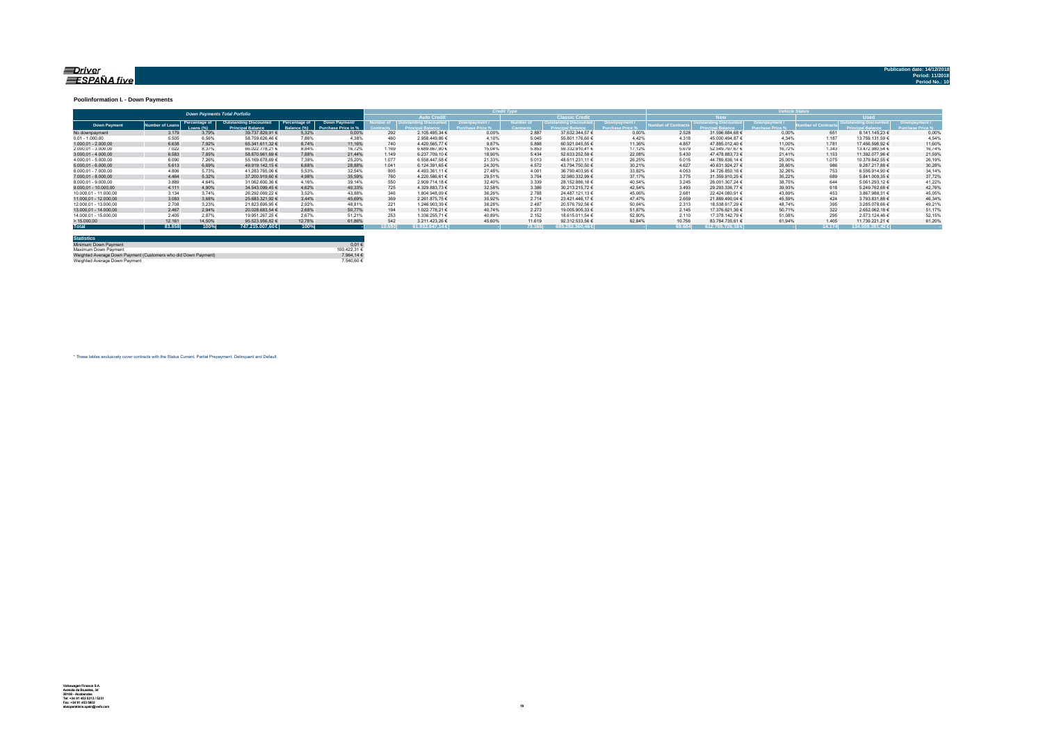#### <u>=Driver</u> ESPAÑA five

#### **Poolinformation I. - Down Payments**

|                       | <b>Down Payments Total Porfolio</b> |                            |                                                           |               |                                             |        |                                   |        | ______           |                        |        |                 |                                 |        |        |                  |        |
|-----------------------|-------------------------------------|----------------------------|-----------------------------------------------------------|---------------|---------------------------------------------|--------|-----------------------------------|--------|------------------|------------------------|--------|-----------------|---------------------------------|--------|--------|------------------|--------|
|                       |                                     |                            |                                                           |               |                                             |        | <b>Auto Credit</b>                |        |                  | <b>Classic Credita</b> |        |                 | <b>RW</b>                       |        |        | <b>Head</b>      |        |
| <b>Down Payment</b>   | umber of Loan                       | Percentage of<br>Loang (%) | <b>Outstanding Discounted</b><br><b>Princingl Relance</b> | Percentage of | Down Payment/<br><b>Purchase Price in %</b> |        | umber of   Outstanding Discounted |        | <b>Jumber</b> of | Outstanding Discounted |        | mber of Contrac | <b>Outstanding Discounted L</b> |        |        |                  |        |
| No downpayment        | 3.179                               | 3.79%                      | 39.737.829.91 €                                           | 5.32%         | 0.00%                                       | 292    | 2.105.485.34 €                    | 0.00%  | 2.887            | 37.632.344.57 €        | 0.00%  | 2.528           | 31.596.684.68 €                 | 0.00%  | 651    | 8.141.145.23 €   | 0.00%  |
| $0.01 - 1.000.00$     | 5.505                               | 6.56%                      | 58.759.626.46 €                                           | 7.86%         | 4.38%                                       | 460    | 2.958.449.86 €                    | 4.10%  | 5.045            | 55.801.176.60 €        | 4.42%  | 4.318           | 45.000.494.87 €                 | 4.34%  | 1.187  | 13.759.131.59 €  | 4.54%  |
| $1.000.01 - 2.000.00$ | 6.638                               | 7.92%                      | 65.341.611.32 €                                           | 8.74%         | 11.16%                                      | 740    | 4.420.565.77 €                    | 9.87%  | 5.898            | 60.921.045.55 €        | 11.36% | 4.857           | 47.885.012.40 €                 | 11.00% | 1.781  | 17.456.598.92 €  | 11.60% |
| 2.000.01 - 3.000.00   | 7.022                               | 8.37%                      | 66.022.778.21 €                                           | 8.84%         | 16.72%                                      | 1.169  | 6.689.867.80 €                    | 15.04% | 5.853            | 59.332.910.41 €        | 17.12% | 5.679           | 52.549.797.67 €                 | 16.72% | 1.343  | 13.472.980.54 €  | 16.74% |
| $3.000.01 - 4.000.00$ | 6.583                               | 7.85%                      | 58.870.961.69 €                                           | 7.88%         | 21.44%                                      | 1.149  | 6.237.709.10 €                    | 18.90% | 5.434            | 52.633.252.59 €        | 22.08% | 5.430           | 47.478.883.73 €                 | 21.41% | 1.153  | 11.392.077.96 €  | 21.59% |
| 4.000.01 - 5.000.00   | 6.090                               | 7.26%                      | 55.169.678.69 €                                           | 7.38%         | 25.20%                                      | 1.077  | 6.558.447.58 €                    | 21.33% | 5.013            | 48.611.231.11 €        | 26.25% | 5.015           | 44.789.836.14 €                 | 25.00% | 1.075  | 10.379.842.55 €  | 26.19% |
| $5.000.01 - 6.000.00$ | 5.613                               | 6.69%                      | 49.919.142.15 €                                           | 6.68%         | 28.88%                                      | 1.041  | 6.124.391.65 €                    | 24.30% | 4.572            | 43.794.750.50 €        | 30.21% | 4.627           | 40.631.924.27 €                 | 28.60% | 986    | 9.287.217.88 €   | 30,28% |
| 6.000.01 - 7.000.00   | 4.806                               | 5.73%                      | 41.283.765.06 €                                           | 5.53%         | 32.54%                                      | 805    | 4.493.361.11 €                    | 27.48% | 4.001            | 36.790.403.95 €        | 33.82% | 4.053           | 34.726.850.16 €                 | 32.26% | 753    | 6.556.914.90 €   | 34,14% |
| 7.000.01 - 8.000.00   | 4.464                               | 5.32%                      | 37,200,919,60 €                                           | 4.98%         | 35.59%                                      | 760    | 4.220.586.61 €                    | 29.51% | 3.704            | 32.980.332.99 €        | 37.17% | 3.775           | 31.359.910.25 €                 | 35.22% | 689    | 5.841.009.35 €   | 37.72% |
| 8.000.01 - 9.000.00   | 3.889                               | 4.64%                      | 31.062.600.36 €                                           | 4.16%         | 39.14%                                      | 550    | 2.909.714.18 €                    | 32.40% | 3.339            | 28.152.886.18 €        | 40.54% | 3.245           | 26.001.307.24 €                 | 38.75% | 644    | 5.061.293.12 €   | 41.22% |
| 9.000.01 - 10.000.00  | 4.111                               | 4.90%                      | 34.543.099.45 €                                           | 4.62%         | 40.33%                                      | 725    | 4.329.883.73 €                    | 32.58% | 3.386            | 30.213.215.72 €        | 42.54% | 3.493           | 29.293.336.77 €                 | 39.93% | 618    | 5.249.762.68     | 42.76% |
| 10.000.01 - 11.000.00 | 3.134                               | 3.74%                      | 26.292.069.22 €                                           | 3.52%         | 43.88%                                      | 346    | 1.804.948.09 €                    | 36.26% | 2.788            | 24.487.121.13 €        | 45.06% | 2.681           | 22.424.080.91 €                 | 43.69% | 453    | 3.867.988.31 €   | 45.05% |
| 11.000.01 - 12.000.00 | 3.083                               | 3.68%                      | 25.683.321.92 €                                           | 3.44%         | 45.69%                                      | 369    | 2.261.875.75 €                    | 35.92% | 2.714            | 23.421.446.17 €        | 47.47% | 2.659           | 21.889.490.04 €                 | 45.59% | 424    | 3.793.831.88 €   | 46.34% |
| 12.000.01 - 13.000.00 | 2.708                               | 3.23%                      | 21.823.695.95 €                                           | 2.92%         | 48.81%                                      | 221    | 1.246.903.39 €                    | 38.28% | 2.487            | 20.576.792.56 €        | 50.04% | 2.313           | 18.538.617.29 €                 | 48.74% | 395    | 3.285.078.66 €   | 49.21% |
| 13.000.01 - 14.000.00 | 2.467                               | 2.94%                      | 20.028.683.54 €                                           | 2,68%         | 50.77%                                      | 194    | 1.022.778.21 €                    | 40.74% | 2.273            | 19.005.905.33 €        | 51.87% | 2.145           | 17.376.621.36 €                 | 50.71% | 322    | 2.652.062.18 €   | 51,17% |
| 14.000.01 - 15.000.00 | 2.405                               | 2.87%                      | 19.951.267.25 €                                           | 2.67%         | 51.21%                                      | 253    | 1.336.255.71 €                    | 40.89% | 2.152            | 18.615.011.54 €        | 52.80% | 2.110           | 17.378.142.79 €                 | 51.08% | 295    | 2.573.124.46 €   | 52.15% |
| >15.000,00            | 12.161                              | 14.50%                     | 95.523.956.82 €                                           | 12.78%        | 61.86%                                      | 542    | 3.211.423.26 €                    | 45.60% | 11.619           | 92.312.533.56 €        | 62.84% | 10.756          | 83.784.735.61 €                 | 61.94% | 1.405  | 11.739.221.21 €  | 61.20% |
| <b>Total</b>          | 83,858                              | 100%                       | 747.215.007.60 €                                          | 100%          |                                             | 10.693 | 61.932.647.146                    |        | 73.165           | $685.282.360.46 \in$   |        | 69.684          | 612.705.726.18€                 |        | 14.174 | 134.509.281,42 € |        |

| <b>Statistics</b>                                              |              |
|----------------------------------------------------------------|--------------|
| Minimum Down Payment                                           | $0.01 \in$   |
| Maximum Down Payment                                           | 100 422 31 6 |
| Weighted Average Down Payment (Customers who did Down Payment) | 7.964.14 €   |
| Weighted Average Down Payment                                  | 7.540.60 €   |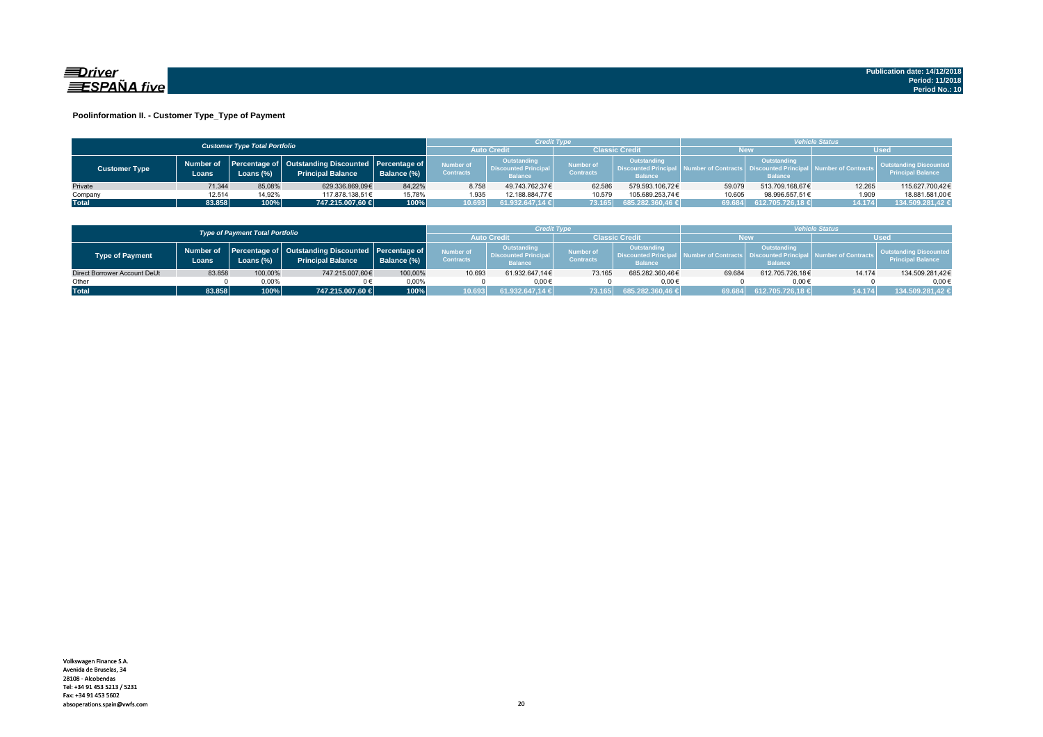

#### **Poolinformation II. - Customer Type\_Type of Payment**

|                      |                     | <b>Customer Type Total Portfolio</b> |                                                                                    |             |                               | Credit Type                                                  |                                                                                                            |                  | <b>Vehicle Status</b> |                                                                          |                                |                                                           |  |  |
|----------------------|---------------------|--------------------------------------|------------------------------------------------------------------------------------|-------------|-------------------------------|--------------------------------------------------------------|------------------------------------------------------------------------------------------------------------|------------------|-----------------------|--------------------------------------------------------------------------|--------------------------------|-----------------------------------------------------------|--|--|
|                      |                     |                                      |                                                                                    |             | <b>Auto Credi</b>             |                                                              | Classic Credit                                                                                             |                  | <b>New</b>            |                                                                          |                                | <b>Used</b>                                               |  |  |
| <b>Customer Type</b> | Number of<br>Loans. | Loans (%)                            | Percentage of   Outstanding Discounted   Percentage of<br><b>Principal Balance</b> | Balance (%) | Number of<br><b>Contracts</b> | Outstanding<br><b>Discounted Principal</b><br><b>Balance</b> | <b>Outstanding</b><br><b>Number of</b><br><b>Discounted Principa</b><br><b>Contracts</b><br><b>Balance</b> |                  |                       | Outstanding<br>umber of Contracts丨 Discounted Principa<br><b>Balance</b> | <b>All Number of Contracts</b> | <b>Outstanding Discounted</b><br><b>Principal Balance</b> |  |  |
| Private              | 71.344              | 85.08%                               | 629.336.869.09€                                                                    | 84.22%      | 8.758                         | 49.743.762.37€                                               | 62.586                                                                                                     | 579.593.106.72€  | 59.079                | 513.709.168.67€                                                          | 12.265                         | 115.627.700,42€                                           |  |  |
| Company              | 12.514              | 14.92%                               | 117.878.138.51€                                                                    | 15.78%      | 1.935                         | 12.188.884.77€                                               | 10.579                                                                                                     | 105.689.253.74€  | 10.605                | 98.996.557.51€                                                           | 1.909                          | 18.881.581,00€                                            |  |  |
| <b>Total</b>         | 83.858              | 100%                                 | 747.215.007,60 €                                                                   | 100%        | 10.693                        | 61.932.647,14 €                                              | 73.165                                                                                                     | 685.282.360,46 € | 69.684                | 612.705.726.18 €                                                         | 14.174                         | 134.509.281,42 €                                          |  |  |

|                                        |        |              | Credit Type                                                                              |             |                                      | <b>/ehicle Status</b>                                        |                                                                                                     |                  |            |                                                         |                     |                                                           |
|----------------------------------------|--------|--------------|------------------------------------------------------------------------------------------|-------------|--------------------------------------|--------------------------------------------------------------|-----------------------------------------------------------------------------------------------------|------------------|------------|---------------------------------------------------------|---------------------|-----------------------------------------------------------|
| <b>Type of Payment Total Portfolio</b> |        |              |                                                                                          |             | <b>Auto Credi</b>                    |                                                              | <b>Classic Credit</b>                                                                               |                  | <b>New</b> |                                                         | Used                |                                                           |
| Type of Payment                        | Loans  | Loans $(\%)$ | Number of Percentage of Outstanding Discounted Percentage of<br><b>Principal Balance</b> | Balance (%) | <b>Number of</b><br><b>Contracts</b> | Outstanding<br><b>Discounted Principal</b><br><b>Balance</b> | <b>Outstanding</b><br>Number of<br><b>Discounted Principa</b><br><b>Contracts</b><br><b>Balance</b> |                  |            | Outstanding<br><b>Discounted Prin</b><br><b>Balance</b> | lumber of Contracts | <b>Outstanding Discounted</b><br><b>Principal Balance</b> |
| Direct Borrower Account DeUt           | 83.858 | 100,00%      | 747.215.007,60€                                                                          | 100.00%     | 10.693                               | 61.932.647.14€                                               | 73.165                                                                                              | 685.282.360.46€  | 69.684     | 612.705.726.18€                                         | 14.174              | 134.509.281,42€                                           |
| Other                                  |        | 0.00%        |                                                                                          | 0.00%       |                                      | $0.00 \in$                                                   |                                                                                                     | $0.00 \in$       |            | $0.00 \in$                                              |                     | $0.00 \in$                                                |
| <b>Total</b>                           | 83.858 | 100%         | 747.215.007.60 €                                                                         | 100%        | 10.693                               | 61.932.647.14 €                                              | 73.165                                                                                              | 685.282.360,46 € | 69.684     | 612.705.726.18 €                                        | 14.174              | 134.509.281.42 €                                          |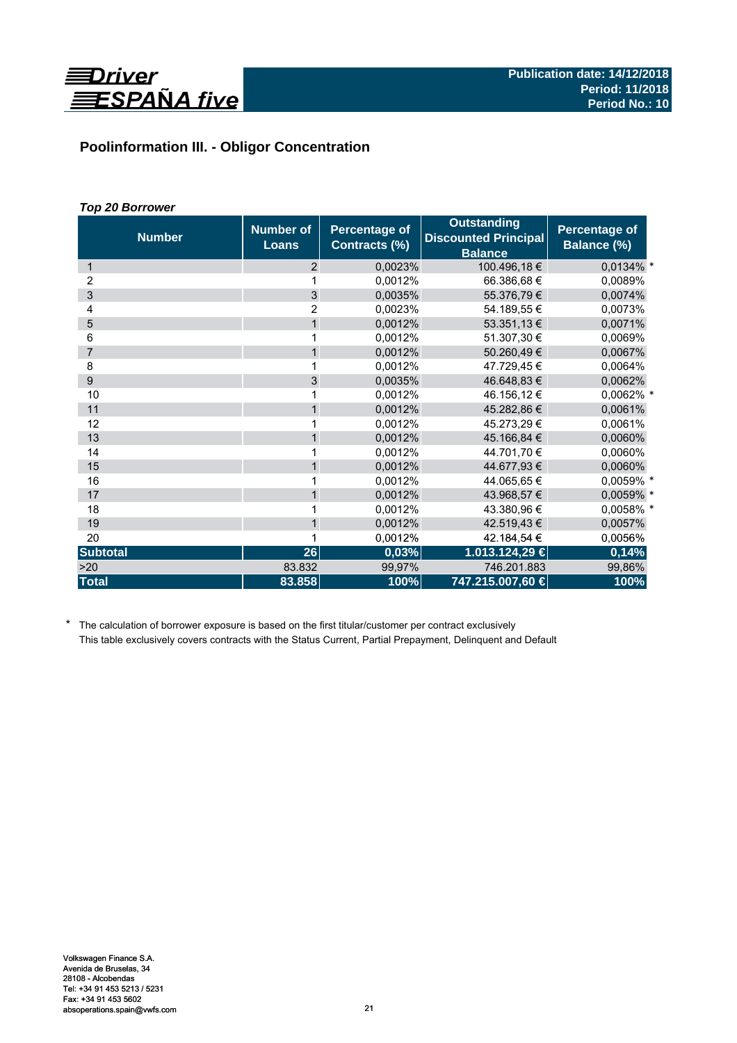

# **Poolinformation III. - Obligor Concentration**

# *Top 20 Borrower*

| <b>Number</b>   | <b>Number of</b><br><b>Loans</b> | Percentage of<br>Contracts (%) | <b>Outstanding</b><br><b>Discounted Principal</b><br><b>Balance</b> | Percentage of<br><b>Balance (%)</b> |
|-----------------|----------------------------------|--------------------------------|---------------------------------------------------------------------|-------------------------------------|
| 1               | $\overline{2}$                   | 0,0023%                        | 100.496,18€                                                         | $0,0134\%$ *                        |
| 2               | 1                                | 0,0012%                        | 66.386,68€                                                          | 0,0089%                             |
| 3               | $\mathfrak{S}$                   | 0.0035%                        | 55.376,79€                                                          | 0,0074%                             |
| 4               | 2                                | 0,0023%                        | 54.189,55 €                                                         | 0.0073%                             |
| 5               | $\mathbf{1}$                     | 0,0012%                        | 53.351,13 €                                                         | 0,0071%                             |
| 6               | 1                                | 0,0012%                        | 51.307,30 €                                                         | 0,0069%                             |
| $\overline{7}$  | 1                                | 0,0012%                        | 50.260,49€                                                          | 0,0067%                             |
| 8               | 1                                | 0,0012%                        | 47.729,45 €                                                         | 0,0064%                             |
| 9               | $\overline{3}$                   | 0,0035%                        | 46.648.83 €                                                         | 0,0062%                             |
| 10              | 1                                | 0.0012%                        | 46.156,12 €                                                         | 0,0062% *                           |
| 11              | $\mathbf{1}$                     | 0,0012%                        | 45.282,86 €                                                         | 0,0061%                             |
| 12              | 1                                | 0,0012%                        | 45.273,29 €                                                         | 0,0061%                             |
| 13              | $\mathbf{1}$                     | 0,0012%                        | 45.166,84 €                                                         | 0,0060%                             |
| 14              | 1                                | 0,0012%                        | 44.701,70 €                                                         | 0,0060%                             |
| 15              | $\mathbf{1}$                     | 0,0012%                        | 44.677,93 €                                                         | 0,0060%                             |
| 16              | 1                                | 0,0012%                        | 44.065.65 €                                                         | 0,0059% *                           |
| 17              | $\mathbf{1}$                     | 0,0012%                        | 43.968,57 €                                                         | 0,0059% *                           |
| 18              | 1                                | 0.0012%                        | 43.380,96 €                                                         | 0,0058% *                           |
| 19              | $\mathbf{1}$                     | 0,0012%                        | 42.519,43 €                                                         | 0,0057%                             |
| 20              | 1                                | 0,0012%                        | 42.184,54 €                                                         | 0,0056%                             |
| <b>Subtotal</b> | 26                               | 0,03%                          | 1.013.124,29 €                                                      | 0,14%                               |
| >20             | 83.832                           | 99,97%                         | 746.201.883                                                         | 99,86%                              |
| <b>Total</b>    | 83.858                           | 100%                           | 747.215.007,60 €                                                    | 100%                                |

\* The calculation of borrower exposure is based on the first titular/customer per contract exclusively This table exclusively covers contracts with the Status Current, Partial Prepayment, Delinquent and Default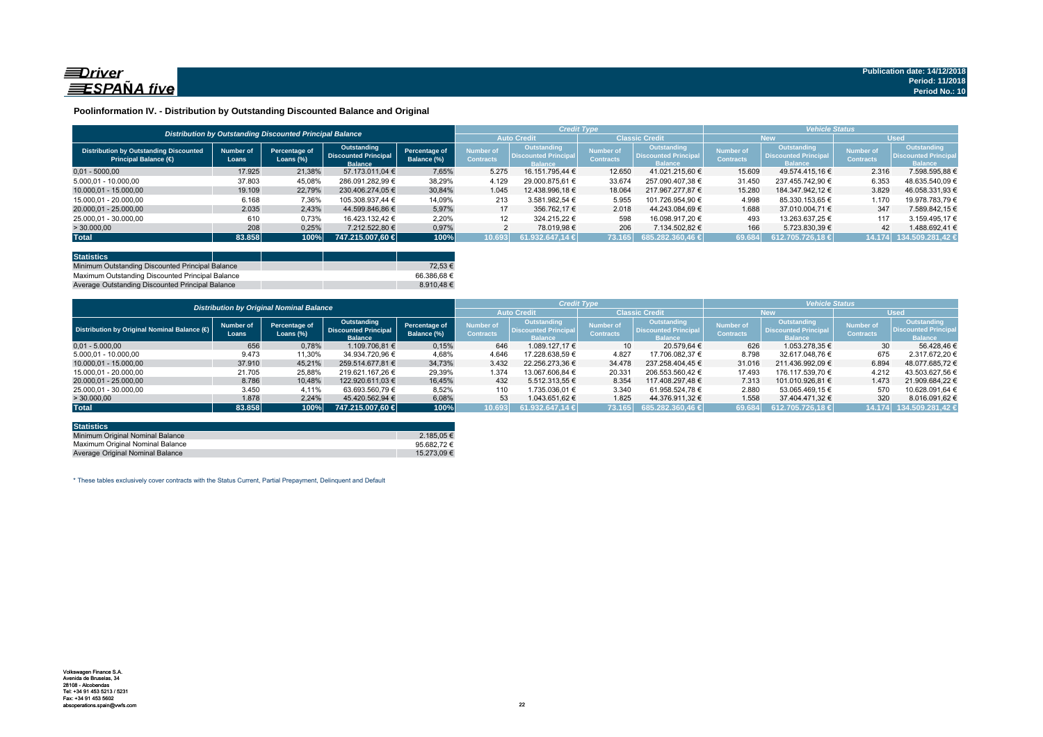

#### **Poolinformation IV. - Distribution by Outstanding Discounted Balance and Original**

|                                                                              |                                                          |                               |                                                              |                              |                               | <b>Credit Type</b>                                           |                                      |                                                                     | <b>Vehicle Status</b>         |                                                             |                               |                                                                    |  |
|------------------------------------------------------------------------------|----------------------------------------------------------|-------------------------------|--------------------------------------------------------------|------------------------------|-------------------------------|--------------------------------------------------------------|--------------------------------------|---------------------------------------------------------------------|-------------------------------|-------------------------------------------------------------|-------------------------------|--------------------------------------------------------------------|--|
|                                                                              | Distribution by Outstanding Discounted Principal Balance |                               | <b>Auto Credit</b>                                           |                              | <b>Classic Credit</b>         |                                                              | <b>New</b>                           |                                                                     | <b>Used</b>                   |                                                             |                               |                                                                    |  |
| <b>Distribution by Outstanding Discounted</b><br><b>Principal Balance (€</b> | Number of<br>Loans                                       | Percentage of<br>Loans $(\%)$ | Outstanding<br><b>Discounted Principal</b><br><b>Balance</b> | Percentage of<br>Balance (%) | Number of<br><b>Contracts</b> | Outstanding<br><b>Discounted Principal</b><br><b>Balance</b> | <b>Number of</b><br><b>Contracts</b> | <b>Outstanding</b><br><b>Discounted Principal</b><br><b>Balance</b> | Number of<br><b>Contracts</b> | Outstanding<br><b>Discounted Principa</b><br><b>Ralance</b> | Number of<br><b>Contracts</b> | <b>Outstanding</b><br><b>Discounted Principa</b><br><b>Balance</b> |  |
| $0.01 - 5000.00$                                                             | 17.925                                                   | 21,38%                        | 57.173.011.04 €                                              | 7.65%                        | 5.275                         | 16.151.795.44 €                                              | 12.650                               | 41.021.215.60 €                                                     | 15.609                        | 49.574.415.16 €                                             | 2.316                         | 7.598.595.88 €                                                     |  |
| 5.000.01 - 10.000.00                                                         | 37.803                                                   | 45,08%                        | 286.091.282,99 €                                             | 38,29%                       | 4.129                         | 29.000.875.61 €                                              | 33.674                               | 257.090.407.38 €                                                    | 31.450                        | 237.455.742.90 €                                            | 6.353                         | 48.635.540.09 €                                                    |  |
| 10.000.01 - 15.000.00                                                        | 19.109                                                   | 22,79%                        | 230.406.274.05 €                                             | 30.84%                       | 1.045                         | 12.438.996.18 €                                              | 18.064                               | 217.967.277.87 €                                                    | 15.280                        | 184.347.942.12 €                                            | 3.829                         | 46.058.331.93 €                                                    |  |
| 15.000,01 - 20.000,00                                                        | 6.168                                                    | 7,36%                         | 105.308.937.44 €                                             | 14,09%                       | 213                           | 3.581.982.54 €                                               | 5.955                                | 101.726.954.90 €                                                    | 4.998                         | 85.330.153.65 €                                             | 1.170                         | 19.978.783.79 €                                                    |  |
| 20.000.01 - 25.000.00                                                        | 2.035                                                    | 2.43%                         | 44.599.846.86 €                                              | 5.97%                        | 17                            | 356.762.17 €                                                 | 2.018                                | 44.243.084.69 €                                                     | 1.688                         | 37.010.004.71 €                                             | 347                           | 7.589.842.15 €                                                     |  |
| 25.000,01 - 30.000,00                                                        | 610                                                      | 0,73%                         | 16.423.132.42 €                                              | 2.20%                        | 12                            | 324.215.22 €                                                 | 598                                  | 16.098.917.20 €                                                     | 493                           | 13.263.637.25 €                                             | 117                           | 3.159.495.17 €                                                     |  |
| > 30.000,00                                                                  | 208                                                      | 0,25%                         | 7.212.522.80 €                                               | 0,97%                        |                               | 78.019.98 €                                                  | 206                                  | 7.134.502.82 €                                                      | 166                           | 5.723.830,39 €                                              | 42                            | 1.488.692.41 €                                                     |  |
| <b>Total</b>                                                                 | 83.858                                                   | 100%                          | 747.215.007.60 €                                             | 100%                         | 10.693                        | $61.932.647.14 \in \mathbb{R}$                               | 73.165                               | 685.282.360.46 €                                                    | 69.684                        | 612.705.726.18 €                                            |                               | 14.174 134.509.281,42 €                                            |  |

| <b>Statistics</b>                                |  |            |
|--------------------------------------------------|--|------------|
| Minimum Outstanding Discounted Principal Balance |  | 72.53 €    |
| Maximum Outstanding Discounted Principal Balance |  | 66.386.68€ |
| Average Outstanding Discounted Principal Balance |  | 8.910.48€  |

|                                             | <b>Distribution by Original Nominal Balance</b> |                               |                                                              |                              |                               |                                                             |                               |                                                              | <b>Vehicle Status</b>         |                                                                     |                                      |                                                             |
|---------------------------------------------|-------------------------------------------------|-------------------------------|--------------------------------------------------------------|------------------------------|-------------------------------|-------------------------------------------------------------|-------------------------------|--------------------------------------------------------------|-------------------------------|---------------------------------------------------------------------|--------------------------------------|-------------------------------------------------------------|
|                                             |                                                 |                               |                                                              |                              |                               |                                                             |                               | <b>Classic Credit</b>                                        |                               | <b>New</b>                                                          |                                      | <b>Used</b>                                                 |
| Distribution by Original Nominal Balance (O | <b>Number of</b><br>Loans                       | Percentage of<br>Loans $(\%)$ | Outstanding<br><b>Discounted Principal</b><br><b>Balance</b> | Percentage of<br>Balance (%) | Number of<br><b>Contracts</b> | Outstanding<br><b>Discounted Principa</b><br><b>Balance</b> | Number of<br><b>Contracts</b> | Outstanding<br><b>Discounted Principal</b><br><b>Balance</b> | Number of<br><b>Contracts</b> | <b>Outstanding</b><br><b>Discounted Principal</b><br><b>Balance</b> | <b>Number of</b><br><b>Contracts</b> | Outstanding<br><b>Discounted Principa</b><br><b>Balance</b> |
| $0.01 - 5.000.00$                           | 656                                             | 0,78%                         | 1.109.706.81 €                                               | 0,15%                        | 646                           | 1.089.127.17 €                                              | 10                            | 20.579.64 €                                                  | 626                           | 1.053.278.35 €                                                      | 30 <sup>°</sup>                      | 56.428.46 €                                                 |
| 5.000.01 - 10.000.00                        | 9.473                                           | 11,30%                        | 34.934.720,96 €                                              | 4,68%                        | 4.646                         | 17.228.638.59 €                                             | 4.827                         | 17.706.082.37 €                                              | 8.798                         | 32.617.048.76 €                                                     | 675                                  | 2.317.672.20 €                                              |
| 10.000.01 - 15.000.00                       | 37,910                                          | 45,21%                        | 259.514.677.81 €                                             | 34.73%                       | 3.432                         | 22.256.273.36 €                                             | 34.478                        | 237.258.404.45 €                                             | 31.016                        | 211.436.992.09 €                                                    | 6.894                                | 48.077.685.72 €                                             |
| 15.000.01 - 20.000.00                       | 21.705                                          | 25,88%                        | 219.621.167.26 €                                             | 29,39%                       | 1.374                         | 13.067.606.84 €                                             | 20.331                        | 206.553.560.42 €                                             | 17.493                        | 176.117.539.70 €                                                    | 4.212                                | 43.503.627.56 €                                             |
| 20.000.01 - 25.000.00                       | 8.786                                           | 10,48%                        | 122.920.611.03 €                                             | 16.45%                       | 432                           | 5.512.313.55 €                                              | 8.354                         | 117.408.297.48 €                                             | 7.313                         | 101.010.926.81 €                                                    | 1.473                                | 21.909.684.22 €                                             |
| 25.000.01 - 30.000.00                       | 3.450                                           | 4.11%                         | 63.693.560.79 €                                              | 8.52%                        | 110                           | 1.735.036.01 €                                              | 3.340                         | 61.958.524.78 €                                              | 2.880                         | 53.065.469.15 €                                                     | 570                                  | 10.628.091.64 €                                             |
| >30.000,00                                  | 1.878                                           | 2.24%                         | 45.420.562.94 €                                              | 6,08%                        | 53                            | 1.043.651.62 €                                              | 1.825                         | 44.376.911.32 €                                              | 1.558                         | 37.404.471.32 €                                                     | 320                                  | 8.016.091.62 €                                              |
| <b>Total</b>                                | 83.858                                          | 100%                          | 747.215.007.60 €                                             | 100%                         | 10.693                        | $61.932.647,14 \in$                                         | 73.165                        | $685.282.360.46 \in$                                         | 69.684                        | 612.705.726.18 €                                                    | 14.174                               | 134.509.281,42                                              |

| <b>Statistics</b>                |             |
|----------------------------------|-------------|
| Minimum Original Nominal Balance | 2.185.05 €  |
| Maximum Original Nominal Balance | 95.682.72€  |
| Average Original Nominal Balance | 15.273.09 € |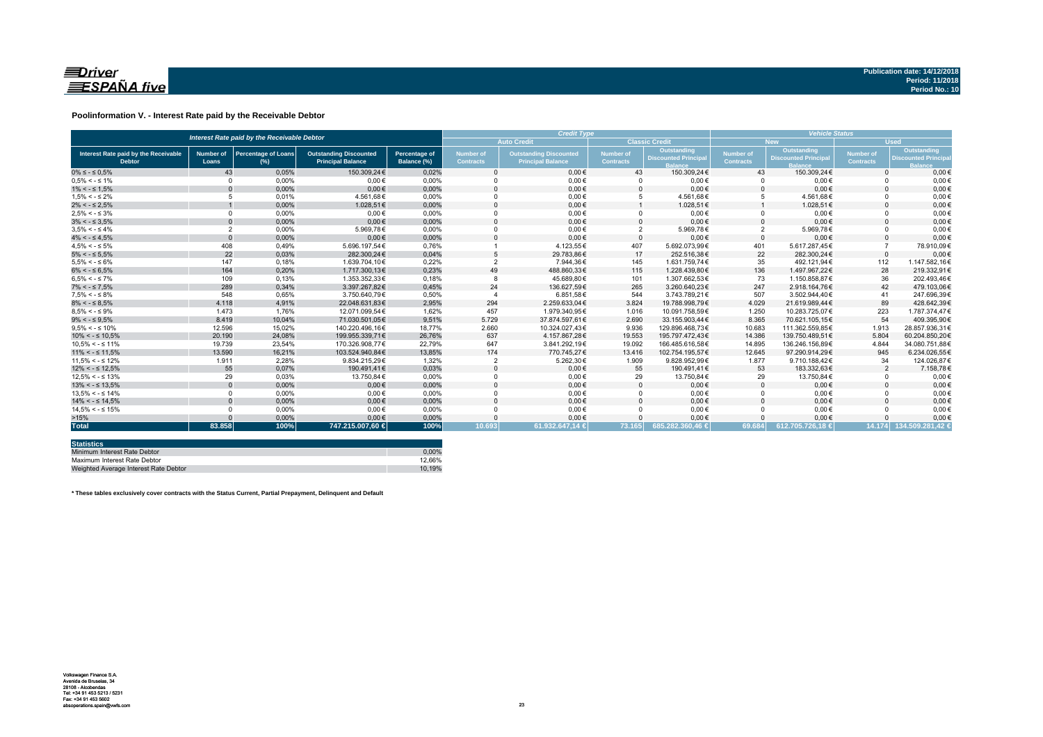

#### **Poolinformation V. - Interest Rate paid by the Receivable Debtor**

|                                                       | Interest Rate paid by the Receivable Debtor |                                      |                                                           |                                     |                                      |                                                           | <b>Credit Type</b>                   |                                           |                        |                                           |                               | <b>Vehicle Status</b>                                    |  |  |  |
|-------------------------------------------------------|---------------------------------------------|--------------------------------------|-----------------------------------------------------------|-------------------------------------|--------------------------------------|-----------------------------------------------------------|--------------------------------------|-------------------------------------------|------------------------|-------------------------------------------|-------------------------------|----------------------------------------------------------|--|--|--|
|                                                       |                                             |                                      |                                                           |                                     |                                      | <b>Auto Credit</b>                                        |                                      | <b>Classic Credit</b>                     |                        | <b>New</b>                                | <b>Used</b>                   |                                                          |  |  |  |
| Interest Rate paid by the Receivable<br><b>Debtor</b> | <b>Number of</b><br>Loans                   | <b>Percentage of Loans</b><br>$(\%)$ | <b>Outstanding Discounted</b><br><b>Principal Balance</b> | <b>Percentage of</b><br>Balance (%) | <b>Number of</b><br><b>Contracts</b> | <b>Outstanding Discounted</b><br><b>Principal Balance</b> | <b>Number of</b><br><b>Contracts</b> | Outstanding<br><b>Discounted Principa</b> | Number of<br>Contracts | Outstanding<br><b>Discounted Principa</b> | Number of<br><b>Contracts</b> | Outstanding<br><b>Discounted Princip</b><br><b>Ralan</b> |  |  |  |
| $0\% \leq -\leq 0.5\%$                                | 43                                          | 0.05%                                | 150,309,24€                                               | 0,02%                               |                                      | $0.00 \in$                                                | 43                                   | 150.309.24€                               | 43                     | 150.309,24€                               | $\Omega$                      | $0,00 \in$                                               |  |  |  |
| $0.5\% < -5.1\%$                                      | $\Omega$                                    | 0,00%                                | $0.00 \in$                                                | 0,00%                               |                                      | $0,00 \in$                                                |                                      | $0,00 \in$                                |                        | $0,00 \in$                                |                               | $0,00 \in$                                               |  |  |  |
| $1\% < - \leq 1.5\%$                                  |                                             | 0,00%                                | $0.00 \in$                                                | 0,00%                               |                                      | $0.00 \in$                                                |                                      | $0.00 \in$                                | $\Omega$               | $0.00 \in$                                |                               | $0.00 \in$                                               |  |  |  |
| $1.5\% < -5.2\%$                                      |                                             | 0.01%                                | 4.561.68€                                                 | 0.00%                               |                                      | $0.00 \in$                                                |                                      | 4.561.68€                                 |                        | 4.561.68€                                 |                               | $0.00 \in$                                               |  |  |  |
| $2\% < - \leq 2.5\%$                                  |                                             | 0,00%                                | 1.028.51€                                                 | 0,00%                               |                                      | $0.00 \in$                                                |                                      | 1.028,51€                                 |                        | 1.028.51€                                 |                               | $0.00 \in$                                               |  |  |  |
| $2.5\% < -5.3\%$                                      | $\Omega$                                    | 0,00%                                | $0.00 \in$                                                | 0,00%                               |                                      | $0,00 \in$                                                |                                      | $0.00 \in$                                | $\Omega$               | $0.00 \in$                                |                               | $0,00 \in$                                               |  |  |  |
| $3\% < - \leq 3.5\%$                                  | $\Omega$                                    | 0,00%                                | $0,00 \in$                                                | 0,00%                               |                                      | $0,00 \in$                                                |                                      | $0,00 \in$                                | $\Omega$               | $0,00 \in$                                |                               | $0,00 \in$                                               |  |  |  |
| $3.5\% < -5.4\%$                                      | $\overline{2}$                              | 0,00%                                | 5.969.78€                                                 | 0,00%                               |                                      | $0.00 \in$                                                | $\overline{2}$                       | 5.969,78€                                 | $\overline{2}$         | 5.969,78€                                 |                               | $0,00 \in$                                               |  |  |  |
| $4\% < - \leq 4.5\%$                                  | $\Omega$                                    | 0.00%                                | $0.00 \in$                                                | 0.00%                               |                                      | $0.00 \in$                                                | $\Omega$                             | $0.00 \in$                                | $\Omega$               | $0.00 \in$                                |                               | $0,00 \in$                                               |  |  |  |
| $4.5\% < -5\%$                                        | 408                                         | 0.49%                                | 5.696.197.54€                                             | 0.76%                               |                                      | 4.123.55€                                                 | 407                                  | 5.692.073.99€                             | 401                    | 5.617.287.45€                             |                               | 78.910,09€                                               |  |  |  |
| $5\% < -5.5\%$                                        | 22                                          | 0.03%                                | 282.300.24€                                               | 0.04%                               |                                      | 29.783.86€                                                | 17                                   | 252.516.38€                               | 22                     | 282.300.24€                               | $\Omega$                      | $0.00 \in$                                               |  |  |  |
| $5.5\% < -5.6\%$                                      | 147                                         | 0,18%                                | 1.639.704.10€                                             | 0.22%                               |                                      | 7.944.36€                                                 | 145                                  | 1.631.759.74€                             | 35                     | 492.121.94€                               | 112                           | 1.147.582.16€                                            |  |  |  |
| $6\% < - \leq 6.5\%$                                  | 164                                         | 0,20%                                | 1.717.300,13€                                             | 0,23%                               | 49                                   | 488.860,33€                                               | 115                                  | 1.228.439,80€                             | 136                    | 1.497.967.22€                             | 28                            | 219.332,91€                                              |  |  |  |
| $6.5\% < -5.7\%$                                      | 109                                         | 0.13%                                | 1.353.352.33€                                             | 0.18%                               |                                      | 45.689.80€                                                | 101                                  | 1.307.662.53€                             | 73                     | 1.150.858.87€                             | 36                            | 202.493.46€                                              |  |  |  |
| $7\% < - \leq 7.5\%$                                  | 289                                         | 0,34%                                | 3.397.267,82€                                             | 0,45%                               | 24                                   | 136.627,59€                                               | 265                                  | 3.260.640,23€                             | 247                    | 2.918.164.76€                             | 42                            | 479.103,06€                                              |  |  |  |
| $7.5\% < -5.8\%$                                      | 548                                         | 0.65%                                | 3.750.640.79€                                             | 0.50%                               |                                      | 6.851.58€                                                 | 544                                  | 3.743.789.21€                             | 507                    | 3.502.944.40€                             | 41                            | 247.696.39€                                              |  |  |  |
| $8\% < - \leq 8.5\%$                                  | 4.118                                       | 4.91%                                | 22.048.631,83€                                            | 2,95%                               | 294                                  | 2.259.633.04€                                             | 3.824                                | 19.788.998.79€                            | 4.029                  | 21.619.989,44€                            | 89                            | 428.642.39€                                              |  |  |  |
| $8.5\% < -5.9\%$                                      | 1.473                                       | 1.76%                                | 12.071.099.54€                                            | 1.62%                               | 457                                  | 1.979.340.95€                                             | 1.016                                | 10.091.758.59€                            | 1.250                  | 10.283.725.07€                            | 223                           | 1.787.374.47€                                            |  |  |  |
| $9\% < - \leq 9.5\%$                                  | 8.419                                       | 10,04%                               | 71.030.501.05€                                            | 9,51%                               | 5.729                                | 37.874.597,61€                                            | 2.690                                | 33.155.903.44€                            | 8.365                  | 70.621.105.15€                            | 54                            | 409.395.90€                                              |  |  |  |
| $9.5\% < -5.10\%$                                     | 12.596                                      | 15,02%                               | 140.220.496,16€                                           | 18,77%                              | 2.660                                | 10.324.027,43€                                            | 9.936                                | 129.896.468,73€                           | 10.683                 | 111.362.559,85€                           | 1.913                         | 28.857.936,31€                                           |  |  |  |
| $10\% < -\leq 10.5\%$                                 | 20,190                                      | 24,08%                               | 199.955.339.71€                                           | 26,76%                              | 637                                  | 4.157.867.28€                                             | 19.553                               | 195.797.472.43€                           | 14.386                 | 139.750.489.51€                           | 5.804                         | 60.204.850.20€                                           |  |  |  |
| $10.5\% < -5.11\%$                                    | 19.739                                      | 23,54%                               | 170.326.908.77€                                           | 22.79%                              | 647                                  | 3.841.292,19€                                             | 19.092                               | 166.485.616.58€                           | 14.895                 | 136.246.156.89€                           | 4.844                         | 34.080.751.88€                                           |  |  |  |
| $11\% < - \leq 11.5\%$                                | 13.590                                      | 16,21%                               | 103.524.940.84€                                           | 13,85%                              | 174                                  | 770.745.27€                                               | 13.416                               | 102.754.195.57€                           | 12.645                 | 97.290.914.29€                            | 945                           | 6.234.026.55€                                            |  |  |  |
| $11,5\% < -512\%$                                     | 1.911                                       | 2.28%                                | 9.834.215.29€                                             | 1.32%                               |                                      | 5.262,30€                                                 | 1.909                                | 9.828.952.99€                             | 1.877                  | 9.710.188.42€                             | 34                            | 124.026.87€                                              |  |  |  |
| $12\% < -512.5\%$                                     | 55                                          | 0.07%                                | 190.491.41€                                               | 0,03%                               |                                      | $0.00 \in$                                                | 55                                   | 190.491.41€                               | 53                     | 183.332.63€                               | $\overline{2}$                | 7.158,78€                                                |  |  |  |
| $12.5\% < -5.13\%$                                    | 29                                          | 0,03%                                | 13.750,84€                                                | 0,00%                               |                                      | $0,00 \in$                                                | 29                                   | 13.750,84€                                | 29                     | 13.750,84€                                |                               | $0,00 \in$                                               |  |  |  |
| $13\% < -513.5\%$                                     | $\Omega$                                    | 0,00%                                | $0,00 \in$                                                | 0,00%                               |                                      | $0,00 \in$                                                |                                      | $0,00 \in$                                | $\Omega$               | $0,00 \in$                                |                               | $0,00 \in$                                               |  |  |  |
| $13.5\% < -5.14\%$                                    | $\Omega$                                    | $0.00\%$                             | $0,00 \in$                                                | 0,00%                               |                                      | $0,00 \in$                                                |                                      | $0,00 \in$                                | $\Omega$               | $0,00 \in$                                |                               | $0,00 \in$                                               |  |  |  |
| $14\% < -5.14.5\%$                                    | $\Omega$                                    | 0,00%                                | $0.00 \in$                                                | 0,00%                               |                                      | $0.00 \in$                                                |                                      | $0.00 \in$                                | $\Omega$               | $0.00 \in$                                |                               | $0,00 \in$                                               |  |  |  |
| $14.5\% < -5.15\%$                                    | $\Omega$                                    | 0.00%                                | $0.00 \in$                                                | 0.00%                               |                                      | $0.00 \in$                                                |                                      | $0.00 \in$                                | $\Omega$               | $0.00 \in$                                |                               | $0.00 \in$                                               |  |  |  |
| >15%                                                  |                                             | 0,00%                                | $0.00 \in$                                                | 0.00%                               |                                      | $0.00 \in$                                                |                                      | $0,00 \in$                                | $\Omega$               | $0.00 \in$                                |                               | $0,00 \in$                                               |  |  |  |
| <b>Total</b>                                          | 83.858                                      | 100%                                 | 747.215.007,60 €                                          | 100%                                | 10.693                               | 61.932.647.14 <b>€</b>                                    | 73.165                               | 685.282.360.46 €                          | 69.684                 | 612.705.726.18 €                          |                               | 14.174 134.509.281.42 €                                  |  |  |  |

| <b>Statistics</b>                     |        |
|---------------------------------------|--------|
| Minimum Interest Rate Debtor          | 0.00%  |
| Maximum Interest Rate Debtor          | 12.66% |
| Weighted Average Interest Rate Debtor | 10.19% |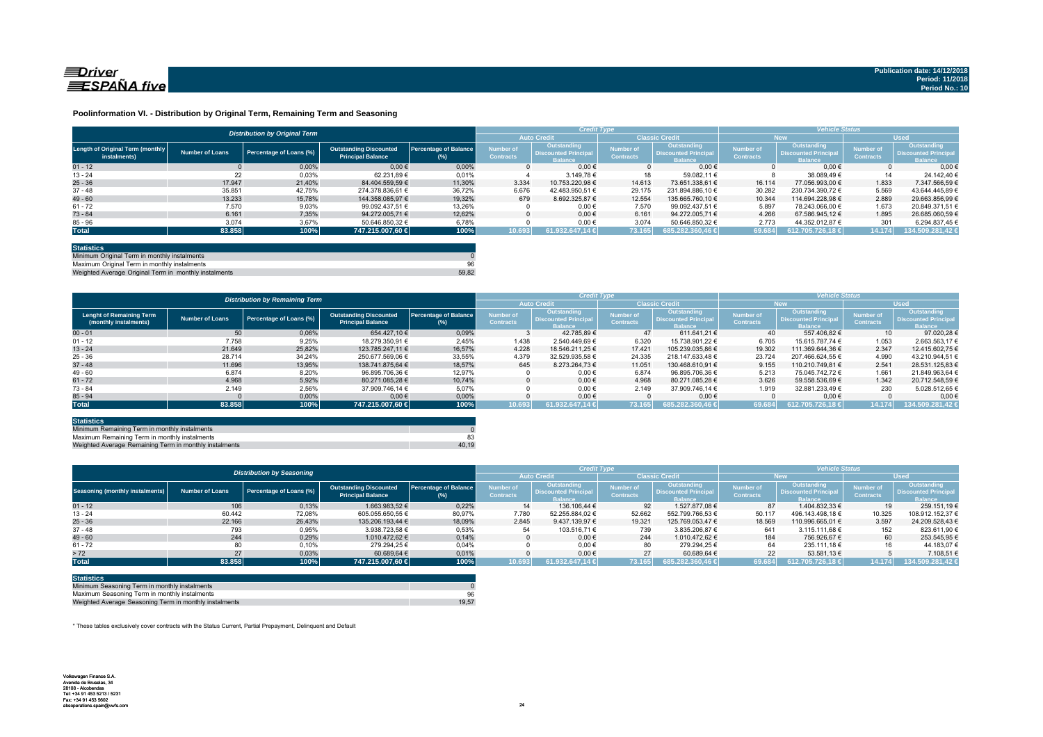

#### **Poolinformation VI. - Distribution by Original Term, Remaining Term and Seasoning**

|                                                  |                 | <b>Distribution by Original Term</b> |                                                           |                              |                                      | <b>Credit Type</b>                                   |                               |                                                             | <b>Vehicle Status</b>                |                                                                    |                                      |                                                             |
|--------------------------------------------------|-----------------|--------------------------------------|-----------------------------------------------------------|------------------------------|--------------------------------------|------------------------------------------------------|-------------------------------|-------------------------------------------------------------|--------------------------------------|--------------------------------------------------------------------|--------------------------------------|-------------------------------------------------------------|
|                                                  |                 |                                      |                                                           |                              |                                      |                                                      | <b>Classic Credit</b>         |                                                             | <b>New</b>                           |                                                                    | <b>Used</b>                          |                                                             |
| Length of Original Term (monthly<br>instalments) | Number of Loans | Percentage of Loans (%)              | <b>Outstanding Discounted</b><br><b>Principal Balance</b> | Percentage of Balance<br>(%) | <b>Number of</b><br><b>Contracts</b> | Outstanding<br><b>Discounted Principa</b><br>Ralance | Number of<br><b>Contracts</b> | Outstanding<br><b>Discounted Principa</b><br><b>Balance</b> | <b>Number of</b><br><b>Contracts</b> | <b>Outstanding</b><br><b>Discounted Principa</b><br><b>Ralance</b> | <b>Number of</b><br><b>Contracts</b> | Outstanding<br><b>Discounted Principa</b><br><b>Balance</b> |
| $01 - 12$                                        |                 | 0.00%                                | $0.00 \in$                                                | 0.00%                        |                                      | $0.00 \in$                                           |                               | $0.00 \in$                                                  |                                      | $0.00 \in$                                                         |                                      | 0.006                                                       |
| $13 - 24$                                        | 22              | 0,03%                                | 62.231.89 €                                               | 0.01%                        |                                      | 3.149.78 €                                           | 18                            | 59.082.11 €                                                 |                                      | 38.089.49 €                                                        | 14                                   | 24.142.40 €                                                 |
| $25 - 36$                                        | 17.947          | 21.40%                               | 84.404.559.59 €                                           | 11.30%                       | 3.334                                | 10.753.220.98 €                                      | 14.613                        | 73.651.338.61 €                                             | 16.114                               | 77.056.993.00 €                                                    | 1.833                                | 7.347.566.59 €                                              |
| $37 - 48$                                        | 35.851          | 42.75%                               | 274.378.836.61 €                                          | 36,72%                       | 6.676                                | 42.483.950.51 €                                      | 29.175                        | 231.894.886.10 €                                            | 30.282                               | 230.734.390.72 €                                                   | 5.569                                | 43.644.445.89 €                                             |
| $49 - 60$                                        | 13.233          | 15.78%                               | 144.358.085.97 €                                          | 19.32%                       | 679                                  | 8.692.325.87 €                                       | 12.554                        | 135.665.760.10 €                                            | 10.344                               | 114.694.228.98 €                                                   | 2.889                                | 29.663.856.99 €                                             |
| $61 - 72$                                        | 7.570           | 9,03%                                | 99.092.437.51 €                                           | 13,26%                       |                                      | $0.00 \in$                                           | 7.570                         | 99.092.437.51 €                                             | 5.897                                | 78.243.066.00 €                                                    | 1.673                                | 20.849.371.51 €                                             |
| $73 - 84$                                        | 6.161           | 7.35%                                | 94.272.005.71 €                                           | 12.62%                       |                                      | $0.00 \in$                                           | 6.161                         | 94.272.005.71 €                                             | 4.266                                | 67.586.945.12 €                                                    | 1.895                                | 26.685.060.59 €                                             |
| $85 - 96$                                        | 3.074           | 3,67%                                | 50.646.850.32 €                                           | 6,78%                        |                                      | $0,00 \in$                                           | 3.074                         | 50.646.850.32 €                                             | 2.773                                | 44.352.012.87 €                                                    | 301                                  | 6.294.837.45                                                |
| <b>Total</b>                                     | 83.858          | 100%                                 | 747.215.007,60 €                                          | 100%                         | 10.693                               | $61.932.647.14 \in$                                  | 73.165                        | 685.282.360.46 €                                            | 69.684                               | 612.705.726.18 ∈                                                   | 14.174                               | 134.509.281,42 +                                            |

| <b>Statistics</b>                                     |       |
|-------------------------------------------------------|-------|
| Minimum Original Term in monthly instalments          |       |
| Maximum Original Term in monthly instalments          | 96    |
| Weighted Average Original Term in monthly instalments | 59.82 |

Weighted Average Original Term in monthly install

|                                                          |                        | <b>Distribution by Remaining Term</b> |                                                           |                                     |                               | <b>Credit Type</b>                                           |                                      |                                                              | <b>Vehicle Status</b>                |                                                                    |                                      |                                                             |
|----------------------------------------------------------|------------------------|---------------------------------------|-----------------------------------------------------------|-------------------------------------|-------------------------------|--------------------------------------------------------------|--------------------------------------|--------------------------------------------------------------|--------------------------------------|--------------------------------------------------------------------|--------------------------------------|-------------------------------------------------------------|
|                                                          |                        |                                       |                                                           |                                     |                               | <b>Auto Credit</b>                                           | <b>Classic Credit</b>                |                                                              | <b>New</b>                           |                                                                    | <b>Used</b>                          |                                                             |
| <b>Lenght of Remaining Term</b><br>(monthly instalments) | <b>Number of Loans</b> | Percentage of Loans (%)               | <b>Outstanding Discounted</b><br><b>Principal Balance</b> | <b>Percentage of Balance</b><br>(%) | Number of<br><b>Contracts</b> | Outstanding<br><b>Discounted Principal</b><br><b>Balance</b> | <b>lumber</b> of<br><b>Contracts</b> | Outstanding<br><b>Discounted Principal</b><br><b>Balance</b> | <b>Number of</b><br><b>Contracts</b> | <b>Outstanding</b><br><b>Discounted Principa</b><br><b>Balance</b> | <b>Number of</b><br><b>Contracts</b> | <b>Outstanding</b><br><b>Discounted Principal</b><br>alance |
| $00 - 01$                                                | 50                     | 0.06%                                 | 654.427.10 €                                              | 0.09%                               |                               | 42.785.89 €                                                  | 47                                   | 611.641.21 €                                                 | 40                                   | 557,406.82 €                                                       | 10 <sup>1</sup>                      | 97.020.28 6                                                 |
| $01 - 12$                                                | 7.758                  | 9.25%                                 | 18.279.350.91 €                                           | 2,45%                               | 1.438                         | 2.540.449.69 €                                               | 6.320                                | 15.738.901.22 €                                              | 6.705                                | 15.615.787.74 €                                                    | 1.053                                | 2.663.563.17                                                |
| $13 - 24$                                                | 21.649                 | 25.82%                                | 123.785.247.11 €                                          | 16.57%                              | 4.228                         | 18.546.211.25 €                                              | 17.421                               | 105.239.035.86 €                                             | 19.302                               | 111.369.644.36 €                                                   | 2.347                                | 12.415.602.75 €                                             |
| $25 - 36$                                                | 28.714                 | 34,24%                                | 250.677.569.06 €                                          | 33,55%                              | 4.379                         | 32.529.935.58 €                                              | 24.335                               | 218.147.633.48 €                                             | 23.724                               | 207.466.624.55 €                                                   | 4.990                                | 43.210.944.51 €                                             |
| $37 - 48$                                                | 11.696                 | 13,95%                                | 138.741.875.64 €                                          | 18.57%                              | 645                           | 8.273.264.73 €                                               | 11.051                               | 130.468.610.91 €                                             | 9.155                                | 110.210.749.81 €                                                   | 2.541                                | 28.531.125.83 €                                             |
| $49 - 60$                                                | 6.874                  | 8,20%                                 | 96.895.706.36 €                                           | 12,97%                              |                               | $0.00 \in$                                                   | 6.874                                | 96.895.706.36 €                                              | 5.213                                | 75.045.742.72 €                                                    | 1.661                                | 21.849.963.64 6                                             |
| $61 - 72$                                                | 4.968                  | 5.92%                                 | 80.271.085.28 €                                           | 10.74%                              |                               | $0.00 \in$                                                   | 4.968                                | 80.271.085.28 €                                              | 3.626                                | 59.558.536.69 €                                                    | 1.342                                | 20.712.548.59 €                                             |
| $73 - 84$                                                | 2.149                  | 2.56%                                 | 37.909.746.14 €                                           | 5,07%                               |                               | $0.00 \in$                                                   | 2.149                                | 37.909.746.14 €                                              | 1.919                                | 32.881.233.49 €                                                    | 230                                  | 5.028.512.65 €                                              |
| $85 - 94$                                                |                        | 0,00%                                 | $0.00 \in$                                                | 0,00%                               |                               | $0.00 \in$                                                   |                                      | $0.00 \in$                                                   |                                      | $0.00 \in$                                                         |                                      | $0.00 \leftarrow$                                           |
| <b>Total</b>                                             | 83.858                 | 100%                                  | 747.215.007,60 €                                          | 100%                                | 10.693                        | 61.932.647.14 €                                              | 73.165                               | 685.282.360.46 €                                             | 69.684                               | 05.726.18 €                                                        | 14.174                               | 134.509.281,42                                              |

| <b>Statistics</b>                                      |       |
|--------------------------------------------------------|-------|
| Minimum Remaining Term in monthly instalments          |       |
| Maximum Remaining Term in monthly instalments          |       |
| Weighted Average Remaining Term in monthly instalments | 40.19 |

|                                        |                        | <b>Distribution by Seasoning</b> |                                                           |                              |                                      | <b>Credit Type</b>                                    |                                      |                                                              | <b>Vehicle Status</b>                |                                                                    |                                      |                                                              |  |  |
|----------------------------------------|------------------------|----------------------------------|-----------------------------------------------------------|------------------------------|--------------------------------------|-------------------------------------------------------|--------------------------------------|--------------------------------------------------------------|--------------------------------------|--------------------------------------------------------------------|--------------------------------------|--------------------------------------------------------------|--|--|
|                                        |                        |                                  |                                                           |                              |                                      | <b>Auto Credit</b>                                    |                                      | <b>Classic Credit</b>                                        |                                      | New.                                                               | <b>Used</b>                          |                                                              |  |  |
| <b>Seasoning (monthly instalments)</b> | <b>Number of Loans</b> | Percentage of Loans (%)          | <b>Outstanding Discounted</b><br><b>Principal Balance</b> | Percentage of Balance<br>(%) | <b>Number of</b><br><b>Contracts</b> | Outstanding<br>Discounted Principal<br><b>Ralance</b> | <b>Number</b> of<br><b>Contracts</b> | Outstanding<br><b>Discounted Principal</b><br><b>Ralance</b> | <b>Number of</b><br><b>Contracts</b> | <b>Outstanding</b><br><b>Discounted Principa</b><br><b>Balance</b> | <b>Number of</b><br><b>Contracts</b> | Outstanding<br><b>Discounted Principal</b><br><b>Ralance</b> |  |  |
| $01 - 12$                              | 106                    | 0,13%                            | 1.663.983.52 €                                            | 0.22%                        | 14                                   | 136.106.44 €                                          | 92                                   | 1.527.877.08 €                                               | 87                                   | 1.404.832.33 €                                                     | 19                                   | 259.151.19 €                                                 |  |  |
| $13 - 24$                              | 60.442                 | 72,08%                           | 605.055.650,55 €                                          | 80,97%                       | 7.780                                | 52.255.884.02 €                                       | 52.662                               | 552.799.766.53 €                                             | 50.117                               | 496.143.498.18 €                                                   | 10.325                               | 108.912.152,37 €                                             |  |  |
| $25 - 36$                              | 22.166                 | 26,43%                           | 135.206.193.44 €                                          | 18,09%                       | 2.845                                | 9.437.139.97 €                                        | 19.321                               | 125.769.053.47 €                                             | 18.569                               | 110.996.665.01 €                                                   | 3.597                                | 24.209.528.43 €                                              |  |  |
| $37 - 48$                              | 793                    | 0,95%                            | 3.938.723.58 €                                            | 0,53%                        | 54                                   | 103.516.71 €                                          | 739                                  | 3.835.206.87 €                                               | 641                                  | 3.115.111.68 €                                                     | 152                                  | 823.611.90 €                                                 |  |  |
| $49 - 60$                              | 244                    | 0.29%                            | 1.010.472.62 €                                            | 0.14%                        |                                      | $0.00 \in$                                            | 244                                  | 1.010.472.62 €                                               | 184                                  | 756.926.67 €                                                       | 60                                   | 253.545.95 €                                                 |  |  |
| $61 - 72$                              | 80                     | 0,10%                            | 279.294.25 €                                              | 0,04%                        |                                      | $0.00 \in$                                            | 80                                   | 279.294.25 €                                                 | 64                                   | 235.111,18 €                                                       | 16                                   | 44.183.07 6                                                  |  |  |
| > 72                                   | 27                     | 0.03%                            | 60.689.64 €                                               | 0,01%                        |                                      | $0.00 \in$                                            | 27                                   | 60.689.64 €                                                  | 22                                   | 53.581.13 €                                                        |                                      | 7.108.51                                                     |  |  |
| <b>Total</b>                           | 83.858                 | 100%                             | 747.215.007.60 €                                          | 100%                         | 10.693                               | 61.932.647.14 €                                       | 73.165                               | 685.282.360.46 €                                             | 69.684                               | i 612.705.726.18 € <sup>'</sup>                                    | 14.174                               | 134.509.281,42                                               |  |  |

| <b>Statistics</b>                                      |       |
|--------------------------------------------------------|-------|
| Minimum Seasoning Term in monthly instalments          |       |
| Maximum Seasoning Term in monthly instalments          | 96    |
| Weighted Average Seasoning Term in monthly instalments | 19.57 |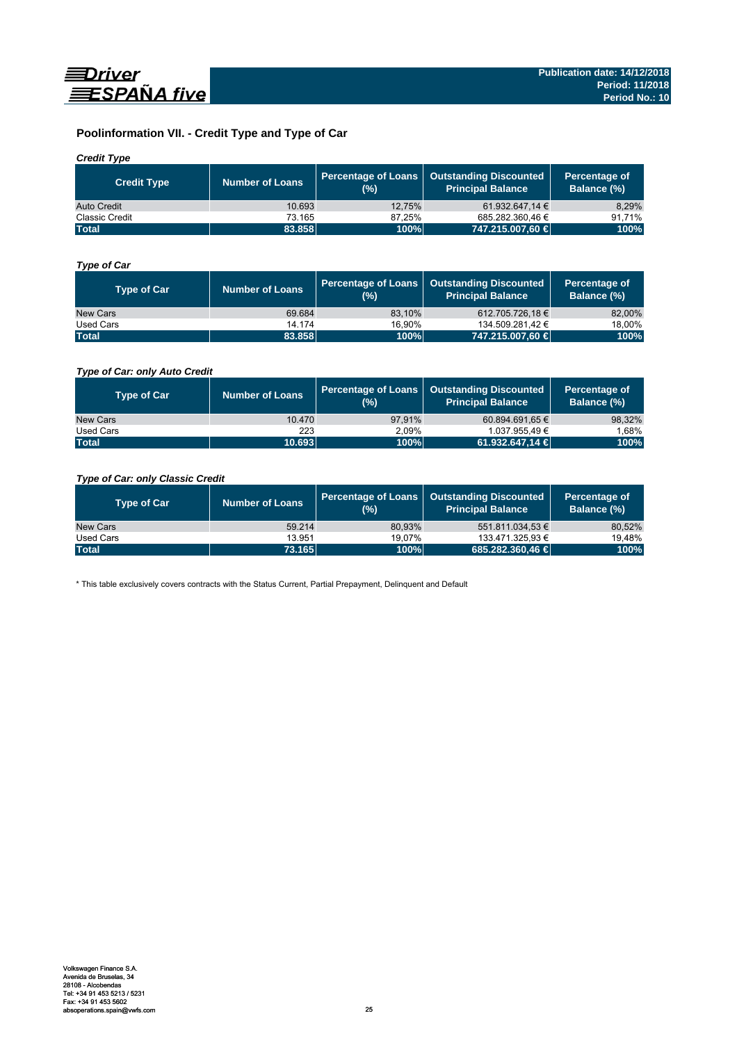

# **Poolinformation VII. - Credit Type and Type of Car**

# *Credit Type*

| <b>Credit Type</b> | <b>Number of Loans</b> | (%)    | Percentage of Loans   Outstanding Discounted<br>l Principal Balance <sup>\</sup> | Percentage of<br>Balance (%) |
|--------------------|------------------------|--------|----------------------------------------------------------------------------------|------------------------------|
| Auto Credit        | 10.693                 | 12.75% | 61.932.647.14 €                                                                  | 8.29%                        |
| Classic Credit     | 73.165                 | 87.25% | 685.282.360.46 €                                                                 | 91.71%                       |
| <b>Total</b>       | 83.858                 | 100%   | 747.215.007,60 €                                                                 | 100%                         |

# *Type of Car*

| <b>Type of Car</b> | <b>Number of Loans</b> | (%)    | Percentage of Loans   Outstanding Discounted<br><b>Principal Balance</b> | Percentage of<br>Balance (%) |
|--------------------|------------------------|--------|--------------------------------------------------------------------------|------------------------------|
| New Cars           | 69.684                 | 83.10% | 612.705.726,18 €                                                         | 82,00%                       |
| Used Cars          | 14.174                 | 16.90% | 134.509.281.42 €                                                         | 18,00%                       |
| <b>Total</b>       | 83.858                 | 100%   | 747.215.007,60 €                                                         | 100%                         |

# *Type of Car: only Auto Credit*

| <b>Type of Car</b> | <b>Number of Loans</b> | (%)    | Percentage of Loans   Outstanding Discounted<br><b>Principal Balance</b> | Percentage of<br>Balance (%) |
|--------------------|------------------------|--------|--------------------------------------------------------------------------|------------------------------|
| New Cars           | 10.470                 | 97.91% | 60.894.691.65 €                                                          | 98,32%                       |
| Used Cars          | 223                    | 2.09%  | 1.037.955.49 €                                                           | 1.68%                        |
| <b>Total</b>       | 10.693                 | 100%   | 61.932.647.14 <b>€</b>                                                   | 100%                         |

# *Type of Car: only Classic Credit*

| <b>Type of Car</b> | <b>Number of Loans</b> | (%)    | Percentage of Loans   Outstanding Discounted<br><b>Principal Balance</b> | Percentage of<br>Balance (%) |
|--------------------|------------------------|--------|--------------------------------------------------------------------------|------------------------------|
| New Cars           | 59.214                 | 80.93% | 551.811.034.53 €                                                         | 80,52%                       |
| Used Cars          | 13.951                 | 19.07% | 133.471.325.93 €                                                         | 19,48%                       |
| <b>Total</b>       | 73.165                 | 100%   | 685.282.360.46 €                                                         | 100%                         |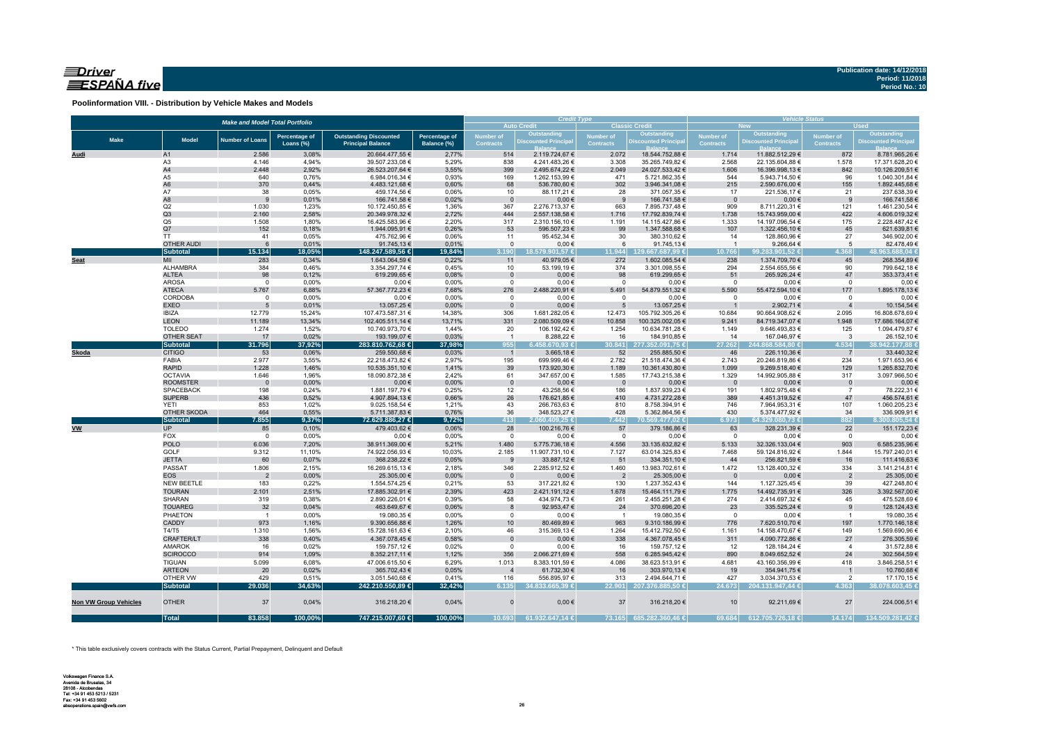# $\equiv$ Driver ESPAÑA five

**Poolinformation VIII. - Distribution by Vehicle Makes and Models**

|                              |                                     | <b>Make and Model Total Portfolio</b> |                                   |                                                           |                              |                                      | <b>Credit Type</b><br><b>Auto Credit</b> |                                 | <b>Classic Credit</b>              | <b>Vehicle Status</b><br><b>Used</b><br><b>New</b> |                                    |                                      |                                  |  |  |
|------------------------------|-------------------------------------|---------------------------------------|-----------------------------------|-----------------------------------------------------------|------------------------------|--------------------------------------|------------------------------------------|---------------------------------|------------------------------------|----------------------------------------------------|------------------------------------|--------------------------------------|----------------------------------|--|--|
|                              |                                     |                                       |                                   |                                                           |                              |                                      | Outstanding                              |                                 | Outstanding                        |                                                    | Outstanding                        |                                      | Outstanding                      |  |  |
| <b>Make</b>                  | <b>Model</b>                        | <b>Number of Loans</b>                | <b>Percentage of</b><br>Loans (%) | <b>Outstanding Discounted</b><br><b>Principal Balance</b> | Percentage of<br>Balance (%) | <b>Number of</b><br><b>Contracts</b> | <b>Discounted Principa</b>               | Number of<br><b>Contracts</b>   | <b>Discounted Principa</b>         | <b>Number of</b><br>Contracts                      | <b>Discounted Principa</b>         | <b>Number of</b><br><b>Contracts</b> | <b>Discounted Principal</b>      |  |  |
|                              |                                     |                                       |                                   |                                                           |                              |                                      |                                          |                                 |                                    |                                                    |                                    |                                      |                                  |  |  |
| Audi                         | A1<br>A <sub>3</sub>                | 2.586<br>4.146                        | 3,08%<br>4,94%                    | 20.664.477,55 €<br>39.507.233,08 €                        | 2,77%<br>5,29%               | 514<br>838                           | 2.119.724,67 €<br>4.241.483,26 €         | 2.072<br>3.308                  | 18.544.752,88 €<br>35.265.749,82 € | 1.714<br>2.568                                     | 11.882.512,29 €<br>22.135.604,88 € | 872<br>1.578                         | 8.781.965,26€<br>17.371.628,20 € |  |  |
|                              | A4                                  | 2.448                                 | 2,92%                             | 26.523.207,64 €                                           | 3,55%                        | 399                                  | 2.495.674,22 €                           | 2.049                           | 24.027.533,42 €                    | 1.606                                              | 16.396.998,13 €                    | 842                                  | 10.126.209,51 €                  |  |  |
|                              | A5                                  | 640                                   | 0,76%                             | 6.984.016,34 €                                            | 0,93%                        | 169                                  | 1.262.153,99 €                           | 471                             | 5.721.862,35 €                     | 544                                                | 5.943.714,50 €                     | 96                                   | 1.040.301,84 €                   |  |  |
|                              | A <sub>6</sub>                      | 370                                   | 0,44%                             | 4.483.121,68 €                                            | 0,60%                        | 68                                   | 536.780,60 €                             | 302                             | 3.946.341,08 €                     | 215                                                | 2.590.676,00 €                     | 155                                  | 1.892.445,68 €                   |  |  |
|                              | A7                                  | 38                                    | 0,05%                             | 459.174,56 €                                              | 0,06%                        | 10                                   | 88.117,21 €                              | 28                              | 371.057,35 €                       | 17                                                 | 221.536,17€                        | 21                                   | 237.638,39 €                     |  |  |
|                              | A8                                  | 9                                     | 0,01%                             | 166.741,58 €                                              | 0,02%                        | $\mathbf{0}$                         | $0,00 \in$                               | 9                               | 166.741,58 €                       | $\overline{\mathbf{0}}$                            | $0,00 \in$                         | 9                                    | 166.741,58 €                     |  |  |
|                              | Q2                                  | 1.030                                 | 1,23%                             | 10.172.450,85 €                                           | 1,36%                        | 367                                  | 2.276.713,37 €                           | 663                             | 7.895.737,48 €                     | 909                                                | 8.711.220,31 €                     | 121                                  | 1.461.230,54 €                   |  |  |
|                              | Q3<br>Q <sub>5</sub>                | 2.160<br>1.508                        | 2,58%<br>1,80%                    | 20.349.978,32 €<br>16.425.583,96 €                        | 2,72%<br>2,20%               | 444<br>317                           | 2.557.138,58 €<br>2.310.156,10 €         | 1.716<br>1.191                  | 17.792.839,74 €<br>14.115.427,86 € | 1.738<br>1.333                                     | 15.743.959,00 €<br>14.197.096,54 € | 422<br>175                           | 4.606.019,32 €<br>2.228.487,42 € |  |  |
|                              | Q7                                  | 152                                   | 0,18%                             | 1.944.095,91 €                                            | 0,26%                        | 53                                   | 596.507,23 €                             | 99                              | 1.347.588,68 €                     | 107                                                | 1.322.456,10 €                     | 45                                   | 621.639,81 €                     |  |  |
|                              | <b>TT</b>                           | 41                                    | 0,05%                             | 475.762,96 €                                              | 0,06%                        | 11                                   | 95.452,34 €                              | 30                              | 380.310,62 €                       | 14                                                 | 128.860,96 €                       | 27                                   | 346.902,00 €                     |  |  |
|                              | <b>OTHER AUDI</b>                   | 6                                     | 0,01%                             | 91.745,13 €                                               | 0,01%                        | $\mathsf 0$                          | $0,00 \in$                               | $6\phantom{.}6$                 | 91.745,13€                         | $\overline{1}$                                     | 9.266,64 $\in$                     | $5\phantom{.0}$                      | 82.478,49€                       |  |  |
|                              | Subtotal                            | 15.134                                | 18,05%                            | 148.247.589,56 €                                          | 19,84%                       | 3.190                                | 18.579.901.57 €                          | 11.944                          | 129.667.687.99 €                   | 10.766                                             | 99.283.901.52 €                    | 4.368                                | 48.963.688.04 €                  |  |  |
| Seat                         | MII                                 | 283                                   | 0,34%                             | 1.643.064,59 €                                            | 0,22%                        | 11                                   | 40.979,05 €                              | 272                             | 1.602.085,54 €                     | 238                                                | 1.374.709,70 €                     | 45                                   | 268.354,89 €                     |  |  |
|                              | ALHAMBRA                            | 384                                   | 0,46%                             | 3.354.297,74 €                                            | 0,45%                        | 10                                   | 53.199,19€                               | 374                             | 3.301.098,55 €                     | 294                                                | 2.554.655,56 €                     | 90                                   | 799.642,18€                      |  |  |
|                              | <b>ALTEA</b>                        | 98                                    | 0,12%                             | 619.299,65€                                               | 0,08%                        | $\mathbf 0$                          | $0,00 \in$                               | 98                              | 619.299,65€                        | 51                                                 | 265.926,24 €                       | 47                                   | 353.373,41 €                     |  |  |
|                              | <b>AROSA</b>                        | $\mathbf 0$                           | 0,00%                             | $0,00 \in$                                                | 0,00%                        | $^{\circ}$                           | $0,00 \in$                               | $\mathbf{0}$                    | $0,00 \in$                         | $\mathbf{0}$                                       | $0,00 \in$                         | $\overline{0}$                       | 0,00€                            |  |  |
|                              | <b>ATECA</b><br>CORDOBA             | 5.767<br>$\mathbf 0$                  | 6,88%<br>0,00%                    | 57.367.772,23 €<br>$0,00 \in$                             | 7,68%<br>0,00%               | 276<br>$\mathbf 0$                   | 2.488.220,91 €<br>$0,00 \in$             | 5.491<br>$\mathbf 0$            | 54.879.551,32 €<br>$0,00 \in$      | 5.590<br>$\overline{0}$                            | 55.472.594,10 €<br>$0,00 \in$      | 177<br>$\mathbf 0$                   | 1.895.178,13 €                   |  |  |
|                              | <b>EXEO</b>                         | 5                                     | 0,01%                             | 13.057,25 €                                               | 0,00%                        | $\overline{0}$                       | $0,00 \in$                               | 5                               | 13.057,25 €                        | $\mathbf{1}$                                       | 2.902,71 €                         |                                      | $0,00 \in$<br>10.154,54 €        |  |  |
|                              | <b>IBIZA</b>                        | 12.779                                | 15,24%                            | 107.473.587,31 €                                          | 14,38%                       | 306                                  | 1.681.282,05 €                           | 12.473                          | 105.792.305,26 €                   | 10.684                                             | 90.664.908,62 €                    | 2.095                                | 16.808.678,69 €                  |  |  |
|                              | <b>LEON</b>                         | 11.189                                | 13,34%                            | 102.405.511,14 €                                          | 13,71%                       | 331                                  | 2.080.509,09 €                           | 10.858                          | 100.325.002,05 €                   | 9.241                                              | 84.719.347,07 €                    | 1.948                                | 17.686.164,07 €                  |  |  |
|                              | <b>TOLEDO</b>                       | 1.274                                 | 1,52%                             | 10.740.973,70 €                                           | 1,44%                        | 20                                   | 106.192,42 €                             | 1.254                           | 10.634.781,28 €                    | 1.149                                              | 9.646.493,83 €                     | 125                                  | 1.094.479,87 €                   |  |  |
|                              | <b>OTHER SEAT</b>                   | 17                                    | 0,02%                             | 193.199,07 €                                              | 0,03%                        | $\overline{1}$                       | 8.288,22 €                               | 16                              | 184.910,85 €                       | 14                                                 | 167.046,97 €                       | $\overline{\mathbf{3}}$              | 26.152,10 €                      |  |  |
|                              | <b>Subtotal</b>                     | 31.796                                | 37,92%                            | 283.810.762,68 €                                          | 37,98%                       | 955                                  | $6.458.670.93 \in$                       | 30.841                          | 277,352.091,75 €                   | 27.262                                             | 244,868.584,80 €                   | 4.534                                | 38.942.177,88 €                  |  |  |
| <b>Skoda</b>                 | <b>CITIGO</b>                       | 53                                    | 0,06%                             | 259.550,68€                                               | 0,03%                        | $\overline{1}$                       | 3.665,18€                                | 52                              | 255.885,50 €                       | 46                                                 | 226.110,36 €                       | $\overline{7}$                       | 33.440,32 €                      |  |  |
|                              | FABIA                               | 2.977                                 | 3,55%                             | 22.218.473,82 €                                           | 2,97%                        | 195                                  | 699.999,46 €                             | 2.782                           | 21.518.474,36 €                    | 2.743                                              | 20.246.819,86 €                    | 234                                  | 1.971.653,96 €                   |  |  |
|                              | <b>RAPID</b>                        | 1.228                                 | 1,46%                             | 10.535.351,10 €                                           | 1,41%                        | 39                                   | 173.920,30 €                             | 1.189                           | 10.361.430,80 €                    | 1.099                                              | 9.269.518,40 €                     | 129                                  | 1.265.832,70 €                   |  |  |
|                              | <b>OCTAVIA</b>                      | 1.646                                 | 1,96%                             | 18.090.872,38 €                                           | 2,42%                        | 61                                   | 347.657,00 €                             | 1.585                           | 17.743.215,38 €                    | 1.329                                              | 14.992.905,88 €                    | 317                                  | 3.097.966,50 €                   |  |  |
|                              | <b>ROOMSTER</b><br><b>SPACEBACK</b> | $\overline{\phantom{0}}$<br>198       | 0,00%<br>0,24%                    | $0,00 \in$<br>1.881.197,79 €                              | 0,00%<br>0,25%               | $\mathbf 0$<br>12                    | $0,00 \in$<br>43.258,56 €                | $\overline{\phantom{0}}$<br>186 | $0,00 \in$<br>1.837.939,23 €       | $\overline{\phantom{0}}$<br>191                    | $0,00 \in$<br>1.802.975,48 €       | $\overline{0}$<br>$\overline{7}$     | $0,00$ €<br>78.222,31 €          |  |  |
|                              | <b>SUPERB</b>                       | 436                                   | 0,52%                             | 4.907.894,13 €                                            | 0,66%                        | 26                                   | 176.621,85 €                             | 410                             | 4.731.272,28 €                     | 389                                                | 4.451.319,52 €                     | 47                                   | 456.574,61 €                     |  |  |
|                              | YETI                                | 853                                   | 1,02%                             | 9.025.158,54 €                                            | 1,21%                        | 43                                   | 266.763,63 €                             | 810                             | 8.758.394,91 €                     | 746                                                | 7.964.953,31 €                     | 107                                  | 1.060.205,23 €                   |  |  |
|                              | <b>OTHER SKODA</b>                  | 464                                   | 0,55%                             | 5.711.387,83 €                                            | 0,76%                        | 36                                   | 348.523,27 €                             | 428                             | 5.362.864,56 €                     | 430                                                | 5.374.477,92 €                     | 34                                   | 336.909,91 €                     |  |  |
|                              | Subtotal                            | 7.855                                 | 9,37%                             | 72.629.886.27 €                                           | 9,72%                        | 413                                  | 2.060.409.25 €                           | 7.442                           | 70.569.477.02 €                    | 6.973                                              | 64.329.080.73 €                    | 882                                  | 8.300.805.54€                    |  |  |
| <b>VW</b>                    | <b>UP</b>                           | 85                                    | 0,10%                             | 479.403,62 €                                              | 0,06%                        | 28                                   | 100.216,76 €                             | 57                              | 379.186,86 €                       | 63                                                 | 328.231,39 €                       | 22                                   | 151.172,23 €                     |  |  |
|                              | FOX                                 | $\mathbf 0$                           | 0,00%                             | $0,00 \in$                                                | 0,00%                        | $\mathbf 0$                          | $0,00 \in$                               | $\overline{0}$                  | $0,00 \in$                         | $\circ$                                            | $0,00 \in$                         | $\overline{0}$                       | $0,00 \in$                       |  |  |
|                              | <b>POLO</b>                         | 6.036                                 | 7,20%                             | 38.911.369,00 €                                           | 5,21%                        | 1.480                                | 5.775.736,18 €                           | 4.556                           | 33.135.632,82 €                    | 5.133                                              | 32.326.133,04 €                    | 903                                  | 6.585.235,96 €                   |  |  |
|                              | GOLF                                | 9.312                                 | 11,10%                            | 74.922.056,93 €                                           | 10,03%                       | 2.185                                | 11.907.731,10 €                          | 7.127                           | 63.014.325,83 €                    | 7.468                                              | 59.124.816,92 €                    | 1.844                                | 15.797.240,01 €                  |  |  |
|                              | <b>JETTA</b>                        | 60                                    | 0,07%                             | 368.238,22 €                                              | 0,05%                        | 9                                    | 33.887,12 €                              | 51                              | 334.351,10 €                       | 44                                                 | 256.821,59€                        | 16                                   | 111.416,63 €                     |  |  |
|                              | <b>PASSAT</b>                       | 1.806                                 | 2,15%                             | 16.269.615,13€                                            | 2,18%                        | 346                                  | 2.285.912,52 €                           | 1.460                           | 13.983.702,61 €                    | 1.472                                              | 13.128.400,32 €                    | 334                                  | 3.141.214,81 €                   |  |  |
|                              | <b>EOS</b><br>NEW BEETLE            | $\overline{2}$<br>183                 | 0,00%<br>0,22%                    | 25.305,00 €<br>1.554.574,25 €                             | 0,00%<br>0,21%               | $\overline{0}$<br>53                 | $0,00 \in$<br>317.221,82 €               | $\overline{2}$<br>130           | 25.305,00 €<br>1.237.352,43 €      | $\overline{\mathbf{0}}$<br>144                     | $0,00 \in$<br>1.127.325,45 €       | $\overline{2}$<br>39                 | 25.305,00 €<br>427.248,80 €      |  |  |
|                              | <b>TOURAN</b>                       | 2.101                                 | 2,51%                             | 17.885.302,91 €                                           | 2,39%                        | 423                                  | 2.421.191,12 €                           | 1.678                           | 15.464.111,79 €                    | 1.775                                              | 14.492.735,91 €                    | 326                                  | 3.392.567,00 €                   |  |  |
|                              | SHARAN                              | 319                                   | 0,38%                             | 2.890.226,01 €                                            | 0,39%                        | 58                                   | 434.974,73 €                             | 261                             | 2.455.251,28 €                     | 274                                                | 2.414.697,32 €                     | 45                                   | 475.528,69 €                     |  |  |
|                              | <b>TOUAREG</b>                      | 32                                    | 0,04%                             | 463.649,67 €                                              | 0,06%                        | 8                                    | 92.953,47 €                              | 24                              | 370.696,20 €                       | 23                                                 | 335.525,24 €                       | 9                                    | 128.124,43€                      |  |  |
|                              | PHAETON                             | $\overline{1}$                        | 0,00%                             | 19.080,35 €                                               | 0,00%                        | $^{\circ}$                           | $0,00 \in$                               | $\overline{1}$                  | 19.080,35 €                        | $^{\circ}$                                         | $0,00 \in$                         | $\overline{1}$                       | 19.080,35 €                      |  |  |
|                              | CADDY                               | 973                                   | 1,16%                             | 9.390.656,88 €                                            | 1,26%                        | 10                                   | 80.469,89€                               | 963                             | 9.310.186,99 €                     | 776                                                | 7.620.510,70 €                     | 197                                  | 1.770.146,18 €                   |  |  |
|                              | T4/T5                               | 1.310                                 | 1,56%                             | 15.728.161,63 €                                           | 2,10%                        | 46                                   | 315.369,13 €                             | 1.264                           | 15.412.792,50 €                    | 1.161                                              | 14.158.470,67 €                    | 149                                  | 1.569.690,96 €                   |  |  |
|                              | <b>CRAFTER/LT</b>                   | 338                                   | 0,40%                             | 4.367.078,45 €                                            | 0,58%                        | $\mathbf 0$                          | 0,00€                                    | 338                             | 4.367.078,45 €                     | 311                                                | 4.090.772,86 €                     | 27                                   | 276.305,59€                      |  |  |
|                              | AMAROK                              | 16                                    | 0,02%                             | 159.757,12€                                               | 0,02%                        | $\mathsf 0$                          | $0,00 \in$                               | 16                              | 159.757,12€                        | 12                                                 | 128.184,24 €                       | 4                                    | 31.572,88 €                      |  |  |
|                              | <b>SCIROCCO</b>                     | 914                                   | 1,09%                             | 8.352.217,11 €                                            | 1,12%                        | 356                                  | 2.066.271,69 €                           | 558                             | 6.285.945,42 €                     | 890                                                | 8.049.652,52 €                     | 24                                   | 302.564,59 €                     |  |  |
|                              | TIGUAN                              | 5.099                                 | 6,08%                             | 47.006.615,50 €                                           | 6,29%                        | 1.013                                | 8.383.101,59 €                           | 4.086                           | 38.623.513,91 €                    | 4.681                                              | 43.160.356,99 €                    | 418                                  | 3.846.258.51 €                   |  |  |
|                              | <b>ARTEON</b>                       | 20                                    | 0,02%                             | 365.702,43 €                                              | 0,05%                        | $\overline{4}$                       | 61.732,30 €                              | 16                              | 303.970,13 €                       | 19                                                 | 354.941,75 €                       |                                      | 10.760,68€                       |  |  |
|                              | OTHER VW                            | 429                                   | 0,51%                             | 3.051.540,68 €                                            | 0,41%                        | 116                                  | 556.895,97€                              | 313                             | 2.494.644,71 €                     | 427                                                | 3.034.370,53 €                     | 2                                    | 17.170,15€                       |  |  |
|                              | Subtotal                            | 29.036                                | 34,63%                            | 242.210.550.89 €                                          | 32,42%                       | 6.135                                | 34,833.665,39 €                          |                                 | 22.901 207.376.885.50 €            | 24.673                                             | 204.131.947.44 €                   | 4.363                                | 38.078.603.45 €                  |  |  |
| <b>Non VW Group Vehicles</b> | <b>OTHER</b>                        | 37                                    | 0,04%                             | 316.218,20 €                                              | 0,04%                        | $\Omega$                             | $0,00 \in$                               | 37                              | 316.218,20€                        | 10                                                 | 92.211,69€                         | 27                                   | 224.006,51 €                     |  |  |
|                              | <b>Total</b>                        | 83.858                                | 100,00%                           | 747.215.007,60 €                                          | 100,00%                      | 10.693                               | 61.932.647,14 €                          | 73.165                          | 685.282.360,46 €                   | 69.684                                             | 612.705.726,18 €                   | 14.174                               | 134.509.281,42 €                 |  |  |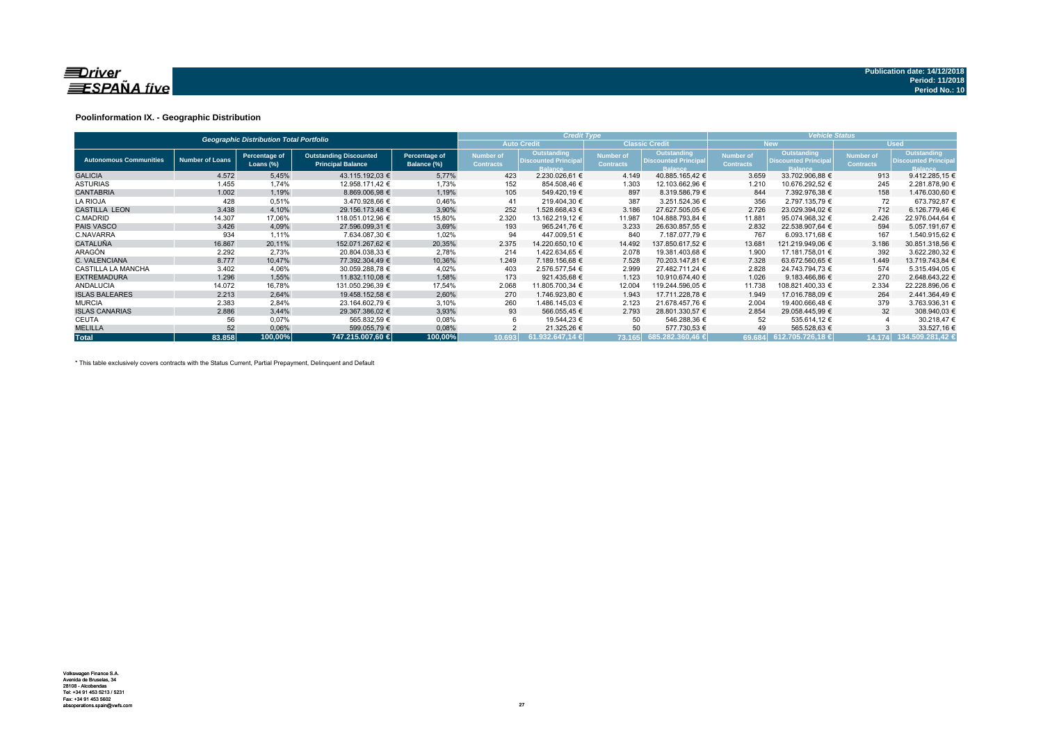

### **Poolinformation IX. - Geographic Distribution**

|                               |                        | <b>Geographic Distribution Total Portfolio</b> |                                                           |                              |                               | <b>Credit Type</b>                                           |                                      |                                                              | <b>Vehicle Status</b>                |                                                              |                               |                                                       |  |  |
|-------------------------------|------------------------|------------------------------------------------|-----------------------------------------------------------|------------------------------|-------------------------------|--------------------------------------------------------------|--------------------------------------|--------------------------------------------------------------|--------------------------------------|--------------------------------------------------------------|-------------------------------|-------------------------------------------------------|--|--|
|                               |                        |                                                |                                                           |                              |                               | <b>Auto Credit</b>                                           |                                      | <b>Classic Credit</b>                                        |                                      | <b>New</b>                                                   |                               | <b>Used</b>                                           |  |  |
| <b>Autonomous Communities</b> | <b>Number of Loans</b> | Percentage of<br>Loans $(\%)$                  | <b>Outstanding Discounted</b><br><b>Principal Balance</b> | Percentage of<br>Balance (%) | Number of<br><b>Contracts</b> | Outstanding<br><b>Discounted Principal</b><br><b>Balance</b> | <b>Number of</b><br><b>Contracts</b> | Outstanding<br><b>Discounted Principal</b><br><b>Balance</b> | <b>Number of</b><br><b>Contracts</b> | Outstanding<br><b>Discounted Principal</b><br><b>Balance</b> | Number of<br><b>Contracts</b> | Outstanding<br><b>Discounted Principal</b><br>Balance |  |  |
| <b>GALICIA</b>                | 4.572                  | 5,45%                                          | 43.115.192,03 €                                           | 5,77%                        | 423                           | 2.230.026,61 €                                               | 4.149                                | 40.885.165,42 €                                              | 3.659                                | 33.702.906.88 €                                              | 913                           | 9.412.285,15 €                                        |  |  |
| <b>ASTURIAS</b>               | 1.455                  | 1,74%                                          | 12.958.171,42 €                                           | 1,73%                        | 152                           | 854.508,46 €                                                 | 1.303                                | 12.103.662,96 €                                              | 1.210                                | 10.676.292,52 €                                              | 245                           | 2.281.878,90 €                                        |  |  |
| <b>CANTABRIA</b>              | 1.002                  | 1,19%                                          | 8.869.006.98 €                                            | 1,19%                        | 105                           | 549.420.19 €                                                 | 897                                  | 8.319.586.79 €                                               | 844                                  | 7.392.976.38 €                                               | 158                           | 1.476.030,60 €                                        |  |  |
| <b>LA RIOJA</b>               | 428                    | 0,51%                                          | 3.470.928,66 €                                            | 0,46%                        | 41                            | 219.404,30 €                                                 | 387                                  | 3.251.524,36 €                                               | 356                                  | 2.797.135.79 €                                               | 72                            | 673.792,87 €                                          |  |  |
| <b>CASTILLA LEON</b>          | 3.438                  | 4,10%                                          | 29.156.173.48 €                                           | 3,90%                        | 252                           | 1.528.668.43 €                                               | 3.186                                | 27.627.505.05 €                                              | 2.726                                | 23.029.394.02 €                                              | 712                           | 6.126.779.46 €                                        |  |  |
| C.MADRID                      | 14.307                 | 17,06%                                         | 118.051.012.96 €                                          | 15,80%                       | 2.320                         | 13.162.219,12 €                                              | 11.987                               | 104.888.793,84 €                                             | 11.881                               | 95.074.968,32 €                                              | 2.426                         | 22.976.044,64 €                                       |  |  |
| <b>PAIS VASCO</b>             | 3.426                  | 4,09%                                          | 27.596.099.31 €                                           | 3,69%                        | 193                           | 965.241.76 €                                                 | 3.233                                | 26.630.857,55 €                                              | 2.832                                | 22.538.907.64 €                                              | 594                           | 5.057.191,67 €                                        |  |  |
| C.NAVARRA                     | 934                    | 1,11%                                          | 7.634.087,30 €                                            | 1,02%                        | 94                            | 447.009,51 €                                                 | 840                                  | 7.187.077.79 €                                               | 767                                  | 6.093.171.68 €                                               | 167                           | 1.540.915,62 €                                        |  |  |
| <b>CATALUÑA</b>               | 16.867                 | 20,11%                                         | 152.071.267.62 €                                          | 20,35%                       | 2.375                         | 14.220.650.10 €                                              | 14.492                               | 137.850.617.52 €                                             | 13.681                               | 121.219.949.06 €                                             | 3.186                         | 30.851.318,56 €                                       |  |  |
| ARAGÓN                        | 2.292                  | 2.73%                                          | 20.804.038.33 €                                           | 2,78%                        | 214                           | 1.422.634.65 €                                               | 2.078                                | 19.381.403,68 €                                              | 1.900                                | 17.181.758.01 €                                              | 392                           | 3.622.280,32 €                                        |  |  |
| C. VALENCIANA                 | 8.777                  | 10.47%                                         | 77.392.304.49 €                                           | 10,36%                       | 1.249                         | 7.189.156,68 €                                               | 7.528                                | 70.203.147.81 €                                              | 7.328                                | 63.672.560.65 €                                              | 1.449                         | 13.719.743.84 €                                       |  |  |
| <b>CASTILLA LA MANCHA</b>     | 3.402                  | 4,06%                                          | 30.059.288,78 €                                           | 4,02%                        | 403                           | 2.576.577.54 €                                               | 2.999                                | 27.482.711,24 €                                              | 2.828                                | 24.743.794.73 €                                              | 574                           | 5.315.494,05 €                                        |  |  |
| <b>EXTREMADURA</b>            | 1.296                  | 1,55%                                          | 11.832.110.08 €                                           | 1,58%                        | 173                           | 921.435,68 €                                                 | 1.123                                | 10.910.674.40 €                                              | 1.026                                | 9.183.466.86 €                                               | 270                           | 2.648.643.22 €                                        |  |  |
| <b>ANDALUCIA</b>              | 14.072                 | 16,78%                                         | 131.050.296,39 €                                          | 17,54%                       | 2.068                         | 11.805.700,34 €                                              | 12.004                               | 119.244.596,05 €                                             | 11.738                               | 108.821.400,33 €                                             | 2.334                         | 22.228.896,06 €                                       |  |  |
| <b>ISLAS BALEARES</b>         | 2.213                  | 2,64%                                          | 19.458.152,58 €                                           | 2,60%                        | 270                           | 1.746.923,80 €                                               | 1.943                                | 17.711.228,78 €                                              | 1.949                                | 17.016.788,09 €                                              | 264                           | 2.441.364,49 €                                        |  |  |
| <b>MURCIA</b>                 | 2.383                  | 2,84%                                          | 23.164.602.79 €                                           | 3,10%                        | 260                           | 1.486.145.03 €                                               | 2.123                                | 21.678.457.76 €                                              | 2.004                                | 19.400.666.48 €                                              | 379                           | 3.763.936.31 €                                        |  |  |
| <b>ISLAS CANARIAS</b>         | 2.886                  | 3.44%                                          | 29.367.386.02 €                                           | 3,93%                        | 93                            | 566.055.45 €                                                 | 2.793                                | 28.801.330.57 €                                              | 2.854                                | 29.058.445.99 €                                              | 32                            | 308.940,03 €                                          |  |  |
| CEUTA                         | 56                     | 0,07%                                          | 565.832,59 €                                              | 0,08%                        |                               | 19.544,23 €                                                  | 50                                   | 546.288,36 €                                                 | 52                                   | 535.614,12 €                                                 |                               | 30.218,47 €                                           |  |  |
| <b>MELILLA</b>                | 52                     | 0,06%                                          | 599.055,79 €                                              | 0,08%                        |                               | 21.325,26 €                                                  | 50                                   | 577.730,53 €                                                 | 49                                   | 565.528,63 €                                                 |                               | 33.527,16 €                                           |  |  |
| <b>Total</b>                  | 83.858                 | 100,00%                                        | 747.215.007.60 €                                          | 100,00%                      | 10.693                        | 61.932.647.14 €                                              |                                      | 173.165 685.282.360,46 €                                     |                                      | 69.684 612.705.726,18 €                                      | 14.174                        | 134.509.281.42 €                                      |  |  |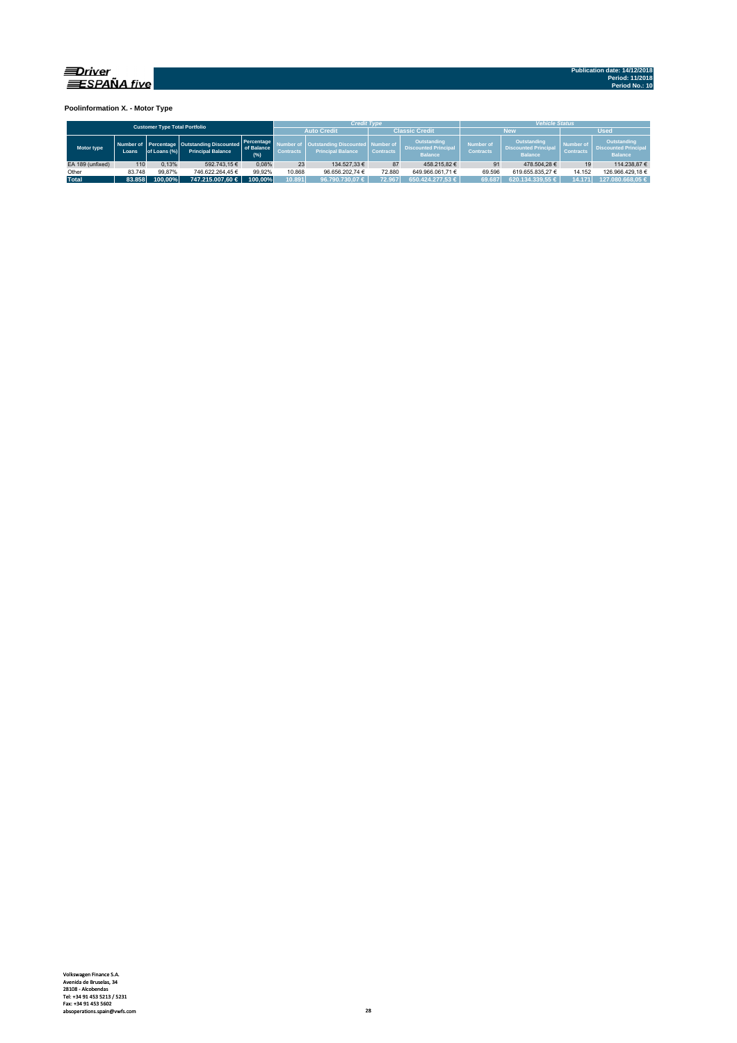

**Poolinformation X. - Motor Type**

|                  |        | <b>Customer Type Total Portfolio</b> |                                                                         |                                   |                                                                                         | <b>Credit Type</b> |                  |                                                              | <b>Vehicle Status</b>                |                                                              |                                      |                                                              |  |  |
|------------------|--------|--------------------------------------|-------------------------------------------------------------------------|-----------------------------------|-----------------------------------------------------------------------------------------|--------------------|------------------|--------------------------------------------------------------|--------------------------------------|--------------------------------------------------------------|--------------------------------------|--------------------------------------------------------------|--|--|
|                  |        |                                      |                                                                         |                                   |                                                                                         | <b>Auto Credit</b> |                  | <b>Classic Credit</b>                                        |                                      | <b>New</b>                                                   | <b>Used</b>                          |                                                              |  |  |
| Motor type       | Loans  | of Loans (%)                         | Number of Percentage Outstanding Discounted<br><b>Principal Balance</b> | Percentage<br>of Balance<br>(9/6) | <b>Outstanding Discounted Number of</b><br><b>Principal Balance</b><br><b>Contracts</b> |                    | <b>Contracts</b> | Outstanding<br><b>Discounted Principal</b><br><b>Balance</b> | <b>Number of</b><br><b>Contracts</b> | Outstanding<br><b>Discounted Principal</b><br><b>Balance</b> | <b>Number of</b><br><b>Contracts</b> | Outstanding<br><b>Discounted Principal</b><br><b>Balance</b> |  |  |
| EA 189 (unfixed) | 110    | 0.13%                                | 592.743.15€                                                             | 0.08%                             | 23                                                                                      | 134.527.33 €       | 87               | 458.215.82 €                                                 |                                      | 478.504.28 €                                                 | 19                                   | 114.238.87 €                                                 |  |  |
| Other            | 83.748 | 99.87%                               | 746.622.264.45 €                                                        | 99.92%                            | 10.868                                                                                  | 96.656.202.74 €    | 72.880           | 649.966.061.71 €                                             | 69.596                               | 619.655.835.27 €                                             | 14.152                               | 126.966.429.18 €                                             |  |  |
| <b>Total</b>     | 83.858 | 100.00%                              | 747.215.007.60 €                                                        | 100.00%                           | 10.891                                                                                  | 96.790.730.07 €    | 72.967           | 650.424.277.53 €                                             | 69.687                               | $620.134.339.55 \in$                                         | 14.171                               | 127.080.668.05 €                                             |  |  |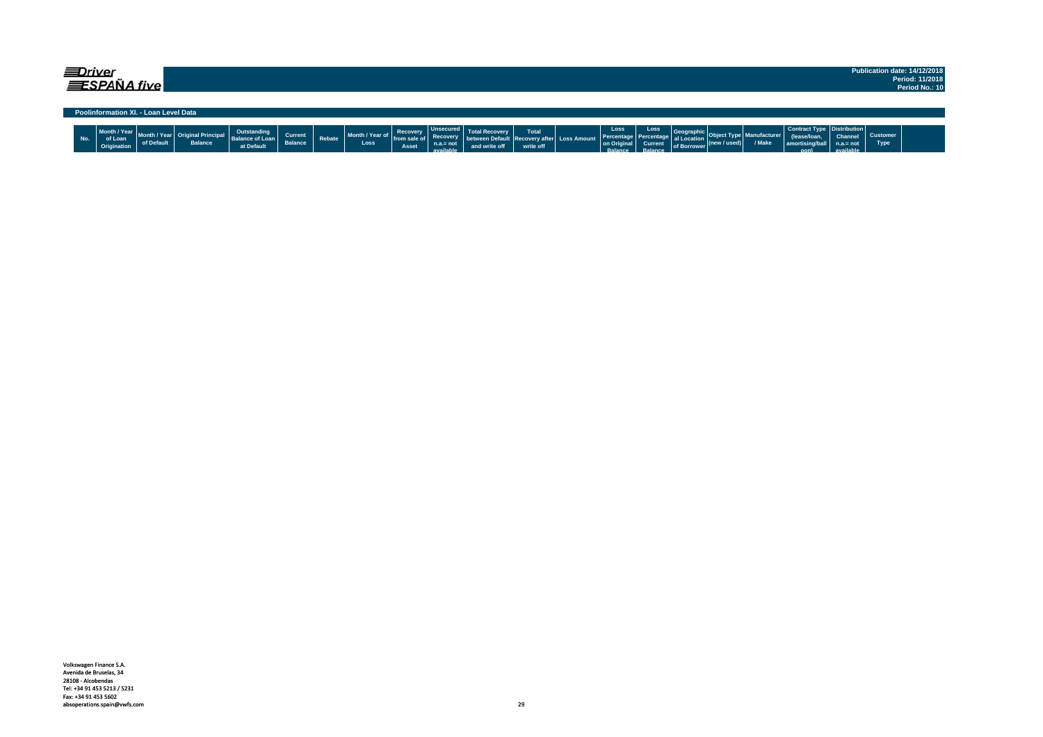| <i>=Driver</i> | $\equiv$ SPAÑA five                    |                                       |                |                                                            |                           |        |                         |                                   |                                                                |                       |                                                                |                                                    |                                                        |                                                             |                      |                       |                                                                            |                                     |                         | Publication date: 14/12/2018<br>Period: 11/2018<br>Period No.: 10 |
|----------------|----------------------------------------|---------------------------------------|----------------|------------------------------------------------------------|---------------------------|--------|-------------------------|-----------------------------------|----------------------------------------------------------------|-----------------------|----------------------------------------------------------------|----------------------------------------------------|--------------------------------------------------------|-------------------------------------------------------------|----------------------|-----------------------|----------------------------------------------------------------------------|-------------------------------------|-------------------------|-------------------------------------------------------------------|
|                |                                        | Poolinformation XI. - Loan Level Data |                |                                                            |                           |        |                         |                                   |                                                                |                       |                                                                |                                                    |                                                        |                                                             |                      |                       |                                                                            |                                     |                         |                                                                   |
| No.            | Month / Year<br>of Loan<br>Origination | of Default                            | <b>Balance</b> | <b>Outstanding</b><br><b>Balance of Loan</b><br>at Default | Current<br><b>Balance</b> | Rebate | Month / Year of<br>Loss | Recovery<br>from sale of<br>Asset | <b>Unsecured</b><br><b>Recoverv</b><br>$n.a.=not$<br>available | etwe<br>and write off | <b>Total</b><br><b>Recovery after Loss Amount</b><br>write off | Loss<br>Percentage<br>on Origina<br><b>Ralance</b> | Loss<br><b>Percentage</b><br><b>Current</b><br>Ralance | <b>Geographic</b><br>al Locatio<br>of Borrower <sup>V</sup> | $ $ (new / used) $ $ | anufacturer<br>/ Make | Contract Type   Distribution  <br>(lease/loan<br>amortising/ball<br>$\sim$ | Channel<br>$n.a = not$<br>available | <b>Customer</b><br>Type |                                                                   |